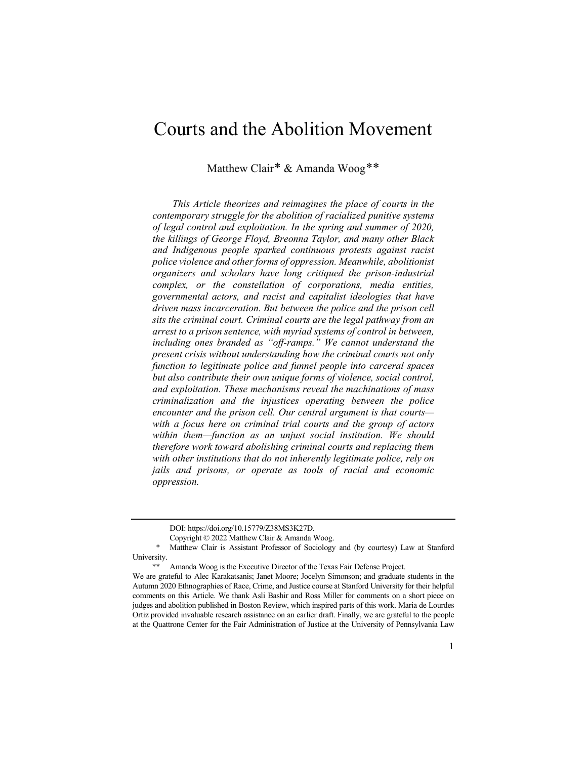# Courts and the Abolition Movement

Matthew Clair[\\*](#page-0-0) & Amanda Woog[\\*\\*](#page-0-1)

*This Article theorizes and reimagines the place of courts in the contemporary struggle for the abolition of racialized punitive systems of legal control and exploitation. In the spring and summer of 2020, the killings of George Floyd, Breonna Taylor, and many other Black and Indigenous people sparked continuous protests against racist police violence and other forms of oppression. Meanwhile, abolitionist organizers and scholars have long critiqued the prison-industrial complex, or the constellation of corporations, media entities, governmental actors, and racist and capitalist ideologies that have driven mass incarceration. But between the police and the prison cell sits the criminal court. Criminal courts are the legal pathway from an arrest to a prison sentence, with myriad systems of control in between, including ones branded as "off-ramps." We cannot understand the present crisis without understanding how the criminal courts not only function to legitimate police and funnel people into carceral spaces but also contribute their own unique forms of violence, social control, and exploitation. These mechanisms reveal the machinations of mass criminalization and the injustices operating between the police encounter and the prison cell. Our central argument is that courts with a focus here on criminal trial courts and the group of actors within them—function as an unjust social institution. We should therefore work toward abolishing criminal courts and replacing them with other institutions that do not inherently legitimate police, rely on jails and prisons, or operate as tools of racial and economic oppression.*

DOI: https://doi.org/10.15779/Z38MS3K27D.

Copyright © 2022 Matthew Clair & Amanda Woog.

<span id="page-0-0"></span>Matthew Clair is Assistant Professor of Sociology and (by courtesy) Law at Stanford University.

Amanda Woog is the Executive Director of the Texas Fair Defense Project.

<span id="page-0-1"></span>We are grateful to Alec Karakatsanis; Janet Moore; Jocelyn Simonson; and graduate students in the Autumn 2020 Ethnographies of Race, Crime, and Justice course at Stanford University for their helpful comments on this Article. We thank Asli Bashir and Ross Miller for comments on a short piece on judges and abolition published in Boston Review, which inspired parts of this work. Maria de Lourdes Ortiz provided invaluable research assistance on an earlier draft. Finally, we are grateful to the people at the Quattrone Center for the Fair Administration of Justice at the University of Pennsylvania Law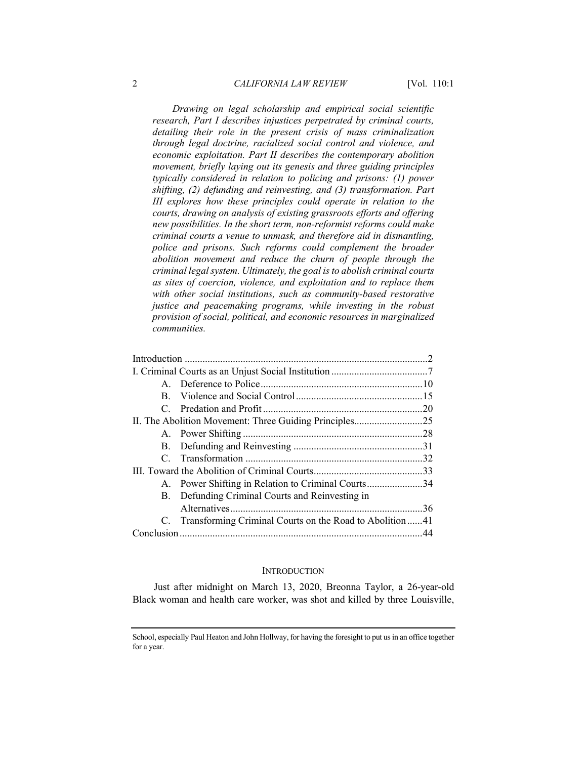*Drawing on legal scholarship and empirical social scientific research, Part I describes injustices perpetrated by criminal courts, detailing their role in the present crisis of mass criminalization through legal doctrine, racialized social control and violence, and economic exploitation. Part II describes the contemporary abolition movement, briefly laying out its genesis and three guiding principles typically considered in relation to policing and prisons: (1) power shifting, (2) defunding and reinvesting, and (3) transformation. Part III explores how these principles could operate in relation to the courts, drawing on analysis of existing grassroots efforts and offering new possibilities. In the short term, non-reformist reforms could make criminal courts a venue to unmask, and therefore aid in dismantling, police and prisons. Such reforms could complement the broader abolition movement and reduce the churn of people through the criminal legal system. Ultimately, the goal is to abolish criminal courts as sites of coercion, violence, and exploitation and to replace them with other social institutions, such as community-based restorative justice and peacemaking programs, while investing in the robust provision of social, political, and economic resources in marginalized communities.*

|  | A. Power Shifting in Relation to Criminal Courts34         |  |
|--|------------------------------------------------------------|--|
|  | B. Defunding Criminal Courts and Reinvesting in            |  |
|  |                                                            |  |
|  | C. Transforming Criminal Courts on the Road to Abolition41 |  |
|  |                                                            |  |

#### **INTRODUCTION**

Just after midnight on March 13, 2020, Breonna Taylor, a 26-year-old Black woman and health care worker, was shot and killed by three Louisville,

School, especially Paul Heaton and John Hollway, for having the foresight to put us in an office together for a year.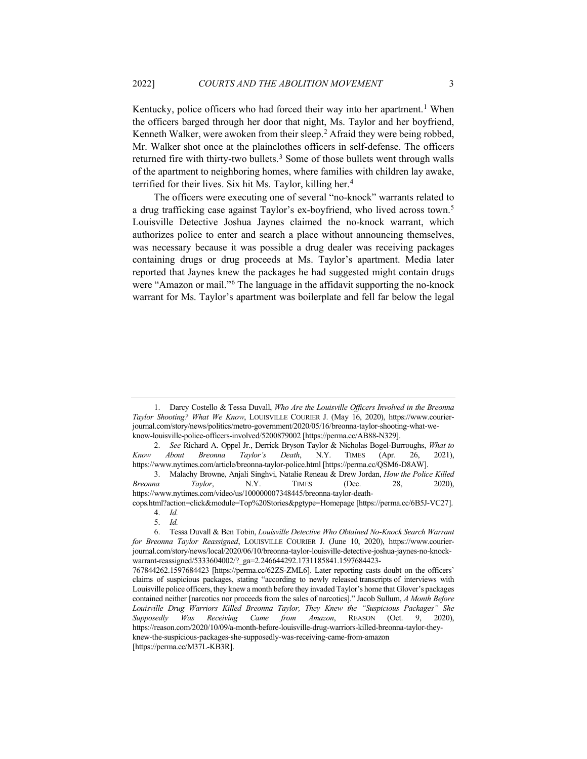Kentucky, police officers who had forced their way into her apartment.<sup>[1](#page-2-0)</sup> When the officers barged through her door that night, Ms. Taylor and her boyfriend, Kenneth Walker, were awoken from their sleep.<sup>[2](#page-2-1)</sup> Afraid they were being robbed, Mr. Walker shot once at the plainclothes officers in self-defense. The officers returned fire with thirty-two bullets.<sup>[3](#page-2-2)</sup> Some of those bullets went through walls of the apartment to neighboring homes, where families with children lay awake, terrified for their lives. Six hit Ms. Taylor, killing her.[4](#page-2-3)

The officers were executing one of several "no-knock" warrants related to a drug trafficking case against Taylor's ex-boyfriend, who lived across town.[5](#page-2-4) Louisville Detective Joshua Jaynes claimed the no-knock warrant, which authorizes police to enter and search a place without announcing themselves, was necessary because it was possible a drug dealer was receiving packages containing drugs or drug proceeds at Ms. Taylor's apartment. Media later reported that Jaynes knew the packages he had suggested might contain drugs were "Amazon or mail."<sup>[6](#page-2-5)</sup> The language in the affidavit supporting the no-knock warrant for Ms. Taylor's apartment was boilerplate and fell far below the legal

<span id="page-2-0"></span><sup>1.</sup> Darcy Costello & Tessa Duvall, *Who Are the Louisville Officers Involved in the Breonna Taylor Shooting? What We Know*, LOUISVILLE COURIER J. (May 16, 2020), https://www.courierjournal.com/story/news/politics/metro-government/2020/05/16/breonna-taylor-shooting-what-weknow-louisville-police-officers-involved/5200879002 [https://perma.cc/AB88-N329].

<span id="page-2-1"></span><sup>2.</sup> *See* Richard A. Oppel Jr., Derrick Bryson Taylor & Nicholas Bogel-Burroughs, *What to Know About Breonna Taylor's Death*, N.Y. TIMES (Apr. 26, 2021), https://www.nytimes.com/article/breonna-taylor-police.html [https://perma.cc/QSM6-D8AW].

<span id="page-2-2"></span><sup>3.</sup> Malachy Browne, Anjali Singhvi, Natalie Reneau & Drew Jordan, *How the Police Killed Breonna Taylor*, N.Y. TIMES (Dec. 28, 2020), https://www.nytimes.com/video/us/100000007348445/breonna-taylor-death-

<span id="page-2-3"></span>cops.html?action=click&module=Top%20Stories&pgtype=Homepage [https://perma.cc/6B5J-VC27]. 4. *Id.*

<sup>5.</sup> *Id.*

<span id="page-2-5"></span><span id="page-2-4"></span><sup>6.</sup> Tessa Duvall & Ben Tobin, *Louisville Detective Who Obtained No-Knock Search Warrant for Breonna Taylor Reassigned*, LOUISVILLE COURIER J. (June 10, 2020), https://www.courierjournal.com/story/news/local/2020/06/10/breonna-taylor-louisville-detective-joshua-jaynes-no-knockwarrant-reassigned/5333604002/?\_ga=2.246644292.1731185841.1597684423-

<sup>767844262.1597684423 [</sup>https://perma.cc/62ZS-ZML6]. Later reporting casts doubt on the officers' claims of suspicious packages, stating "according to newly released transcripts of interviews with Louisville police officers, they knew a month before they invaded Taylor's home that Glover's packages contained neither [narcotics nor proceeds from the sales of narcotics]." Jacob Sullum, *A Month Before Louisville Drug Warriors Killed Breonna Taylor, They Knew the "Suspicious Packages" She Supposedly Was Receiving Came from Amazon*, REASON (Oct. 9, 2020), https://reason.com/2020/10/09/a-month-before-louisville-drug-warriors-killed-breonna-taylor-theyknew-the-suspicious-packages-she-supposedly-was-receiving-came-from-amazon [https://perma.cc/M37L-KB3R].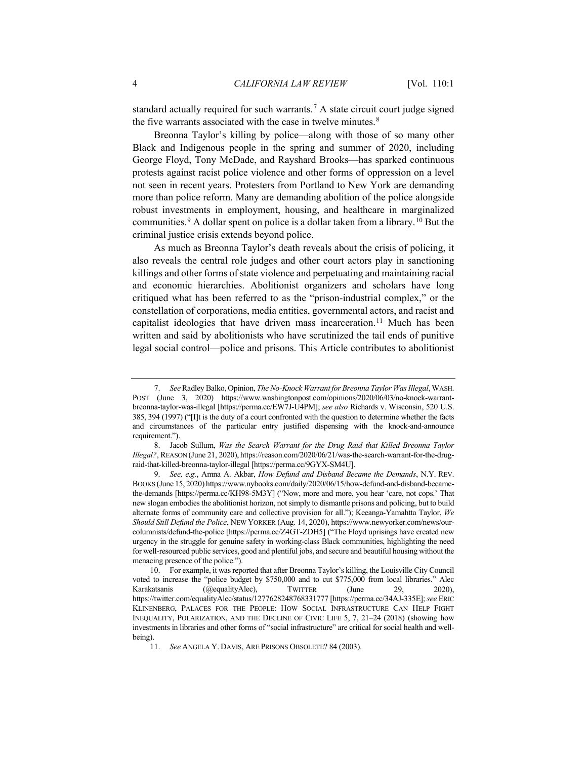<span id="page-3-5"></span>standard actually required for such warrants.[7](#page-3-0) A state circuit court judge signed the five warrants associated with the case in twelve minutes.<sup>[8](#page-3-1)</sup>

Breonna Taylor's killing by police—along with those of so many other Black and Indigenous people in the spring and summer of 2020, including George Floyd, Tony McDade, and Rayshard Brooks—has sparked continuous protests against racist police violence and other forms of oppression on a level not seen in recent years. Protesters from Portland to New York are demanding more than police reform. Many are demanding abolition of the police alongside robust investments in employment, housing, and healthcare in marginalized communities.[9](#page-3-2) A dollar spent on police is a dollar taken from a library.[10](#page-3-3) But the criminal justice crisis extends beyond police.

<span id="page-3-7"></span>As much as Breonna Taylor's death reveals about the crisis of policing, it also reveals the central role judges and other court actors play in sanctioning killings and other forms of state violence and perpetuating and maintaining racial and economic hierarchies. Abolitionist organizers and scholars have long critiqued what has been referred to as the "prison-industrial complex," or the constellation of corporations, media entities, governmental actors, and racist and capitalist ideologies that have driven mass incarceration.<sup>[11](#page-3-4)</sup> Much has been written and said by abolitionists who have scrutinized the tail ends of punitive legal social control—police and prisons. This Article contributes to abolitionist

<span id="page-3-6"></span><span id="page-3-0"></span><sup>7.</sup> *See*Radley Balko, Opinion, *The No-Knock Warrant for Breonna Taylor Was Illegal*, WASH. POST (June 3, 2020) https://www.washingtonpost.com/opinions/2020/06/03/no-knock-warrantbreonna-taylor-was-illegal [https://perma.cc/EW7J-U4PM]; *see also* Richards v. Wisconsin, 520 U.S. 385, 394 (1997) ("[I]t is the duty of a court confronted with the question to determine whether the facts and circumstances of the particular entry justified dispensing with the knock-and-announce requirement.").

<span id="page-3-1"></span><sup>8.</sup> Jacob Sullum, *Was the Search Warrant for the Drug Raid that Killed Breonna Taylor Illegal?*, REASON (June 21, 2020), https://reason.com/2020/06/21/was-the-search-warrant-for-the-drugraid-that-killed-breonna-taylor-illegal [https://perma.cc/9GYX-SM4U].

<span id="page-3-2"></span><sup>9.</sup> *See, e.g.*, Amna A. Akbar, *How Defund and Disband Became the Demands*, N.Y. REV. BOOKS (June 15, 2020) https://www.nybooks.com/daily/2020/06/15/how-defund-and-disband-becamethe-demands [https://perma.cc/KH98-5M3Y] ("Now, more and more, you hear 'care, not cops.' That new slogan embodies the abolitionist horizon, not simply to dismantle prisons and policing, but to build alternate forms of community care and collective provision for all."); Keeanga-Yamahtta Taylor, *We Should Still Defund the Police*, NEW YORKER (Aug. 14, 2020), https://www.newyorker.com/news/ourcolumnists/defund-the-police [https://perma.cc/Z4GT-ZDH5] ("The Floyd uprisings have created new urgency in the struggle for genuine safety in working-class Black communities, highlighting the need for well-resourced public services, good and plentiful jobs, and secure and beautiful housing without the menacing presence of the police.").

<span id="page-3-3"></span><sup>10.</sup> For example, it was reported that after Breonna Taylor's killing, the Louisville City Council voted to increase the "police budget by \$750,000 and to cut \$775,000 from local libraries." Alec Karakatsanis (@equalityAlec), TWITTER (June 29, 2020), https://twitter.com/equalityAlec/status/1277628248768331777 [https://perma.cc/34AJ-335E]; *see* ERIC KLINENBERG, PALACES FOR THE PEOPLE: HOW SOCIAL INFRASTRUCTURE CAN HELP FIGHT INEQUALITY, POLARIZATION, AND THE DECLINE OF CIVIC LIFE 5, 7, 21–24 (2018) (showing how investments in libraries and other forms of "social infrastructure" are critical for social health and wellbeing).

<span id="page-3-4"></span><sup>11.</sup> *See* ANGELA Y. DAVIS, ARE PRISONS OBSOLETE? 84 (2003).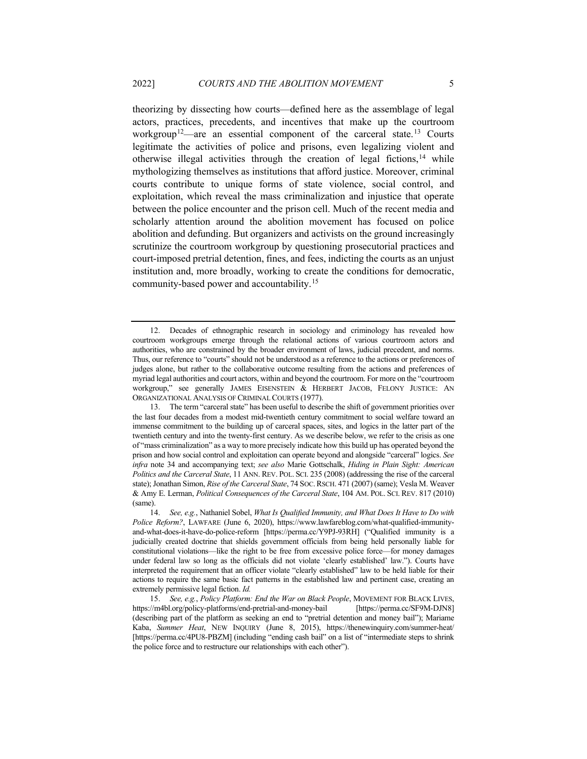<span id="page-4-4"></span>theorizing by dissecting how courts—defined here as the assemblage of legal actors, practices, precedents, and incentives that make up the courtroom workgroup<sup>12</sup>—are an essential component of the carceral state.<sup>[13](#page-4-1)</sup> Courts legitimate the activities of police and prisons, even legalizing violent and otherwise illegal activities through the creation of legal fictions,  $14$  while mythologizing themselves as institutions that afford justice. Moreover, criminal courts contribute to unique forms of state violence, social control, and exploitation, which reveal the mass criminalization and injustice that operate between the police encounter and the prison cell. Much of the recent media and scholarly attention around the abolition movement has focused on police abolition and defunding. But organizers and activists on the ground increasingly scrutinize the courtroom workgroup by questioning prosecutorial practices and court-imposed pretrial detention, fines, and fees, indicting the courts as an unjust institution and, more broadly, working to create the conditions for democratic, community-based power and accountability.[15](#page-4-3)

<span id="page-4-0"></span><sup>12.</sup> Decades of ethnographic research in sociology and criminology has revealed how courtroom workgroups emerge through the relational actions of various courtroom actors and authorities, who are constrained by the broader environment of laws, judicial precedent, and norms. Thus, our reference to "courts" should not be understood as a reference to the actions or preferences of judges alone, but rather to the collaborative outcome resulting from the actions and preferences of myriad legal authorities and court actors, within and beyond the courtroom. For more on the "courtroom workgroup," see generally JAMES EISENSTEIN & HERBERT JACOB, FELONY JUSTICE: AN ORGANIZATIONAL ANALYSIS OF CRIMINAL COURTS (1977).

<span id="page-4-1"></span><sup>13.</sup> The term "carceral state" has been useful to describe the shift of government priorities over the last four decades from a modest mid-twentieth century commitment to social welfare toward an immense commitment to the building up of carceral spaces, sites, and logics in the latter part of the twentieth century and into the twenty-first century. As we describe below, we refer to the crisis as one of "mass criminalization" as a way to more precisely indicate how this build up has operated beyond the prison and how social control and exploitation can operate beyond and alongside "carceral" logics. *See infra* note 34 and accompanying text; *see also* Marie Gottschalk, *Hiding in Plain Sight: American Politics and the Carceral State*, 11 ANN. REV. POL. SCI. 235 (2008) (addressing the rise of the carceral state); Jonathan Simon, *Rise of the Carceral State*, 74 SOC.RSCH. 471 (2007) (same); Vesla M. Weaver & Amy E. Lerman, *Political Consequences of the Carceral State*, 104 AM. POL. SCI. REV. 817 (2010) (same).

<span id="page-4-2"></span><sup>14.</sup> *See, e.g.*, Nathaniel Sobel, *What Is Qualified Immunity, and What Does It Have to Do with Police Reform?*, LAWFARE (June 6, 2020), https://www.lawfareblog.com/what-qualified-immunityand-what-does-it-have-do-police-reform [https://perma.cc/Y9PJ-93RH] ("Qualified immunity is a judicially created doctrine that shields government officials from being held personally liable for constitutional violations—like the right to be free from excessive police force—for money damages under federal law so long as the officials did not violate 'clearly established' law."). Courts have interpreted the requirement that an officer violate "clearly established" law to be held liable for their actions to require the same basic fact patterns in the established law and pertinent case, creating an extremely permissive legal fiction. *Id.*

<span id="page-4-3"></span><sup>15.</sup> *See, e.g.*, *Policy Platform: End the War on Black People*, MOVEMENT FOR BLACK LIVES, https://m4bl.org/policy-platforms/end-pretrial-and-money-bail [https://perma.cc/SF9M-DJN8] (describing part of the platform as seeking an end to "pretrial detention and money bail"); Mariame Kaba, *Summer Heat*, NEW INQUIRY (June 8, 2015), https://thenewinquiry.com/summer-heat/ [https://perma.cc/4PU8-PBZM] (including "ending cash bail" on a list of "intermediate steps to shrink the police force and to restructure our relationships with each other").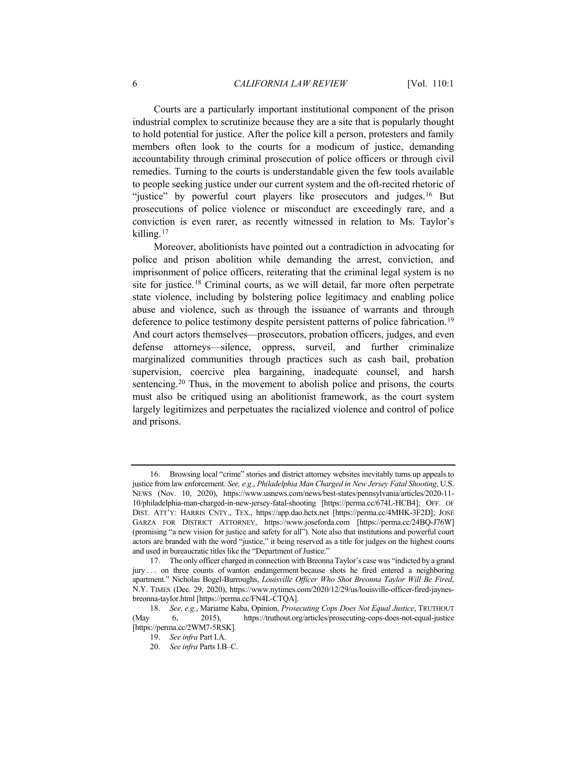Courts are a particularly important institutional component of the prison industrial complex to scrutinize because they are a site that is popularly thought to hold potential for justice. After the police kill a person, protesters and family members often look to the courts for a modicum of justice, demanding accountability through criminal prosecution of police officers or through civil remedies. Turning to the courts is understandable given the few tools available to people seeking justice under our current system and the oft-recited rhetoric of "justice" by powerful court players like prosecutors and judges.<sup>[16](#page-5-0)</sup> But prosecutions of police violence or misconduct are exceedingly rare, and a conviction is even rarer, as recently witnessed in relation to Ms. Taylor's killing.[17](#page-5-1)

Moreover, abolitionists have pointed out a contradiction in advocating for police and prison abolition while demanding the arrest, conviction, and imprisonment of police officers, reiterating that the criminal legal system is no site for justice.[18](#page-5-2) Criminal courts, as we will detail, far more often perpetrate state violence, including by bolstering police legitimacy and enabling police abuse and violence, such as through the issuance of warrants and through deference to police testimony despite persistent patterns of police fabrication.<sup>[19](#page-5-3)</sup> And court actors themselves—prosecutors, probation officers, judges, and even defense attorneys—silence, oppress, surveil, and further criminalize marginalized communities through practices such as cash bail, probation supervision, coercive plea bargaining, inadequate counsel, and harsh sentencing.<sup>[20](#page-5-4)</sup> Thus, in the movement to abolish police and prisons, the courts must also be critiqued using an abolitionist framework, as the court system largely legitimizes and perpetuates the racialized violence and control of police and prisons.

<span id="page-5-0"></span><sup>16.</sup> Browsing local "crime" stories and district attorney websites inevitably turns up appeals to justice from law enforcement. *See, e.g.*, *Philadelphia Man Charged in New Jersey Fatal Shooting*, U.S. NEWS (Nov. 10, 2020), https://www.usnews.com/news/best-states/pennsylvania/articles/2020-11- 10/philadelphia-man-charged-in-new-jersey-fatal-shooting [https://perma.cc/674L-HCB4]; OFF. OF DIST. ATT'Y: HARRIS CNTY., TEX., https://app.dao.hctx.net [https://perma.cc/4MHK-3F2D]; JOSÉ GARZA FOR DISTRICT ATTORNEY, https://www.joseforda.com [https://perma.cc/24BQ-J76W] (promising "a new vision for justice and safety for all"). Note also that institutions and powerful court actors are branded with the word "justice," it being reserved as a title for judges on the highest courts and used in bureaucratic titles like the "Department of Justice."

<span id="page-5-1"></span><sup>17.</sup> The only officer charged in connection with Breonna Taylor's case was "indicted by a grand jury ... on three counts of wanton endangerment because shots he fired entered a neighboring apartment." Nicholas Bogel-Burroughs, *Louisville Officer Who Shot Breonna Taylor Will Be Fired*, N.Y. TIMES (Dec. 29, 2020), https://www.nytimes.com/2020/12/29/us/louisville-officer-fired-jaynesbreonna-taylor.html [https://perma.cc/FN4L-CTQA].

<span id="page-5-4"></span><span id="page-5-3"></span><span id="page-5-2"></span><sup>18.</sup> *See, e.g.*, Mariame Kaba, Opinion, *Prosecuting Cops Does Not Equal Justice*, TRUTHOUT (May 6, 2015), https://truthout.org/articles/prosecuting-cops-does-not-equal-justice [https://perma.cc/2WM7-5RSK].

<sup>19.</sup> *See infra* Part I.A.

<sup>20.</sup> *See infra* Parts I.B–C.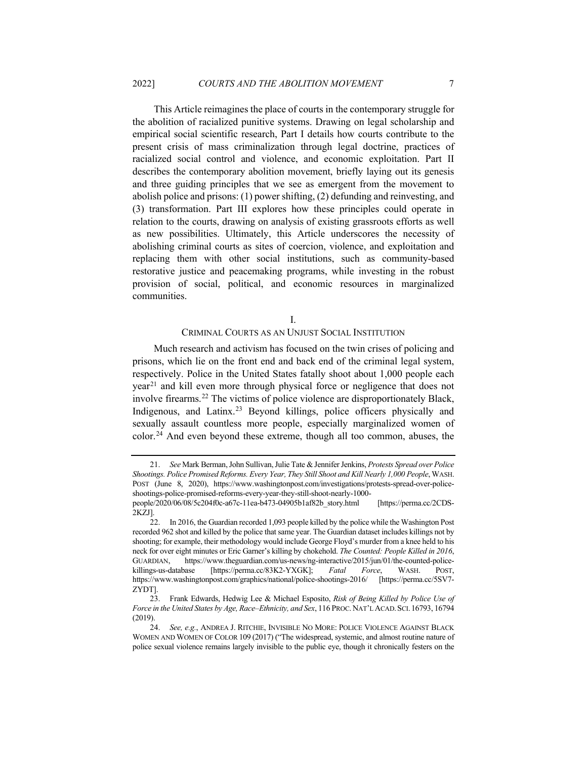This Article reimagines the place of courts in the contemporary struggle for the abolition of racialized punitive systems. Drawing on legal scholarship and empirical social scientific research, Part I details how courts contribute to the present crisis of mass criminalization through legal doctrine, practices of racialized social control and violence, and economic exploitation. Part II describes the contemporary abolition movement, briefly laying out its genesis and three guiding principles that we see as emergent from the movement to abolish police and prisons: (1) power shifting, (2) defunding and reinvesting, and (3) transformation. Part III explores how these principles could operate in relation to the courts, drawing on analysis of existing grassroots efforts as well as new possibilities. Ultimately, this Article underscores the necessity of abolishing criminal courts as sites of coercion, violence, and exploitation and replacing them with other social institutions, such as community-based restorative justice and peacemaking programs, while investing in the robust provision of social, political, and economic resources in marginalized communities.

# CRIMINAL COURTS AS AN UNJUST SOCIAL INSTITUTION

Much research and activism has focused on the twin crises of policing and prisons, which lie on the front end and back end of the criminal legal system, respectively. Police in the United States fatally shoot about 1,000 people each year[21](#page-6-0) and kill even more through physical force or negligence that does not involve firearms.<sup>[22](#page-6-1)</sup> The victims of police violence are disproportionately Black, Indigenous, and Latinx.[23](#page-6-2) Beyond killings, police officers physically and sexually assault countless more people, especially marginalized women of color.[24](#page-6-3) And even beyond these extreme, though all too common, abuses, the

<span id="page-6-0"></span><sup>21.</sup> *See* Mark Berman, John Sullivan, Julie Tate & Jennifer Jenkins, *Protests Spread over Police Shootings. Police Promised Reforms. Every Year, They Still Shoot and Kill Nearly 1,000 People*, WASH. POST (June 8, 2020), https://www.washingtonpost.com/investigations/protests-spread-over-policeshootings-police-promised-reforms-every-year-they-still-shoot-nearly-1000 people/2020/06/08/5c204f0c-a67c-11ea-b473-04905b1af82b\_story.html [https://perma.cc/2CDS-

<sup>2</sup>KZJ].

<span id="page-6-1"></span><sup>22.</sup> In 2016, the Guardian recorded 1,093 people killed by the police while the Washington Post recorded 962 shot and killed by the police that same year. The Guardian dataset includes killings not by shooting; for example, their methodology would include George Floyd's murder from a knee held to his neck for over eight minutes or Eric Garner's killing by chokehold. *The Counted: People Killed in 2016*, GUARDIAN, https://www.theguardian.com/us-news/ng-interactive/2015/jun/01/the-counted-policekillings-us-database [https://perma.cc/83K2-YXGK]; *Fatal Force*, WASH. POST, https://www.washingtonpost.com/graphics/national/police-shootings-2016/ [https://perma.cc/5SV7- ZYDT].

<span id="page-6-2"></span><sup>23.</sup> Frank Edwards, Hedwig Lee & Michael Esposito, *Risk of Being Killed by Police Use of Force in the United States by Age, Race–Ethnicity, and Sex*, 116 PROC.NAT'L ACAD.SCI. 16793, 16794 (2019).

<span id="page-6-3"></span><sup>24.</sup> *See, e.g.*, ANDREA J. RITCHIE, INVISIBLE NO MORE: POLICE VIOLENCE AGAINST BLACK WOMEN AND WOMEN OF COLOR 109 (2017) ("The widespread, systemic, and almost routine nature of police sexual violence remains largely invisible to the public eye, though it chronically festers on the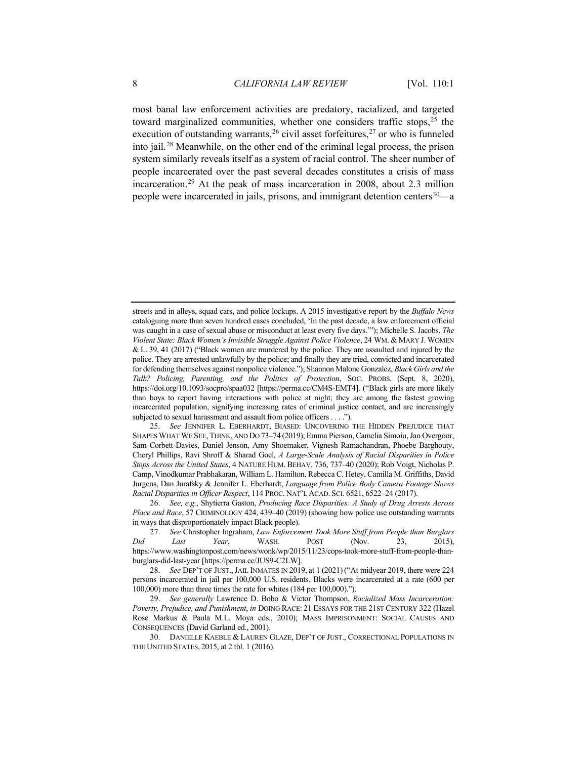<span id="page-7-6"></span>most banal law enforcement activities are predatory, racialized, and targeted toward marginalized communities, whether one considers traffic stops,  $25$  the execution of outstanding warrants,  $^{26}$  $^{26}$  $^{26}$  civil asset forfeitures,  $^{27}$  $^{27}$  $^{27}$  or who is funneled into jail.[28](#page-7-3) Meanwhile, on the other end of the criminal legal process, the prison system similarly reveals itself as a system of racial control. The sheer number of people incarcerated over the past several decades constitutes a crisis of mass incarceration.[29](#page-7-4) At the peak of mass incarceration in 2008, about 2.3 million people were incarcerated in jails, prisons, and immigrant detention centers  $30$ —a

streets and in alleys, squad cars, and police lockups. A 2015 investigative report by the *Buffalo News* cataloguing more than seven hundred cases concluded, 'In the past decade, a law enforcement official was caught in a case of sexual abuse or misconduct at least every five days.'"); Michelle S. Jacobs, *The Violent State: Black Women's Invisible Struggle Against Police Violence*, 24 WM. & MARY J. WOMEN & L. 39, 41 (2017) ("Black women are murdered by the police. They are assaulted and injured by the police. They are arrested unlawfully by the police; and finally they are tried, convicted and incarcerated for defending themselves against nonpolice violence."); Shannon Malone Gonzalez, *Black Girls and the Talk? Policing, Parenting, and the Politics of Protection*, SOC. PROBS. (Sept. 8, 2020), https://doi.org/10.1093/socpro/spaa032 [https://perma.cc/CM4S-EMT4]. ("Black girls are more likely than boys to report having interactions with police at night; they are among the fastest growing incarcerated population, signifying increasing rates of criminal justice contact, and are increasingly subjected to sexual harassment and assault from police officers . . . .").

<span id="page-7-0"></span><sup>25.</sup> *See* JENNIFER L. EBERHARDT, BIASED: UNCOVERING THE HIDDEN PREJUDICE THAT SHAPES WHAT WE SEE, THINK, AND DO 73–74 (2019); Emma Pierson, Camelia Simoiu, Jan Overgoor, Sam Corbett-Davies, Daniel Jenson, Amy Shoemaker, Vignesh Ramachandran, Phoebe Barghouty, Cheryl Phillips, Ravi Shroff & Sharad Goel, *A Large-Scale Analysis of Racial Disparities in Police Stops Across the United States*, 4 NATURE HUM. BEHAV. 736, 737–40 (2020); Rob Voigt, Nicholas P. Camp, Vinodkumar Prabhakaran, William L. Hamilton, Rebecca C. Hetey, Camilla M. Griffiths, David Jurgens, Dan Jurafsky & Jennifer L. Eberhardt, *Language from Police Body Camera Footage Shows Racial Disparities in Officer Respect*, 114 PROC. NAT'L ACAD. SCI. 6521, 6522–24 (2017).

<span id="page-7-1"></span><sup>26.</sup> *See, e.g.*, Shytierra Gaston, *Producing Race Disparities: A Study of Drug Arrests Across Place and Race*, 57 CRIMINOLOGY 424, 439–40 (2019) (showing how police use outstanding warrants in ways that disproportionately impact Black people).

<span id="page-7-2"></span><sup>27.</sup> *See* Christopher Ingraham, *Law Enforcement Took More Stuff from People than Burglars Did Last Year*, WASH. POST (Nov. 23, 2015), https://www.washingtonpost.com/news/wonk/wp/2015/11/23/cops-took-more-stuff-from-people-thanburglars-did-last-year [https://perma.cc/JUS9-C2LW].

<span id="page-7-3"></span><sup>28.</sup> *See* DEP'T OF JUST.,JAIL INMATES IN 2019, at 1 (2021) ("At midyear 2019, there were 224 persons incarcerated in jail per 100,000 U.S. residents. Blacks were incarcerated at a rate (600 per 100,000) more than three times the rate for whites (184 per 100,000).").

<span id="page-7-4"></span><sup>29.</sup> *See generally* Lawrence D. Bobo & Victor Thompson, *Racialized Mass Incarceration: Poverty, Prejudice, and Punishment*, *in* DOING RACE: 21 ESSAYS FOR THE 21ST CENTURY 322 (Hazel Rose Markus & Paula M.L. Moya eds., 2010); MASS IMPRISONMENT: SOCIAL CAUSES AND CONSEQUENCES (David Garland ed., 2001).

<span id="page-7-5"></span><sup>30.</sup> DANIELLE KAEBLE & LAUREN GLAZE, DEP'T OF JUST., CORRECTIONAL POPULATIONS IN THE UNITED STATES, 2015, at 2 tbl. 1 (2016).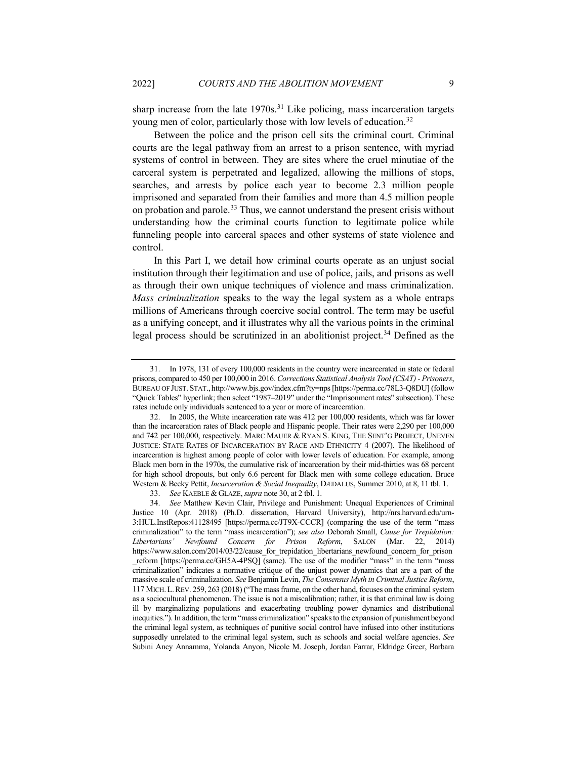sharp increase from the late 1970s.<sup>[31](#page-8-0)</sup> Like policing, mass incarceration targets young men of color, particularly those with low levels of education.<sup>[32](#page-8-1)</sup>

Between the police and the prison cell sits the criminal court. Criminal courts are the legal pathway from an arrest to a prison sentence, with myriad systems of control in between. They are sites where the cruel minutiae of the carceral system is perpetrated and legalized, allowing the millions of stops, searches, and arrests by police each year to become 2.3 million people imprisoned and separated from their families and more than 4.5 million people on probation and parole.<sup>[33](#page-8-2)</sup> Thus, we cannot understand the present crisis without understanding how the criminal courts function to legitimate police while funneling people into carceral spaces and other systems of state violence and control.

In this Part I, we detail how criminal courts operate as an unjust social institution through their legitimation and use of police, jails, and prisons as well as through their own unique techniques of violence and mass criminalization. *Mass criminalization* speaks to the way the legal system as a whole entraps millions of Americans through coercive social control. The term may be useful as a unifying concept, and it illustrates why all the various points in the criminal legal process should be scrutinized in an abolitionist project.<sup>[34](#page-8-3)</sup> Defined as the

<span id="page-8-4"></span><span id="page-8-0"></span><sup>31.</sup> In 1978, 131 of every 100,000 residents in the country were incarcerated in state or federal prisons, compared to 450 per 100,000 in 2016. *Corrections Statistical Analysis Tool (CSAT) - Prisoners*, BUREAU OF JUST. STAT., http://www.bjs.gov/index.cfm?ty=nps [https://perma.cc/78L3-Q8DU] (follow "Quick Tables" hyperlink; then select "1987–2019" under the "Imprisonment rates" subsection). These rates include only individuals sentenced to a year or more of incarceration.

<span id="page-8-1"></span><sup>32.</sup> In 2005, the White incarceration rate was 412 per 100,000 residents, which was far lower than the incarceration rates of Black people and Hispanic people. Their rates were 2,290 per 100,000 and 742 per 100,000, respectively. MARC MAUER & RYAN S. KING, THE SENT'G PROJECT, UNEVEN JUSTICE: STATE RATES OF INCARCERATION BY RACE AND ETHNICITY 4 (2007). The likelihood of incarceration is highest among people of color with lower levels of education. For example, among Black men born in the 1970s, the cumulative risk of incarceration by their mid-thirties was 68 percent for high school dropouts, but only 6.6 percent for Black men with some college education. Bruce Western & Becky Pettit, *Incarceration & Social Inequality*, DÆDALUS, Summer 2010, at 8, 11 tbl. 1.

<sup>33.</sup> *See* KAEBLE & GLAZE,*supra* not[e 30,](#page-7-6) at 2 tbl. 1.

<span id="page-8-3"></span><span id="page-8-2"></span><sup>34.</sup> *See* Matthew Kevin Clair, Privilege and Punishment: Unequal Experiences of Criminal Justice 10 (Apr. 2018) (Ph.D. dissertation, Harvard University), http://nrs.harvard.edu/urn-3:HUL.InstRepos:41128495 [https://perma.cc/JT9X-CCCR] (comparing the use of the term "mass criminalization" to the term "mass incarceration"); *see also* Deborah Small, *Cause for Trepidation: Libertarians' Newfound Concern for Prison Reform*, SALON (Mar. 22, 2014) https://www.salon.com/2014/03/22/cause for trepidation libertarians newfound concern for prison \_reform [https://perma.cc/GH5A-4PSQ] (same). The use of the modifier "mass" in the term "mass criminalization" indicates a normative critique of the unjust power dynamics that are a part of the massive scale of criminalization. *See* Benjamin Levin, *The Consensus Myth in Criminal Justice Reform*, 117 MICH.L.REV. 259, 263 (2018) ("The mass frame, on the other hand, focuses on the criminal system as a sociocultural phenomenon. The issue is not a miscalibration; rather, it is that criminal law is doing ill by marginalizing populations and exacerbating troubling power dynamics and distributional inequities."). In addition, the term "mass criminalization" speaks to the expansion of punishment beyond the criminal legal system, as techniques of punitive social control have infused into other institutions supposedly unrelated to the criminal legal system, such as schools and social welfare agencies. *See* Subini Ancy Annamma, Yolanda Anyon, Nicole M. Joseph, Jordan Farrar, Eldridge Greer, Barbara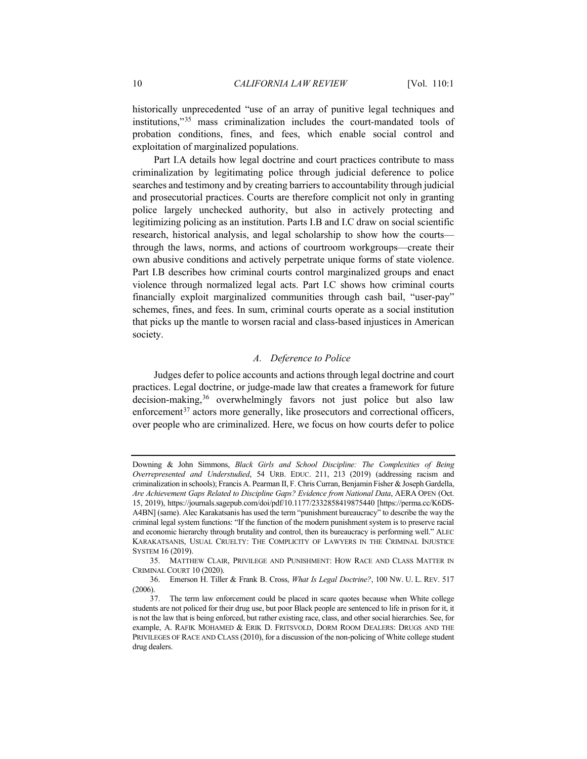<span id="page-9-3"></span>historically unprecedented "use of an array of punitive legal techniques and institutions,"[35](#page-9-0) mass criminalization includes the court-mandated tools of probation conditions, fines, and fees, which enable social control and exploitation of marginalized populations.

Part I.A details how legal doctrine and court practices contribute to mass criminalization by legitimating police through judicial deference to police searches and testimony and by creating barriers to accountability through judicial and prosecutorial practices. Courts are therefore complicit not only in granting police largely unchecked authority, but also in actively protecting and legitimizing policing as an institution. Parts I.B and I.C draw on social scientific research, historical analysis, and legal scholarship to show how the courts through the laws, norms, and actions of courtroom workgroups—create their own abusive conditions and actively perpetrate unique forms of state violence. Part I.B describes how criminal courts control marginalized groups and enact violence through normalized legal acts. Part I.C shows how criminal courts financially exploit marginalized communities through cash bail, "user-pay" schemes, fines, and fees. In sum, criminal courts operate as a social institution that picks up the mantle to worsen racial and class-based injustices in American society.

# *A. Deference to Police*

Judges defer to police accounts and actions through legal doctrine and court practices. Legal doctrine, or judge-made law that creates a framework for future decision-making,<sup>[36](#page-9-1)</sup> overwhelmingly favors not just police but also law enforcement $37$  actors more generally, like prosecutors and correctional officers, over people who are criminalized. Here, we focus on how courts defer to police

Downing & John Simmons, *Black Girls and School Discipline: The Complexities of Being Overrepresented and Understudied*, 54 URB. EDUC. 211, 213 (2019) (addressing racism and criminalization in schools); Francis A. Pearman II, F. Chris Curran, Benjamin Fisher & Joseph Gardella, *Are Achievement Gaps Related to Discipline Gaps? Evidence from National Data*, AERA OPEN (Oct. 15, 2019), https://journals.sagepub.com/doi/pdf/10.1177/2332858419875440 [https://perma.cc/K6DS-A4BN] (same). Alec Karakatsanis has used the term "punishment bureaucracy" to describe the way the criminal legal system functions: "If the function of the modern punishment system is to preserve racial and economic hierarchy through brutality and control, then its bureaucracy is performing well." ALEC KARAKATSANIS, USUAL CRUELTY: THE COMPLICITY OF LAWYERS IN THE CRIMINAL INJUSTICE SYSTEM 16 (2019).

<span id="page-9-0"></span><sup>35.</sup> MATTHEW CLAIR, PRIVILEGE AND PUNISHMENT: HOW RACE AND CLASS MATTER IN CRIMINAL COURT 10 (2020).

<span id="page-9-1"></span><sup>36.</sup> Emerson H. Tiller & Frank B. Cross, *What Is Legal Doctrine?*, 100 NW. U. L. REV. 517 (2006).

<span id="page-9-2"></span><sup>37.</sup> The term law enforcement could be placed in scare quotes because when White college students are not policed for their drug use, but poor Black people are sentenced to life in prison for it, it is not the law that is being enforced, but rather existing race, class, and other social hierarchies. See, for example, A. RAFIK MOHAMED & ERIK D. FRITSVOLD, DORM ROOM DEALERS: DRUGS AND THE PRIVILEGES OF RACE AND CLASS (2010), for a discussion of the non-policing of White college student drug dealers.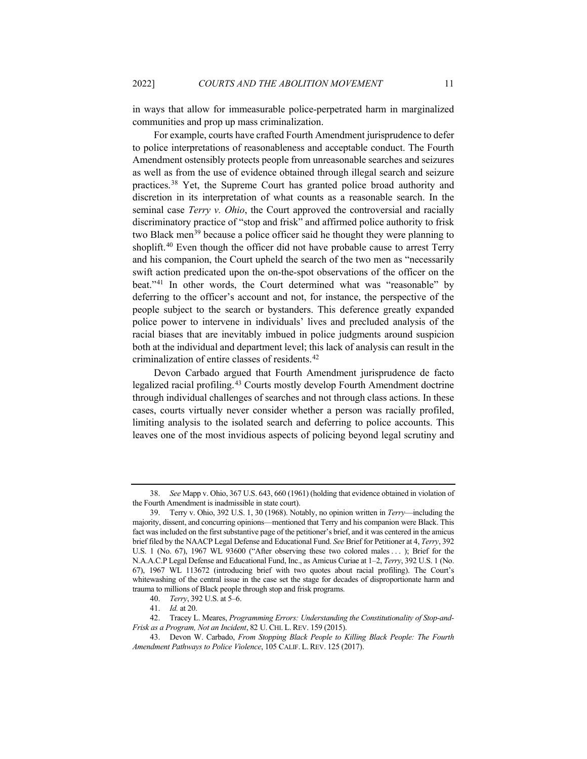in ways that allow for immeasurable police-perpetrated harm in marginalized communities and prop up mass criminalization.

For example, courts have crafted Fourth Amendment jurisprudence to defer to police interpretations of reasonableness and acceptable conduct. The Fourth Amendment ostensibly protects people from unreasonable searches and seizures as well as from the use of evidence obtained through illegal search and seizure practices.[38](#page-10-0) Yet, the Supreme Court has granted police broad authority and discretion in its interpretation of what counts as a reasonable search. In the seminal case *Terry v. Ohio*, the Court approved the controversial and racially discriminatory practice of "stop and frisk" and affirmed police authority to frisk two Black men<sup>[39](#page-10-1)</sup> because a police officer said he thought they were planning to shoplift.<sup>[40](#page-10-2)</sup> Even though the officer did not have probable cause to arrest Terry and his companion, the Court upheld the search of the two men as "necessarily swift action predicated upon the on-the-spot observations of the officer on the beat."[41](#page-10-3) In other words, the Court determined what was "reasonable" by deferring to the officer's account and not, for instance, the perspective of the people subject to the search or bystanders. This deference greatly expanded police power to intervene in individuals' lives and precluded analysis of the racial biases that are inevitably imbued in police judgments around suspicion both at the individual and department level; this lack of analysis can result in the criminalization of entire classes of residents.[42](#page-10-4)

<span id="page-10-6"></span>Devon Carbado argued that Fourth Amendment jurisprudence de facto legalized racial profiling.[43](#page-10-5) Courts mostly develop Fourth Amendment doctrine through individual challenges of searches and not through class actions. In these cases, courts virtually never consider whether a person was racially profiled, limiting analysis to the isolated search and deferring to police accounts. This leaves one of the most invidious aspects of policing beyond legal scrutiny and

<span id="page-10-0"></span><sup>38.</sup> *See* Mapp v. Ohio, 367 U.S. 643, 660 (1961) (holding that evidence obtained in violation of the Fourth Amendment is inadmissible in state court).

<span id="page-10-1"></span><sup>39.</sup> Terry v. Ohio, 392 U.S. 1, 30 (1968). Notably, no opinion written in *Terry*—including the majority, dissent, and concurring opinions—mentioned that Terry and his companion were Black. This fact was included on the first substantive page of the petitioner's brief, and it was centered in the amicus brief filed by the NAACP Legal Defense and Educational Fund. *See* Brief for Petitioner at 4, *Terry*, 392 U.S. 1 (No. 67), 1967 WL 93600 ("After observing these two colored males ...); Brief for the N.A.A.C.P Legal Defense and Educational Fund, Inc., as Amicus Curiae at 1–2, *Terry*, 392 U.S. 1 (No. 67), 1967 WL 113672 (introducing brief with two quotes about racial profiling). The Court's whitewashing of the central issue in the case set the stage for decades of disproportionate harm and trauma to millions of Black people through stop and frisk programs.

<sup>40.</sup> *Terry*, 392 U.S. at 5–6.

<sup>41.</sup> *Id.* at 20.

<span id="page-10-4"></span><span id="page-10-3"></span><span id="page-10-2"></span><sup>42.</sup> Tracey L. Meares, *Programming Errors: Understanding the Constitutionality of Stop-and-Frisk as a Program, Not an Incident*, 82 U. CHI. L. REV. 159 (2015).

<span id="page-10-5"></span><sup>43.</sup> Devon W. Carbado, *From Stopping Black People to Killing Black People: The Fourth Amendment Pathways to Police Violence*, 105 CALIF. L. REV. 125 (2017).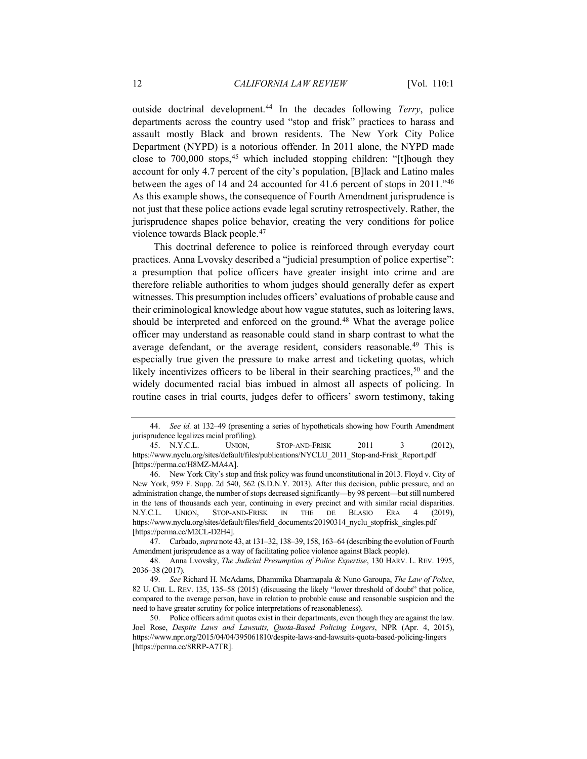outside doctrinal development.[44](#page-11-0) In the decades following *Terry*, police departments across the country used "stop and frisk" practices to harass and assault mostly Black and brown residents. The New York City Police Department (NYPD) is a notorious offender. In 2011 alone, the NYPD made close to  $700,000$  stops,  $45$  which included stopping children: "[t]hough they account for only 4.7 percent of the city's population, [B]lack and Latino males between the ages of 14 and 24 accounted for 41.6 percent of stops in 2011."[46](#page-11-2) As this example shows, the consequence of Fourth Amendment jurisprudence is not just that these police actions evade legal scrutiny retrospectively. Rather, the jurisprudence shapes police behavior, creating the very conditions for police violence towards Black people.[47](#page-11-3)

This doctrinal deference to police is reinforced through everyday court practices. Anna Lvovsky described a "judicial presumption of police expertise": a presumption that police officers have greater insight into crime and are therefore reliable authorities to whom judges should generally defer as expert witnesses. This presumption includes officers' evaluations of probable cause and their criminological knowledge about how vague statutes, such as loitering laws, should be interpreted and enforced on the ground.<sup>[48](#page-11-4)</sup> What the average police officer may understand as reasonable could stand in sharp contrast to what the average defendant, or the average resident, considers reasonable.<sup>[49](#page-11-5)</sup> This is especially true given the pressure to make arrest and ticketing quotas, which likely incentivizes officers to be liberal in their searching practices,  $50$  and the widely documented racial bias imbued in almost all aspects of policing. In routine cases in trial courts, judges defer to officers' sworn testimony, taking

<span id="page-11-0"></span><sup>44.</sup> *See id.* at 132–49 (presenting a series of hypotheticals showing how Fourth Amendment jurisprudence legalizes racial profiling).

<span id="page-11-1"></span><sup>45.</sup> N.Y.C.L. UNION, STOP-AND-FRISK 2011 3 (2012), https://www.nyclu.org/sites/default/files/publications/NYCLU\_2011\_Stop-and-Frisk\_Report.pdf [https://perma.cc/H8MZ-MA4A].

<span id="page-11-2"></span><sup>46.</sup> New York City's stop and frisk policy was found unconstitutional in 2013. Floyd v. City of New York, 959 F. Supp. 2d 540, 562 (S.D.N.Y. 2013). After this decision, public pressure, and an administration change, the number of stops decreased significantly—by 98 percent—but still numbered in the tens of thousands each year, continuing in every precinct and with similar racial disparities. N.Y.C.L. UNION, STOP-AND-FRISK IN THE DE BLASIO ERA 4 (2019), https://www.nyclu.org/sites/default/files/field\_documents/20190314\_nyclu\_stopfrisk\_singles.pdf [https://perma.cc/M2CL-D2H4].

<span id="page-11-3"></span><sup>47.</sup> Carbado, *supra* not[e 43,](#page-10-6) at 131–32, 138–39, 158, 163–64 (describing the evolution of Fourth Amendment jurisprudence as a way of facilitating police violence against Black people).

<span id="page-11-4"></span><sup>48.</sup> Anna Lvovsky, *The Judicial Presumption of Police Expertise*, 130 HARV. L. REV. 1995, 2036–38 (2017).

<span id="page-11-5"></span><sup>49.</sup> *See* Richard H. McAdams, Dhammika Dharmapala & Nuno Garoupa, *The Law of Police*, 82 U. CHI. L. REV. 135, 135–58 (2015) (discussing the likely "lower threshold of doubt" that police, compared to the average person, have in relation to probable cause and reasonable suspicion and the need to have greater scrutiny for police interpretations of reasonableness).

<span id="page-11-6"></span><sup>50.</sup> Police officers admit quotas exist in their departments, even though they are against the law. Joel Rose, *Despite Laws and Lawsuits, Quota-Based Policing Lingers*, NPR (Apr. 4, 2015), https://www.npr.org/2015/04/04/395061810/despite-laws-and-lawsuits-quota-based-policing-lingers [https://perma.cc/8RRP-A7TR].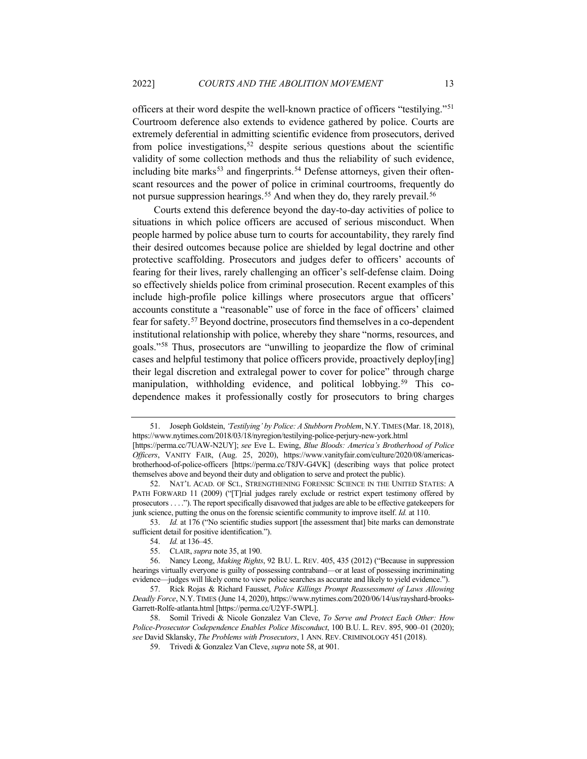<span id="page-12-10"></span>officers at their word despite the well-known practice of officers "testilying."[51](#page-12-1) Courtroom deference also extends to evidence gathered by police. Courts are extremely deferential in admitting scientific evidence from prosecutors, derived from police investigations,  $52$  despite serious questions about the scientific validity of some collection methods and thus the reliability of such evidence, including bite marks<sup>[53](#page-12-3)</sup> and fingerprints.<sup>[54](#page-12-4)</sup> Defense attorneys, given their oftenscant resources and the power of police in criminal courtrooms, frequently do not pursue suppression hearings.<sup>[55](#page-12-5)</sup> And when they do, they rarely prevail.<sup>[56](#page-12-6)</sup>

Courts extend this deference beyond the day-to-day activities of police to situations in which police officers are accused of serious misconduct. When people harmed by police abuse turn to courts for accountability, they rarely find their desired outcomes because police are shielded by legal doctrine and other protective scaffolding. Prosecutors and judges defer to officers' accounts of fearing for their lives, rarely challenging an officer's self-defense claim. Doing so effectively shields police from criminal prosecution. Recent examples of this include high-profile police killings where prosecutors argue that officers' accounts constitute a "reasonable" use of force in the face of officers' claimed fear for safety.[57](#page-12-7) Beyond doctrine, prosecutors find themselves in a co-dependent institutional relationship with police, whereby they share "norms, resources, and goals."[58](#page-12-8) Thus, prosecutors are "unwilling to jeopardize the flow of criminal cases and helpful testimony that police officers provide, proactively deploy[ing] their legal discretion and extralegal power to cover for police" through charge manipulation, withholding evidence, and political lobbying.<sup>[59](#page-12-9)</sup> This codependence makes it professionally costly for prosecutors to bring charges

<span id="page-12-3"></span>53. *Id.* at 176 ("No scientific studies support [the assessment that] bite marks can demonstrate sufficient detail for positive identification.").

<span id="page-12-1"></span><span id="page-12-0"></span><sup>51.</sup> Joseph Goldstein, *'Testilying' by Police: A Stubborn Problem*, N.Y.TIMES (Mar. 18, 2018), https://www.nytimes.com/2018/03/18/nyregion/testilying-police-perjury-new-york.html

<sup>[</sup>https://perma.cc/7UAW-N2UY]; *see* Eve L. Ewing, *Blue Bloods: America's Brotherhood of Police Officers*, VANITY FAIR, (Aug. 25, 2020), https://www.vanityfair.com/culture/2020/08/americasbrotherhood-of-police-officers [https://perma.cc/T8JV-G4VK] (describing ways that police protect themselves above and beyond their duty and obligation to serve and protect the public).

<span id="page-12-2"></span><sup>52.</sup> NAT'L ACAD. OF SCI., STRENGTHENING FORENSIC SCIENCE IN THE UNITED STATES: A PATH FORWARD 11 (2009) ("[T]rial judges rarely exclude or restrict expert testimony offered by prosecutors . . . ."). The report specifically disavowed that judges are able to be effective gatekeepers for junk science, putting the onus on the forensic scientific community to improve itself. *Id.* at 110.

<sup>54.</sup> *Id.* at 136–45.

<sup>55.</sup> CLAIR, *supra* not[e 35,](#page-9-3) at 190.

<span id="page-12-6"></span><span id="page-12-5"></span><span id="page-12-4"></span><sup>56.</sup> Nancy Leong, *Making Rights*, 92 B.U. L. REV. 405, 435 (2012) ("Because in suppression hearings virtually everyone is guilty of possessing contraband—or at least of possessing incriminating evidence—judges will likely come to view police searches as accurate and likely to yield evidence.").

<span id="page-12-7"></span><sup>57.</sup> Rick Rojas & Richard Fausset, *Police Killings Prompt Reassessment of Laws Allowing Deadly Force*, N.Y. TIMES (June 14, 2020), https://www.nytimes.com/2020/06/14/us/rayshard-brooks-Garrett-Rolfe-atlanta.html [https://perma.cc/U2YF-5WPL].

<span id="page-12-9"></span><span id="page-12-8"></span><sup>58.</sup> Somil Trivedi & Nicole Gonzalez Van Cleve, *To Serve and Protect Each Other: How Police-Prosecutor Codependence Enables Police Misconduct*, 100 B.U. L. REV. 895, 900–01 (2020); *see* David Sklansky, *The Problems with Prosecutors*, 1 ANN. REV. CRIMINOLOGY 451 (2018).

<sup>59.</sup> Trivedi & Gonzalez Van Cleve, *supra* not[e 58,](#page-12-0) at 901.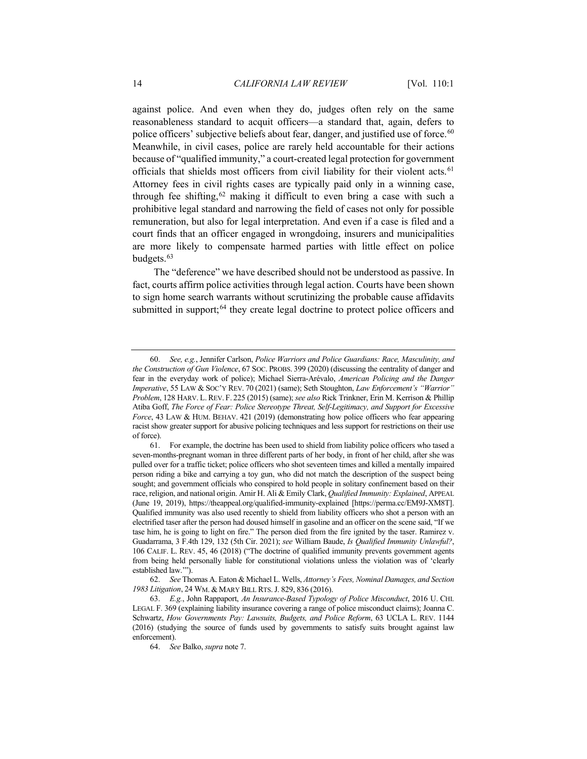<span id="page-13-5"></span>against police. And even when they do, judges often rely on the same reasonableness standard to acquit officers—a standard that, again, defers to police officers' subjective beliefs about fear, danger, and justified use of force.<sup>[60](#page-13-0)</sup> Meanwhile, in civil cases, police are rarely held accountable for their actions because of "qualified immunity," a court-created legal protection for government officials that shields most officers from civil liability for their violent acts.[61](#page-13-1) Attorney fees in civil rights cases are typically paid only in a winning case, through fee shifting,  $62$  making it difficult to even bring a case with such a prohibitive legal standard and narrowing the field of cases not only for possible remuneration, but also for legal interpretation. And even if a case is filed and a court finds that an officer engaged in wrongdoing, insurers and municipalities are more likely to compensate harmed parties with little effect on police budgets.<sup>[63](#page-13-3)</sup>

The "deference" we have described should not be understood as passive. In fact, courts affirm police activities through legal action. Courts have been shown to sign home search warrants without scrutinizing the probable cause affidavits submitted in support;<sup>[64](#page-13-4)</sup> they create legal doctrine to protect police officers and

<span id="page-13-0"></span><sup>60.</sup> *See, e.g.*, Jennifer Carlson, *Police Warriors and Police Guardians: Race, Masculinity, and the Construction of Gun Violence*, 67 SOC. PROBS. 399 (2020) (discussing the centrality of danger and fear in the everyday work of police); Michael Sierra-Arévalo, *American Policing and the Danger Imperative*, 55 LAW & SOC'Y REV. 70 (2021) (same); Seth Stoughton, *Law Enforcement's "Warrior" Problem*, 128 HARV. L. REV. F. 225 (2015) (same); *see also* Rick Trinkner, Erin M. Kerrison & Phillip Atiba Goff, *The Force of Fear: Police Stereotype Threat, Self-Legitimacy, and Support for Excessive Force*, 43 LAW & HUM. BEHAV. 421 (2019) (demonstrating how police officers who fear appearing racist show greater support for abusive policing techniques and less support for restrictions on their use of force).

<span id="page-13-1"></span><sup>61.</sup> For example, the doctrine has been used to shield from liability police officers who tased a seven-months-pregnant woman in three different parts of her body, in front of her child, after she was pulled over for a traffic ticket; police officers who shot seventeen times and killed a mentally impaired person riding a bike and carrying a toy gun, who did not match the description of the suspect being sought; and government officials who conspired to hold people in solitary confinement based on their race, religion, and national origin. Amir H. Ali & Emily Clark, *Qualified Immunity: Explained*, APPEAL (June 19, 2019), https://theappeal.org/qualified-immunity-explained [https://perma.cc/EM9J-XM8T]. Qualified immunity was also used recently to shield from liability officers who shot a person with an electrified taser after the person had doused himself in gasoline and an officer on the scene said, "If we tase him, he is going to light on fire." The person died from the fire ignited by the taser. Ramirez v. Guadarrama, 3 F.4th 129, 132 (5th Cir. 2021); *see* William Baude, *Is Qualified Immunity Unlawful?*, 106 CALIF. L. REV. 45, 46 (2018) ("The doctrine of qualified immunity prevents government agents from being held personally liable for constitutional violations unless the violation was of 'clearly established law.'").

<span id="page-13-2"></span><sup>62.</sup> *See* Thomas A. Eaton & Michael L. Wells, *Attorney's Fees, Nominal Damages, and Section 1983 Litigation*, 24 WM. & MARY BILL RTS.J. 829, 836 (2016).

<span id="page-13-4"></span><span id="page-13-3"></span><sup>63.</sup> *E.g.*, John Rappaport, *An Insurance-Based Typology of Police Misconduct*, 2016 U. CHI. LEGAL F. 369 (explaining liability insurance covering a range of police misconduct claims); Joanna C. Schwartz, *How Governments Pay: Lawsuits, Budgets, and Police Reform*, 63 UCLA L. REV. 1144 (2016) (studying the source of funds used by governments to satisfy suits brought against law enforcement).

<sup>64.</sup> *See* Balko, *supra* not[e 7.](#page-3-5)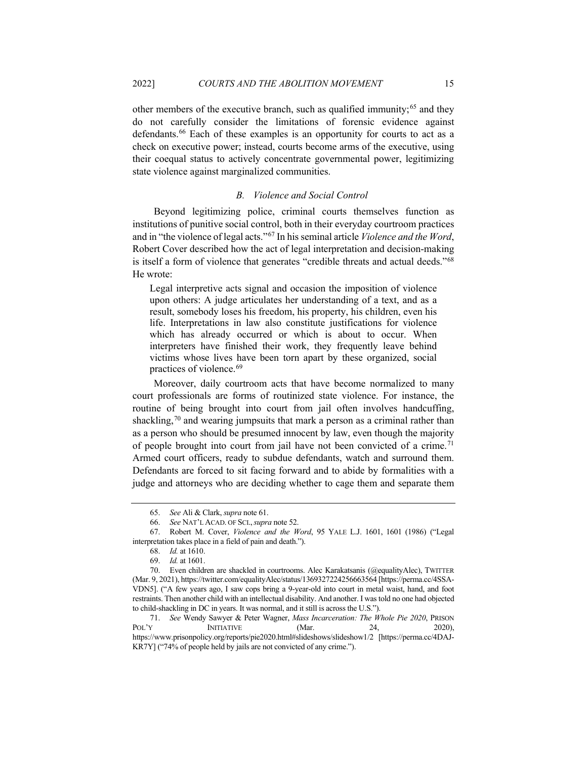other members of the executive branch, such as qualified immunity;<sup>[65](#page-14-0)</sup> and they do not carefully consider the limitations of forensic evidence against defendants.[66](#page-14-1) Each of these examples is an opportunity for courts to act as a check on executive power; instead, courts become arms of the executive, using their coequal status to actively concentrate governmental power, legitimizing state violence against marginalized communities.

## *B. Violence and Social Control*

Beyond legitimizing police, criminal courts themselves function as institutions of punitive social control, both in their everyday courtroom practices and in "the violence of legal acts."[67](#page-14-2) In his seminal article *Violence and the Word*, Robert Cover described how the act of legal interpretation and decision-making is itself a form of violence that generates "credible threats and actual deeds."[68](#page-14-3) He wrote:

Legal interpretive acts signal and occasion the imposition of violence upon others: A judge articulates her understanding of a text, and as a result, somebody loses his freedom, his property, his children, even his life. Interpretations in law also constitute justifications for violence which has already occurred or which is about to occur. When interpreters have finished their work, they frequently leave behind victims whose lives have been torn apart by these organized, social practices of violence.[69](#page-14-4)

Moreover, daily courtroom acts that have become normalized to many court professionals are forms of routinized state violence. For instance, the routine of being brought into court from jail often involves handcuffing, shackling,<sup>[70](#page-14-5)</sup> and wearing jumpsuits that mark a person as a criminal rather than as a person who should be presumed innocent by law, even though the majority of people brought into court from jail have not been convicted of a crime.<sup>[71](#page-14-6)</sup> Armed court officers, ready to subdue defendants, watch and surround them. Defendants are forced to sit facing forward and to abide by formalities with a judge and attorneys who are deciding whether to cage them and separate them

<sup>65.</sup> *See* Ali & Clark, *supra* not[e 61.](#page-13-5)

<sup>66.</sup> *See* NAT'L ACAD. OF SCI.,*supra* not[e 52.](#page-12-10)

<span id="page-14-3"></span><span id="page-14-2"></span><span id="page-14-1"></span><span id="page-14-0"></span><sup>67.</sup> Robert M. Cover, *Violence and the Word*, 95 YALE L.J. 1601, 1601 (1986) ("Legal interpretation takes place in a field of pain and death.").

<sup>68.</sup> *Id.* at 1610.

<sup>69.</sup> *Id.* at 1601.

<span id="page-14-5"></span><span id="page-14-4"></span><sup>70.</sup> Even children are shackled in courtrooms. Alec Karakatsanis (@equalityAlec), TWITTER (Mar. 9, 2021), https://twitter.com/equalityAlec/status/1369327224256663564 [https://perma.cc/4SSA-VDN5]. ("A few years ago, I saw cops bring a 9-year-old into court in metal waist, hand, and foot restraints. Then another child with an intellectual disability. And another. I was told no one had objected to child-shackling in DC in years. It was normal, and it still is across the U.S.").

<span id="page-14-6"></span><sup>71.</sup> *See* Wendy Sawyer & Peter Wagner, *Mass Incarceration: The Whole Pie 2020*, PRISON POL'Y INITIATIVE (Mar. 24, 2020), https://www.prisonpolicy.org/reports/pie2020.html#slideshows/slideshow1/2 [https://perma.cc/4DAJ-KR7Y] ("74% of people held by jails are not convicted of any crime.").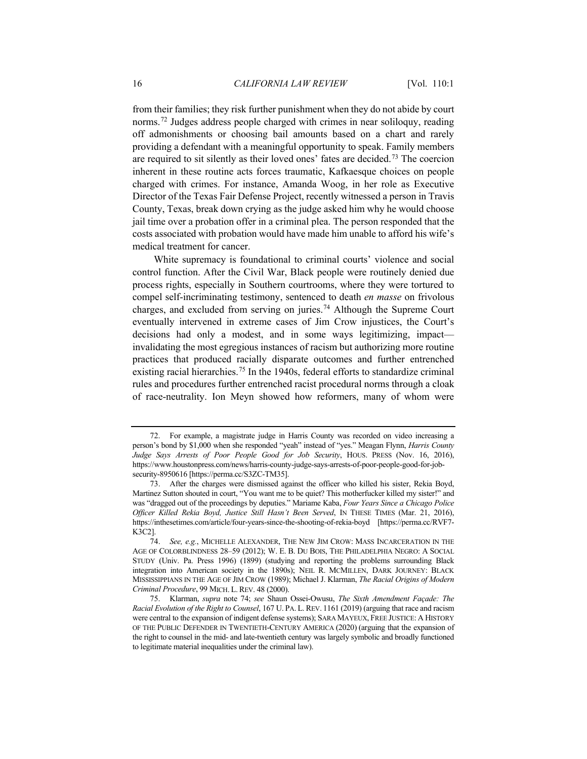from their families; they risk further punishment when they do not abide by court norms.<sup>[72](#page-15-1)</sup> Judges address people charged with crimes in near soliloquy, reading off admonishments or choosing bail amounts based on a chart and rarely providing a defendant with a meaningful opportunity to speak. Family members are required to sit silently as their loved ones' fates are decided.[73](#page-15-2) The coercion inherent in these routine acts forces traumatic, Kafkaesque choices on people charged with crimes. For instance, Amanda Woog, in her role as Executive Director of the Texas Fair Defense Project, recently witnessed a person in Travis County, Texas, break down crying as the judge asked him why he would choose jail time over a probation offer in a criminal plea. The person responded that the costs associated with probation would have made him unable to afford his wife's medical treatment for cancer.

<span id="page-15-0"></span>White supremacy is foundational to criminal courts' violence and social control function. After the Civil War, Black people were routinely denied due process rights, especially in Southern courtrooms, where they were tortured to compel self-incriminating testimony, sentenced to death *en masse* on frivolous charges, and excluded from serving on juries.<sup>74</sup> Although the Supreme Court eventually intervened in extreme cases of Jim Crow injustices, the Court's decisions had only a modest, and in some ways legitimizing, impact invalidating the most egregious instances of racism but authorizing more routine practices that produced racially disparate outcomes and further entrenched existing racial hierarchies.<sup>[75](#page-15-4)</sup> In the 1940s, federal efforts to standardize criminal rules and procedures further entrenched racist procedural norms through a cloak of race-neutrality. Ion Meyn showed how reformers, many of whom were

<span id="page-15-1"></span><sup>72.</sup> For example, a magistrate judge in Harris County was recorded on video increasing a person's bond by \$1,000 when she responded "yeah" instead of "yes." Meagan Flynn, *Harris County Judge Says Arrests of Poor People Good for Job Security*, HOUS. PRESS (Nov. 16, 2016), https://www.houstonpress.com/news/harris-county-judge-says-arrests-of-poor-people-good-for-jobsecurity-8950616 [https://perma.cc/S3ZC-TM35].

<span id="page-15-2"></span><sup>73.</sup> After the charges were dismissed against the officer who killed his sister, Rekia Boyd, Martinez Sutton shouted in court, "You want me to be quiet? This motherfucker killed my sister!" and was "dragged out of the proceedings by deputies." Mariame Kaba, *Four Years Since a Chicago Police Officer Killed Rekia Boyd, Justice Still Hasn't Been Served*, IN THESE TIMES (Mar. 21, 2016), https://inthesetimes.com/article/four-years-since-the-shooting-of-rekia-boyd [https://perma.cc/RVF7- K3C2].

<span id="page-15-3"></span><sup>74.</sup> *See, e.g.*, MICHELLE ALEXANDER, THE NEW JIM CROW: MASS INCARCERATION IN THE AGE OF COLORBLINDNESS 28–59 (2012); W. E. B. DU BOIS, THE PHILADELPHIA NEGRO: A SOCIAL STUDY (Univ. Pa. Press 1996) (1899) (studying and reporting the problems surrounding Black integration into American society in the 1890s); NEIL R. MCMILLEN, DARK JOURNEY: BLACK MISSISSIPPIANS IN THE AGE OF JIM CROW (1989); Michael J. Klarman, *The Racial Origins of Modern Criminal Procedure*, 99 MICH. L. REV. 48 (2000).

<span id="page-15-4"></span><sup>75.</sup> Klarman, *supra* note [74;](#page-15-0) *see* Shaun Ossei-Owusu, *The Sixth Amendment Façade: The Racial Evolution of the Right to Counsel*, 167 U. PA. L. REV. 1161 (2019) (arguing that race and racism were central to the expansion of indigent defense systems); SARA MAYEUX, FREE JUSTICE: A HISTORY OF THE PUBLIC DEFENDER IN TWENTIETH-CENTURY AMERICA (2020) (arguing that the expansion of the right to counsel in the mid- and late-twentieth century was largely symbolic and broadly functioned to legitimate material inequalities under the criminal law).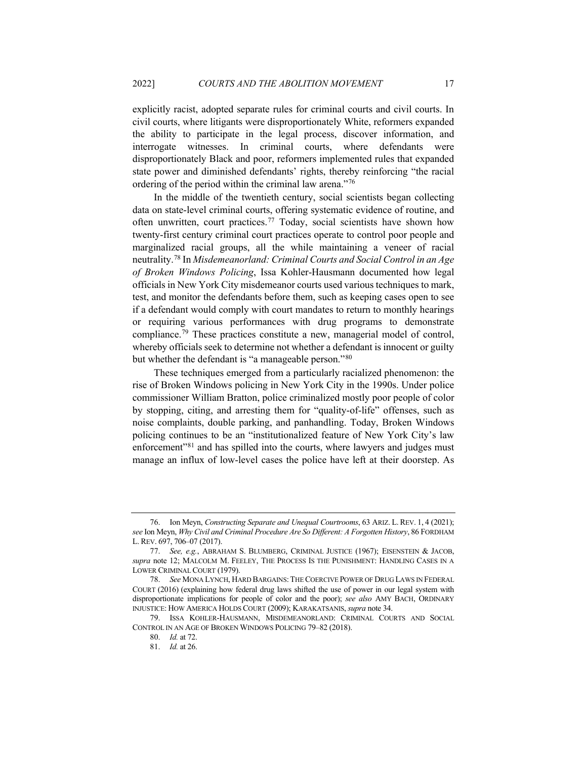explicitly racist, adopted separate rules for criminal courts and civil courts. In civil courts, where litigants were disproportionately White, reformers expanded the ability to participate in the legal process, discover information, and interrogate witnesses. In criminal courts, where defendants were disproportionately Black and poor, reformers implemented rules that expanded state power and diminished defendants' rights, thereby reinforcing "the racial ordering of the period within the criminal law arena."[76](#page-16-0)

<span id="page-16-6"></span>In the middle of the twentieth century, social scientists began collecting data on state-level criminal courts, offering systematic evidence of routine, and often unwritten, court practices[.77](#page-16-1) Today, social scientists have shown how twenty-first century criminal court practices operate to control poor people and marginalized racial groups, all the while maintaining a veneer of racial neutrality.[78](#page-16-2) In *Misdemeanorland: Criminal Courts and Social Control in an Age of Broken Windows Policing*, Issa Kohler-Hausmann documented how legal officials in New York City misdemeanor courts used various techniques to mark, test, and monitor the defendants before them, such as keeping cases open to see if a defendant would comply with court mandates to return to monthly hearings or requiring various performances with drug programs to demonstrate compliance.[79](#page-16-3) These practices constitute a new, managerial model of control, whereby officials seek to determine not whether a defendant is innocent or guilty but whether the defendant is "a manageable person."[80](#page-16-4)

These techniques emerged from a particularly racialized phenomenon: the rise of Broken Windows policing in New York City in the 1990s. Under police commissioner William Bratton, police criminalized mostly poor people of color by stopping, citing, and arresting them for "quality-of-life" offenses, such as noise complaints, double parking, and panhandling. Today, Broken Windows policing continues to be an "institutionalized feature of New York City's law enforcement"<sup>[81](#page-16-5)</sup> and has spilled into the courts, where lawyers and judges must manage an influx of low-level cases the police have left at their doorstep. As

<span id="page-16-0"></span><sup>76.</sup> Ion Meyn, *Constructing Separate and Unequal Courtrooms*, 63 ARIZ. L. REV. 1, 4 (2021); *see* Ion Meyn, *Why Civil and Criminal Procedure Are So Different: A Forgotten History*, 86 FORDHAM L. REV. 697, 706–07 (2017).

<span id="page-16-1"></span><sup>77.</sup> *See, e.g.*, ABRAHAM S. BLUMBERG, CRIMINAL JUSTICE (1967); EISENSTEIN & JACOB, *supra* note [12;](#page-4-4) MALCOLM M. FEELEY, THE PROCESS IS THE PUNISHMENT: HANDLING CASES IN A LOWER CRIMINAL COURT (1979).

<span id="page-16-2"></span><sup>78.</sup> *See* MONA LYNCH, HARD BARGAINS:THE COERCIVE POWER OF DRUG LAWS IN FEDERAL COURT (2016) (explaining how federal drug laws shifted the use of power in our legal system with disproportionate implications for people of color and the poor); *see also* AMY BACH, ORDINARY INJUSTICE: HOW AMERICA HOLDS COURT (2009); KARAKATSANIS, *supra* not[e 34.](#page-8-4)

<span id="page-16-5"></span><span id="page-16-4"></span><span id="page-16-3"></span><sup>79.</sup> ISSA KOHLER-HAUSMANN, MISDEMEANORLAND: CRIMINAL COURTS AND SOCIAL CONTROL IN AN AGE OF BROKEN WINDOWS POLICING 79–82 (2018).

<sup>80.</sup> *Id.* at 72.

<sup>81.</sup> *Id.* at 26.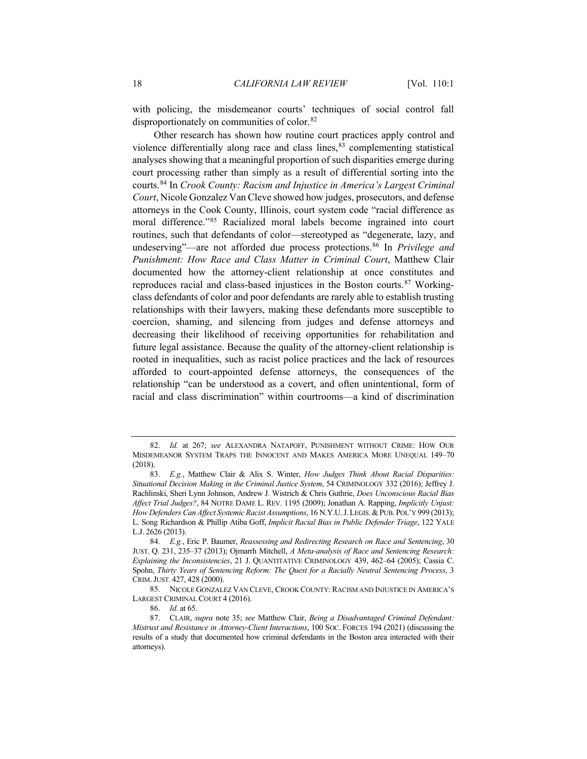with policing, the misdemeanor courts' techniques of social control fall disproportionately on communities of color.[82](#page-17-0)

<span id="page-17-6"></span>Other research has shown how routine court practices apply control and violence differentially along race and class lines,<sup>[83](#page-17-1)</sup> complementing statistical analyses showing that a meaningful proportion of such disparities emerge during court processing rather than simply as a result of differential sorting into the courts.[84](#page-17-2) In *Crook County: Racism and Injustice in America's Largest Criminal Court*, Nicole Gonzalez Van Cleve showed how judges, prosecutors, and defense attorneys in the Cook County, Illinois, court system code "racial difference as moral difference."[85](#page-17-3) Racialized moral labels become ingrained into court routines, such that defendants of color—stereotyped as "degenerate, lazy, and undeserving"—are not afforded due process protections.[86](#page-17-4) In *Privilege and Punishment: How Race and Class Matter in Criminal Court*, Matthew Clair documented how the attorney-client relationship at once constitutes and reproduces racial and class-based injustices in the Boston courts.[87](#page-17-5) Workingclass defendants of color and poor defendants are rarely able to establish trusting relationships with their lawyers, making these defendants more susceptible to coercion, shaming, and silencing from judges and defense attorneys and decreasing their likelihood of receiving opportunities for rehabilitation and future legal assistance. Because the quality of the attorney-client relationship is rooted in inequalities, such as racist police practices and the lack of resources afforded to court-appointed defense attorneys, the consequences of the relationship "can be understood as a covert, and often unintentional, form of racial and class discrimination" within courtrooms—a kind of discrimination

<span id="page-17-0"></span><sup>82.</sup> *Id.* at 267; *see* ALEXANDRA NATAPOFF, PUNISHMENT WITHOUT CRIME: HOW OUR MISDEMEANOR SYSTEM TRAPS THE INNOCENT AND MAKES AMERICA MORE UNEQUAL 149–70 (2018).

<span id="page-17-1"></span><sup>83.</sup> *E.g.*, Matthew Clair & Alix S. Winter, *How Judges Think About Racial Disparities: Situational Decision Making in the Criminal Justice System*, 54 CRIMINOLOGY 332 (2016); Jeffrey J. Rachlinski, Sheri Lynn Johnson, Andrew J. Wistrich & Chris Guthrie, *Does Unconscious Racial Bias Affect Trial Judges?*, 84 NOTRE DAME L. REV. 1195 (2009); Jonathan A. Rapping, *Implicitly Unjust: How Defenders Can Affect Systemic Racist Assumptions*, 16 N.Y.U.J.LEGIS.&PUB. POL'Y 999 (2013); L. Song Richardson & Phillip Atiba Goff, *Implicit Racial Bias in Public Defender Triage*, 122 YALE L.J. 2626 (2013).

<span id="page-17-2"></span><sup>84.</sup> *E.g.*, Eric P. Baumer, *Reassessing and Redirecting Research on Race and Sentencing*, 30 JUST. Q. 231, 235–37 (2013); Ojmarrh Mitchell, *A Meta-analysis of Race and Sentencing Research: Explaining the Inconsistencies*, 21 J. QUANTITATIVE CRIMINOLOGY 439, 462–64 (2005); Cassia C. Spohn, *Thirty Years of Sentencing Reform: The Quest for a Racially Neutral Sentencing Process*, 3 CRIM.JUST. 427, 428 (2000).

<span id="page-17-3"></span><sup>85.</sup> NICOLE GONZALEZ VAN CLEVE, CROOK COUNTY: RACISM AND INJUSTICE IN AMERICA'S LARGEST CRIMINAL COURT 4 (2016).

<sup>86.</sup> *Id.* at 65.

<span id="page-17-5"></span><span id="page-17-4"></span><sup>87.</sup> CLAIR, *supra* note [35;](#page-9-3) *see* Matthew Clair, *Being a Disadvantaged Criminal Defendant: Mistrust and Resistance in Attorney-Client Interactions*, 100 SOC. FORCES 194 (2021) (discussing the results of a study that documented how criminal defendants in the Boston area interacted with their attorneys).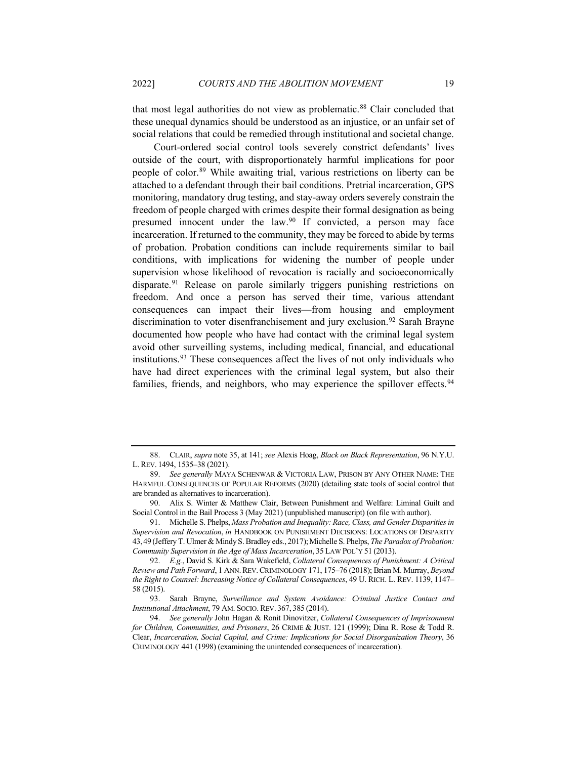that most legal authorities do not view as problematic.<sup>[88](#page-18-0)</sup> Clair concluded that these unequal dynamics should be understood as an injustice, or an unfair set of social relations that could be remedied through institutional and societal change.

Court-ordered social control tools severely constrict defendants' lives outside of the court, with disproportionately harmful implications for poor people of color.[89](#page-18-1) While awaiting trial, various restrictions on liberty can be attached to a defendant through their bail conditions. Pretrial incarceration, GPS monitoring, mandatory drug testing, and stay-away orders severely constrain the freedom of people charged with crimes despite their formal designation as being presumed innocent under the law[.90](#page-18-2) If convicted, a person may face incarceration. If returned to the community, they may be forced to abide by terms of probation. Probation conditions can include requirements similar to bail conditions, with implications for widening the number of people under supervision whose likelihood of revocation is racially and socioeconomically disparate.<sup>[91](#page-18-3)</sup> Release on parole similarly triggers punishing restrictions on freedom. And once a person has served their time, various attendant consequences can impact their lives—from housing and employment discrimination to voter disenfranchisement and jury exclusion.<sup>[92](#page-18-4)</sup> Sarah Brayne documented how people who have had contact with the criminal legal system avoid other surveilling systems, including medical, financial, and educational institutions.[93](#page-18-5) These consequences affect the lives of not only individuals who have had direct experiences with the criminal legal system, but also their families, friends, and neighbors, who may experience the spillover effects.<sup>[94](#page-18-6)</sup>

<span id="page-18-0"></span><sup>88.</sup> CLAIR, *supra* not[e 35,](#page-9-3) at 141; *see* Alexis Hoag, *Black on Black Representation*, 96 N.Y.U. L. REV. 1494, 1535–38 (2021).

<span id="page-18-1"></span><sup>89.</sup> *See generally* MAYA SCHENWAR & VICTORIA LAW, PRISON BY ANY OTHER NAME: THE HARMFUL CONSEQUENCES OF POPULAR REFORMS (2020) (detailing state tools of social control that are branded as alternatives to incarceration).

<span id="page-18-2"></span><sup>90.</sup> Alix S. Winter & Matthew Clair, Between Punishment and Welfare: Liminal Guilt and Social Control in the Bail Process 3 (May 2021) (unpublished manuscript) (on file with author).

<span id="page-18-3"></span><sup>91.</sup> Michelle S. Phelps, *Mass Probation and Inequality: Race, Class, and Gender Disparities in Supervision and Revocation*, *in* HANDBOOK ON PUNISHMENT DECISIONS: LOCATIONS OF DISPARITY 43,49 (Jeffery T. Ulmer & Mindy S. Bradley eds., 2017);Michelle S. Phelps, *The Paradox of Probation: Community Supervision in the Age of Mass Incarceration*, 35 LAW POL'Y 51 (2013).

<span id="page-18-4"></span><sup>92.</sup> *E.g.*, David S. Kirk & Sara Wakefield, *Collateral Consequences of Punishment: A Critical Review and Path Forward*, 1 ANN.REV. CRIMINOLOGY 171, 175–76 (2018); Brian M. Murray, *Beyond the Right to Counsel: Increasing Notice of Collateral Consequences*, 49 U. RICH. L. REV. 1139, 1147– 58 (2015).

<span id="page-18-5"></span><sup>93.</sup> Sarah Brayne, *Surveillance and System Avoidance: Criminal Justice Contact and Institutional Attachment*, 79 AM. SOCIO. REV. 367, 385 (2014).

<span id="page-18-6"></span><sup>94.</sup> *See generally* John Hagan & Ronit Dinovitzer, *Collateral Consequences of Imprisonment for Children, Communities, and Prisoners*, 26 CRIME & JUST. 121 (1999); Dina R. Rose & Todd R. Clear, *Incarceration, Social Capital, and Crime: Implications for Social Disorganization Theory*, 36 CRIMINOLOGY 441 (1998) (examining the unintended consequences of incarceration).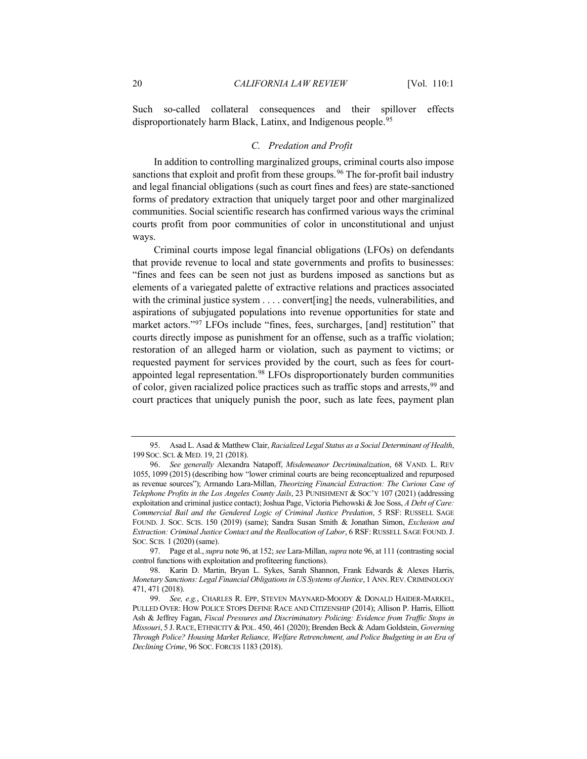Such so-called collateral consequences and their spillover effects disproportionately harm Black, Latinx, and Indigenous people.<sup>[95](#page-19-1)</sup>

#### <span id="page-19-0"></span>*C. Predation and Profit*

In addition to controlling marginalized groups, criminal courts also impose sanctions that exploit and profit from these groups.<sup>[96](#page-19-2)</sup> The for-profit bail industry and legal financial obligations (such as court fines and fees) are state-sanctioned forms of predatory extraction that uniquely target poor and other marginalized communities. Social scientific research has confirmed various ways the criminal courts profit from poor communities of color in unconstitutional and unjust ways.

Criminal courts impose legal financial obligations (LFOs) on defendants that provide revenue to local and state governments and profits to businesses: "fines and fees can be seen not just as burdens imposed as sanctions but as elements of a variegated palette of extractive relations and practices associated with the criminal justice system . . . . convert[ing] the needs, vulnerabilities, and aspirations of subjugated populations into revenue opportunities for state and market actors."<sup>[97](#page-19-3)</sup> LFOs include "fines, fees, surcharges, [and] restitution" that courts directly impose as punishment for an offense, such as a traffic violation; restoration of an alleged harm or violation, such as payment to victims; or requested payment for services provided by the court, such as fees for court-appointed legal representation.<sup>[98](#page-19-4)</sup> LFOs disproportionately burden communities of color, given racialized police practices such as traffic stops and arrests,<sup>[99](#page-19-5)</sup> and court practices that uniquely punish the poor, such as late fees, payment plan

<span id="page-19-1"></span><sup>95.</sup> Asad L. Asad & Matthew Clair, *Racialized Legal Status as a Social Determinant of Health*, 199 SOC. SCI. & MED. 19, 21 (2018).

<span id="page-19-2"></span><sup>96.</sup> *See generally* Alexandra Natapoff, *Misdemeanor Decriminalization*, 68 VAND. L. REV 1055, 1099 (2015) (describing how "lower criminal courts are being reconceptualized and repurposed as revenue sources"); Armando Lara-Millan, *Theorizing Financial Extraction: The Curious Case of Telephone Profits in the Los Angeles County Jails*, 23 PUNISHMENT & SOC'Y 107 (2021) (addressing exploitation and criminal justice contact); Joshua Page, Victoria Piehowski & Joe Soss, *A Debt of Care: Commercial Bail and the Gendered Logic of Criminal Justice Predation*, 5 RSF: RUSSELL SAGE FOUND. J. SOC. SCIS. 150 (2019) (same); Sandra Susan Smith & Jonathan Simon, *Exclusion and Extraction: Criminal Justice Contact and the Reallocation of Labor*, 6 RSF: RUSSELL SAGE FOUND.J. SOC. SCIS*.* 1 (2020) (same).

<span id="page-19-3"></span><sup>97.</sup> Page et al., *supra* not[e 96,](#page-19-0) at 152; *see* Lara-Millan, *supra* not[e 96,](#page-19-0) at 111 (contrasting social control functions with exploitation and profiteering functions).

<span id="page-19-4"></span><sup>98.</sup> Karin D. Martin, Bryan L. Sykes, Sarah Shannon, Frank Edwards & Alexes Harris, *Monetary Sanctions: Legal Financial Obligations in US Systems of Justice*, 1 ANN.REV.CRIMINOLOGY 471, 471 (2018).

<span id="page-19-5"></span><sup>99.</sup> *See, e.g.*, CHARLES R. EPP, STEVEN MAYNARD-MOODY & DONALD HAIDER-MARKEL, PULLED OVER: HOW POLICE STOPS DEFINE RACE AND CITIZENSHIP (2014); Allison P. Harris, Elliott Ash & Jeffrey Fagan, *Fiscal Pressures and Discriminatory Policing: Evidence from Traffic Stops in Missouri*, 5 J. RACE, ETHNICITY & POL. 450, 461 (2020); Brenden Beck & Adam Goldstein, *Governing Through Police? Housing Market Reliance, Welfare Retrenchment, and Police Budgeting in an Era of Declining Crime*, 96 SOC. FORCES 1183 (2018).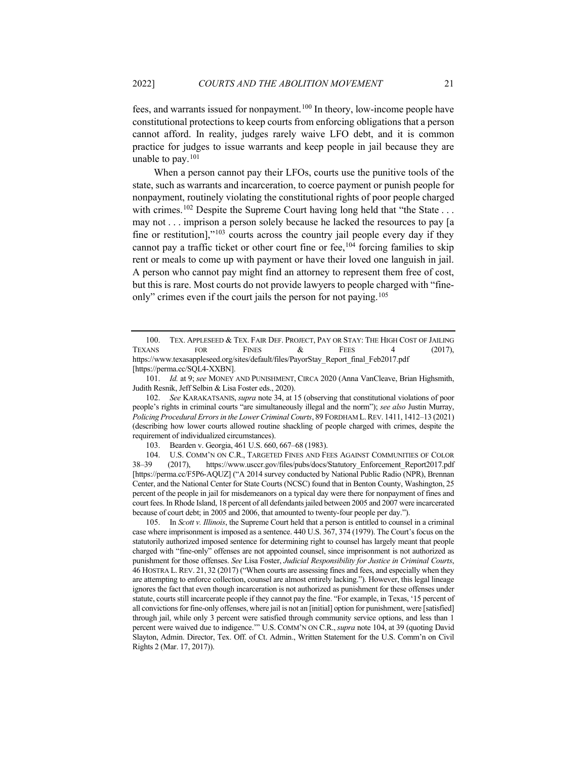fees, and warrants issued for nonpayment.[100](#page-20-1) In theory, low-income people have constitutional protections to keep courts from enforcing obligations that a person cannot afford. In reality, judges rarely waive LFO debt, and it is common practice for judges to issue warrants and keep people in jail because they are unable to pay.[101](#page-20-2)

<span id="page-20-0"></span>When a person cannot pay their LFOs, courts use the punitive tools of the state, such as warrants and incarceration, to coerce payment or punish people for nonpayment, routinely violating the constitutional rights of poor people charged with crimes.<sup>[102](#page-20-3)</sup> Despite the Supreme Court having long held that "the State . . . may not . . . imprison a person solely because he lacked the resources to pay [a fine or restitution],"<sup>[103](#page-20-4)</sup> courts across the country jail people every day if they cannot pay a traffic ticket or other court fine or fee,<sup>[104](#page-20-5)</sup> forcing families to skip rent or meals to come up with payment or have their loved one languish in jail. A person who cannot pay might find an attorney to represent them free of cost, but this is rare. Most courts do not provide lawyers to people charged with "fine-only" crimes even if the court jails the person for not paying.<sup>[105](#page-20-6)</sup>

<span id="page-20-3"></span>102. *See* KARAKATSANIS, *supra* note [34,](#page-8-4) at 15 (observing that constitutional violations of poor people's rights in criminal courts "are simultaneously illegal and the norm"); *see also* Justin Murray, *Policing Procedural Errors in the Lower Criminal Courts*, 89 FORDHAM L.REV. 1411, 1412–13 (2021) (describing how lower courts allowed routine shackling of people charged with crimes, despite the requirement of individualized circumstances).

103. Bearden v. Georgia, 461 U.S. 660, 667–68 (1983).

<span id="page-20-5"></span><span id="page-20-4"></span>104. U.S. COMM'N ON C.R., TARGETED FINES AND FEES AGAINST COMMUNITIES OF COLOR 38–39 (2017), https://www.usccr.gov/files/pubs/docs/Statutory\_Enforcement\_Report2017.pdf [https://perma.cc/F5P6-AQUZ] ("A 2014 survey conducted by National Public Radio (NPR), Brennan Center, and the National Center for State Courts (NCSC) found that in Benton County, Washington, 25 percent of the people in jail for misdemeanors on a typical day were there for nonpayment of fines and court fees. In Rhode Island, 18 percent of all defendants jailed between 2005 and 2007 were incarcerated because of court debt; in 2005 and 2006, that amounted to twenty-four people per day.").

<span id="page-20-6"></span>105. In *Scott v. Illinois*, the Supreme Court held that a person is entitled to counsel in a criminal case where imprisonment is imposed as a sentence. 440 U.S. 367, 374 (1979). The Court's focus on the statutorily authorized imposed sentence for determining right to counsel has largely meant that people charged with "fine-only" offenses are not appointed counsel, since imprisonment is not authorized as punishment for those offenses. *See* Lisa Foster, *Judicial Responsibility for Justice in Criminal Courts*, 46 HOSTRA L. REV. 21, 32 (2017) ("When courts are assessing fines and fees, and especially when they are attempting to enforce collection, counsel are almost entirely lacking."). However, this legal lineage ignores the fact that even though incarceration is not authorized as punishment for these offenses under statute, courts still incarcerate people if they cannot pay the fine. "For example, in Texas, '15 percent of all convictions for fine-only offenses, where jail is not an [initial] option for punishment, were [satisfied] through jail, while only 3 percent were satisfied through community service options, and less than 1 percent were waived due to indigence.'" U.S. COMM'N ON C.R.,*supra* note [104,](#page-20-0) at 39 (quoting David Slayton, Admin. Director, Tex. Off. of Ct. Admin., Written Statement for the U.S. Comm'n on Civil Rights 2 (Mar. 17, 2017)).

<span id="page-20-1"></span><sup>100.</sup> TEX. APPLESEED & TEX. FAIR DEF. PROJECT, PAY OR STAY: THE HIGH COST OF JAILING TEXANS FOR FINES  $\&$  FEES 4 (2017), https://www.texasappleseed.org/sites/default/files/PayorStay\_Report\_final\_Feb2017.pdf [https://perma.cc/SQL4-XXBN].

<span id="page-20-2"></span><sup>101.</sup> *Id.* at 9; *see* MONEY AND PUNISHMENT, CIRCA 2020 (Anna VanCleave, Brian Highsmith, Judith Resnik, Jeff Selbin & Lisa Foster eds., 2020).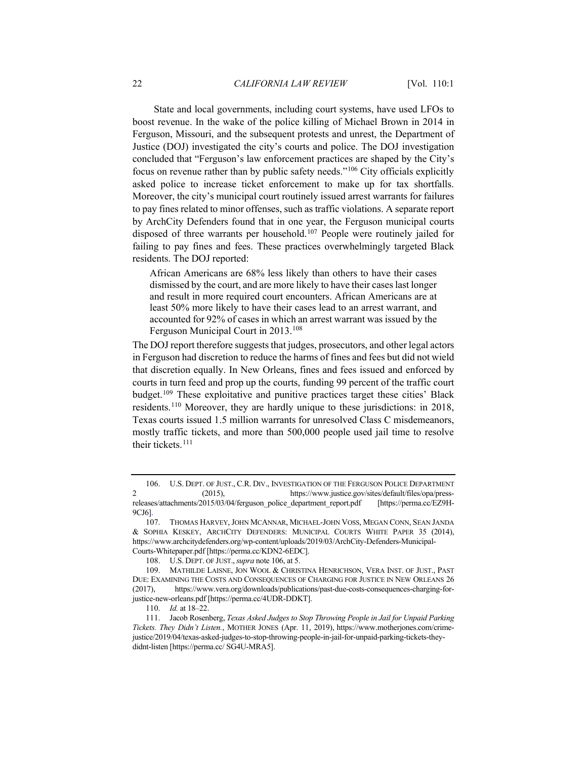<span id="page-21-0"></span>State and local governments, including court systems, have used LFOs to boost revenue. In the wake of the police killing of Michael Brown in 2014 in Ferguson, Missouri, and the subsequent protests and unrest, the Department of Justice (DOJ) investigated the city's courts and police. The DOJ investigation concluded that "Ferguson's law enforcement practices are shaped by the City's focus on revenue rather than by public safety needs."[106](#page-21-1) City officials explicitly asked police to increase ticket enforcement to make up for tax shortfalls. Moreover, the city's municipal court routinely issued arrest warrants for failures to pay fines related to minor offenses, such as traffic violations. A separate report by ArchCity Defenders found that in one year, the Ferguson municipal courts disposed of three warrants per household.[107](#page-21-2) People were routinely jailed for failing to pay fines and fees. These practices overwhelmingly targeted Black residents. The DOJ reported:

African Americans are 68% less likely than others to have their cases dismissed by the court, and are more likely to have their cases last longer and result in more required court encounters. African Americans are at least 50% more likely to have their cases lead to an arrest warrant, and accounted for 92% of cases in which an arrest warrant was issued by the Ferguson Municipal Court in 2013.[108](#page-21-3)

The DOJ report therefore suggests that judges, prosecutors, and other legal actors in Ferguson had discretion to reduce the harms of fines and fees but did not wield that discretion equally. In New Orleans, fines and fees issued and enforced by courts in turn feed and prop up the courts, funding 99 percent of the traffic court budget.[109](#page-21-4) These exploitative and punitive practices target these cities' Black residents.[110](#page-21-5) Moreover, they are hardly unique to these jurisdictions: in 2018, Texas courts issued 1.5 million warrants for unresolved Class C misdemeanors, mostly traffic tickets, and more than 500,000 people used jail time to resolve their tickets.<sup>[111](#page-21-6)</sup>

<span id="page-21-1"></span><sup>106.</sup> U.S. DEPT. OF JUST., C.R. DIV., INVESTIGATION OF THE FERGUSON POLICE DEPARTMENT 2 (2015), https://www.justice.gov/sites/default/files/opa/pressreleases/attachments/2015/03/04/ferguson\_police\_department\_report.pdf [https://perma.cc/EZ9H-9CJ6].

<span id="page-21-2"></span><sup>107.</sup> THOMAS HARVEY,JOHN MCANNAR, MICHAEL-JOHN VOSS, MEGAN CONN, SEAN JANDA & SOPHIA KESKEY, ARCHCITY DEFENDERS: MUNICIPAL COURTS WHITE PAPER 35 (2014), https://www.archcitydefenders.org/wp-content/uploads/2019/03/ArchCity-Defenders-Municipal-Courts-Whitepaper.pdf [https://perma.cc/KDN2-6EDC].

<sup>108.</sup> U.S. DEPT. OF JUST.,*supra* not[e 106,](#page-21-0) at 5.

<span id="page-21-4"></span><span id="page-21-3"></span><sup>109.</sup> MATHILDE LAISNE, JON WOOL & CHRISTINA HENRICHSON, VERA INST. OF JUST., PAST DUE: EXAMINING THE COSTS AND CONSEQUENCES OF CHARGING FOR JUSTICE IN NEW ORLEANS 26 (2017), https://www.vera.org/downloads/publications/past-due-costs-consequences-charging-forjustice-new-orleans.pdf [https://perma.cc/4UDR-DDKT].

<sup>110.</sup> *Id.* at 18–22.

<span id="page-21-6"></span><span id="page-21-5"></span><sup>111.</sup> Jacob Rosenberg, *Texas Asked Judges to Stop Throwing People in Jail for Unpaid Parking Tickets. They Didn't Listen.*, MOTHER JONES (Apr. 11, 2019), https://www.motherjones.com/crimejustice/2019/04/texas-asked-judges-to-stop-throwing-people-in-jail-for-unpaid-parking-tickets-theydidnt-listen [https://perma.cc/ SG4U-MRA5].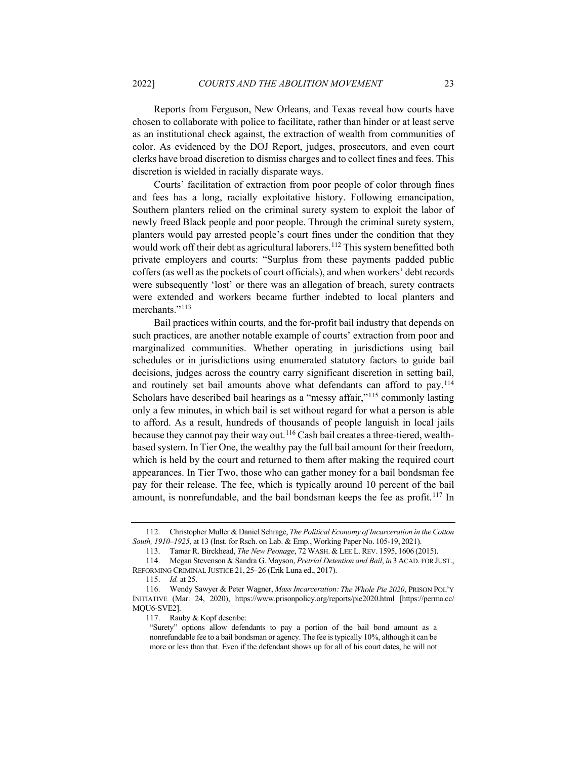Reports from Ferguson, New Orleans, and Texas reveal how courts have chosen to collaborate with police to facilitate, rather than hinder or at least serve as an institutional check against, the extraction of wealth from communities of color. As evidenced by the DOJ Report, judges, prosecutors, and even court clerks have broad discretion to dismiss charges and to collect fines and fees. This discretion is wielded in racially disparate ways.

Courts' facilitation of extraction from poor people of color through fines and fees has a long, racially exploitative history. Following emancipation, Southern planters relied on the criminal surety system to exploit the labor of newly freed Black people and poor people. Through the criminal surety system, planters would pay arrested people's court fines under the condition that they would work off their debt as agricultural laborers.<sup>[112](#page-22-0)</sup> This system benefitted both private employers and courts: "Surplus from these payments padded public coffers (as well as the pockets of court officials), and when workers' debt records were subsequently 'lost' or there was an allegation of breach, surety contracts were extended and workers became further indebted to local planters and merchants."<sup>[113](#page-22-1)</sup>

Bail practices within courts, and the for-profit bail industry that depends on such practices, are another notable example of courts' extraction from poor and marginalized communities. Whether operating in jurisdictions using bail schedules or in jurisdictions using enumerated statutory factors to guide bail decisions, judges across the country carry significant discretion in setting bail, and routinely set bail amounts above what defendants can afford to pay.<sup>[114](#page-22-2)</sup> Scholars have described bail hearings as a "messy affair,"[115](#page-22-3) commonly lasting only a few minutes, in which bail is set without regard for what a person is able to afford. As a result, hundreds of thousands of people languish in local jails because they cannot pay their way out.[116](#page-22-4) Cash bail creates a three-tiered, wealthbased system. In Tier One, the wealthy pay the full bail amount for their freedom, which is held by the court and returned to them after making the required court appearances. In Tier Two, those who can gather money for a bail bondsman fee pay for their release. The fee, which is typically around 10 percent of the bail amount, is nonrefundable, and the bail bondsman keeps the fee as profit.<sup>[117](#page-22-5)</sup> In

<span id="page-22-0"></span><sup>112.</sup> Christopher Muller & Daniel Schrage, *The Political Economy of Incarceration in the Cotton South, 1910–1925*, at 13 (Inst. for Rsch. on Lab. & Emp., Working Paper No. 105-19, 2021).

<sup>113.</sup> Tamar R. Birckhead, *The New Peonage*, 72 WASH. & LEE L. REV. 1595, 1606 (2015).

<span id="page-22-2"></span><span id="page-22-1"></span><sup>114.</sup> Megan Stevenson & Sandra G. Mayson, *Pretrial Detention and Bail*, *in* 3 ACAD. FOR JUST., REFORMING CRIMINAL JUSTICE 21, 25–26 (Erik Luna ed., 2017).

<sup>115.</sup> *Id.* at 25.

<span id="page-22-5"></span><span id="page-22-4"></span><span id="page-22-3"></span><sup>116.</sup> Wendy Sawyer & Peter Wagner, *Mass Incarceration: The Whole Pie 2020*, PRISON POL'Y INITIATIVE (Mar. 24, 2020), https://www.prisonpolicy.org/reports/pie2020.html [https://perma.cc/ MQU6-SVE2].

<sup>117.</sup> Rauby & Kopf describe:

<sup>&</sup>quot;Surety" options allow defendants to pay a portion of the bail bond amount as a nonrefundable fee to a bail bondsman or agency. The fee is typically 10%, although it can be more or less than that. Even if the defendant shows up for all of his court dates, he will not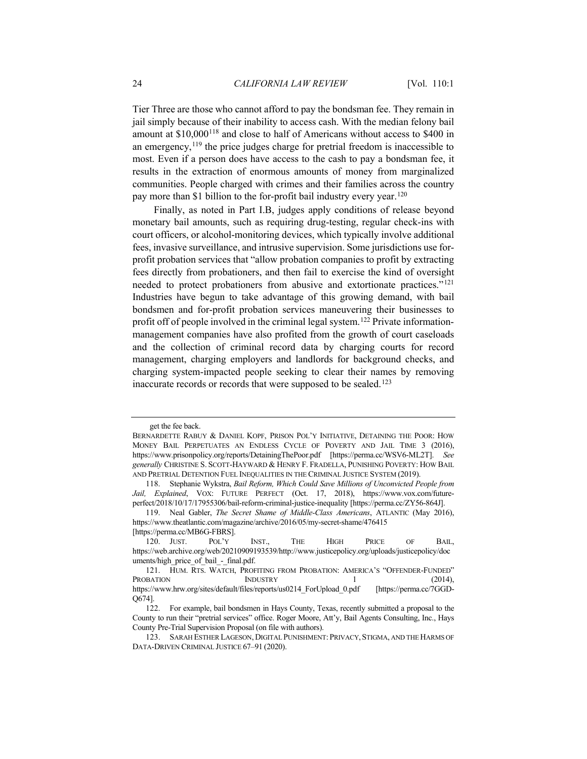Tier Three are those who cannot afford to pay the bondsman fee. They remain in jail simply because of their inability to access cash. With the median felony bail amount at \$10,000[118](#page-23-0) and close to half of Americans without access to \$400 in an emergency,  $119$  the price judges charge for pretrial freedom is inaccessible to most. Even if a person does have access to the cash to pay a bondsman fee, it results in the extraction of enormous amounts of money from marginalized communities. People charged with crimes and their families across the country pay more than \$1 billion to the for-profit bail industry every year.<sup>120</sup>

Finally, as noted in Part I.B, judges apply conditions of release beyond monetary bail amounts, such as requiring drug-testing, regular check-ins with court officers, or alcohol-monitoring devices, which typically involve additional fees, invasive surveillance, and intrusive supervision. Some jurisdictions use forprofit probation services that "allow probation companies to profit by extracting fees directly from probationers, and then fail to exercise the kind of oversight needed to protect probationers from abusive and extortionate practices."[121](#page-23-3) Industries have begun to take advantage of this growing demand, with bail bondsmen and for-profit probation services maneuvering their businesses to profit off of people involved in the criminal legal system.[122](#page-23-4) Private informationmanagement companies have also profited from the growth of court caseloads and the collection of criminal record data by charging courts for record management, charging employers and landlords for background checks, and charging system-impacted people seeking to clear their names by removing inaccurate records or records that were supposed to be sealed.<sup>[123](#page-23-5)</sup>

get the fee back.

BERNARDETTE RABUY & DANIEL KOPF, PRISON POL'Y INITIATIVE, DETAINING THE POOR: HOW MONEY BAIL PERPETUATES AN ENDLESS CYCLE OF POVERTY AND JAIL TIME 3 (2016), https://www.prisonpolicy.org/reports/DetainingThePoor.pdf [https://perma.cc/WSV6-ML2T]. *See generally* CHRISTINE S. SCOTT-HAYWARD & HENRY F. FRADELLA, PUNISHING POVERTY: HOW BAIL AND PRETRIAL DETENTION FUEL INEQUALITIES IN THE CRIMINAL JUSTICE SYSTEM (2019).

<span id="page-23-0"></span><sup>118.</sup> Stephanie Wykstra, *Bail Reform, Which Could Save Millions of Unconvicted People from Jail, Explained*, VOX: FUTURE PERFECT (Oct. 17, 2018), https://www.vox.com/futureperfect/2018/10/17/17955306/bail-reform-criminal-justice-inequality [https://perma.cc/ZY56-864J].

<span id="page-23-1"></span><sup>119.</sup> Neal Gabler, *The Secret Shame of Middle-Class Americans*, ATLANTIC (May 2016), https://www.theatlantic.com/magazine/archive/2016/05/my-secret-shame/476415 [https://perma.cc/MB6G-FBRS].

<span id="page-23-2"></span><sup>120.</sup> JUST. POL'Y INST., THE HIGH PRICE OF BAIL, https://web.archive.org/web/20210909193539/http://www.justicepolicy.org/uploads/justicepolicy/doc uments/high\_price\_of\_bail - final.pdf.

<span id="page-23-3"></span><sup>121.</sup> HUM. RTS. WATCH, PROFITING FROM PROBATION: AMERICA'S "OFFENDER-FUNDED" PROBATION INDUSTRY 1 (2014), https://www.hrw.org/sites/default/files/reports/us0214\_ForUpload\_0.pdf [https://perma.cc/7GGD-Q674].

<span id="page-23-4"></span><sup>122.</sup> For example, bail bondsmen in Hays County, Texas, recently submitted a proposal to the County to run their "pretrial services" office. Roger Moore, Att'y, Bail Agents Consulting, Inc., Hays County Pre-Trial Supervision Proposal (on file with authors).

<span id="page-23-5"></span><sup>123.</sup> SARAH ESTHER LAGESON, DIGITAL PUNISHMENT: PRIVACY, STIGMA, AND THE HARMS OF DATA-DRIVEN CRIMINAL JUSTICE 67–91 (2020).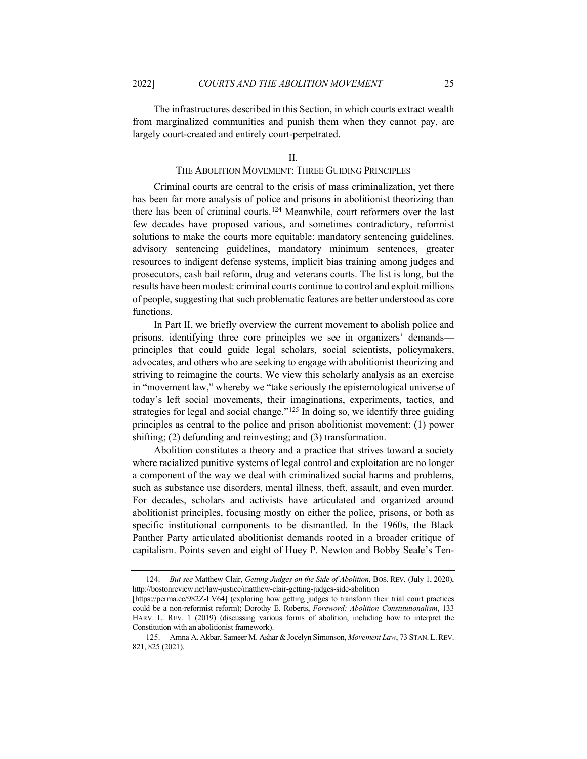The infrastructures described in this Section, in which courts extract wealth from marginalized communities and punish them when they cannot pay, are largely court-created and entirely court-perpetrated.

#### <span id="page-24-2"></span>II.

# THE ABOLITION MOVEMENT: THREE GUIDING PRINCIPLES

Criminal courts are central to the crisis of mass criminalization, yet there has been far more analysis of police and prisons in abolitionist theorizing than there has been of criminal courts.[124](#page-24-0) Meanwhile, court reformers over the last few decades have proposed various, and sometimes contradictory, reformist solutions to make the courts more equitable: mandatory sentencing guidelines, advisory sentencing guidelines, mandatory minimum sentences, greater resources to indigent defense systems, implicit bias training among judges and prosecutors, cash bail reform, drug and veterans courts. The list is long, but the results have been modest: criminal courts continue to control and exploit millions of people, suggesting that such problematic features are better understood as core functions.

In Part II, we briefly overview the current movement to abolish police and prisons, identifying three core principles we see in organizers' demands principles that could guide legal scholars, social scientists, policymakers, advocates, and others who are seeking to engage with abolitionist theorizing and striving to reimagine the courts. We view this scholarly analysis as an exercise in "movement law," whereby we "take seriously the epistemological universe of today's left social movements, their imaginations, experiments, tactics, and strategies for legal and social change."<sup>125</sup> In doing so, we identify three guiding principles as central to the police and prison abolitionist movement: (1) power shifting; (2) defunding and reinvesting; and (3) transformation.

Abolition constitutes a theory and a practice that strives toward a society where racialized punitive systems of legal control and exploitation are no longer a component of the way we deal with criminalized social harms and problems, such as substance use disorders, mental illness, theft, assault, and even murder. For decades, scholars and activists have articulated and organized around abolitionist principles, focusing mostly on either the police, prisons, or both as specific institutional components to be dismantled. In the 1960s, the Black Panther Party articulated abolitionist demands rooted in a broader critique of capitalism. Points seven and eight of Huey P. Newton and Bobby Seale's Ten-

<span id="page-24-0"></span><sup>124.</sup> *But see* Matthew Clair, *Getting Judges on the Side of Abolition*, BOS. REV*.* (July 1, 2020), http://bostonreview.net/law-justice/matthew-clair-getting-judges-side-abolition

<sup>[</sup>https://perma.cc/982Z-LV64] (exploring how getting judges to transform their trial court practices could be a non-reformist reform); Dorothy E. Roberts, *Foreword: Abolition Constitutionalism*, 133 HARV. L. REV. 1 (2019) (discussing various forms of abolition, including how to interpret the Constitution with an abolitionist framework).

<span id="page-24-1"></span><sup>125.</sup> Amna A. Akbar, Sameer M. Ashar & Jocelyn Simonson, *Movement Law*, 73 STAN. L.REV. 821, 825 (2021).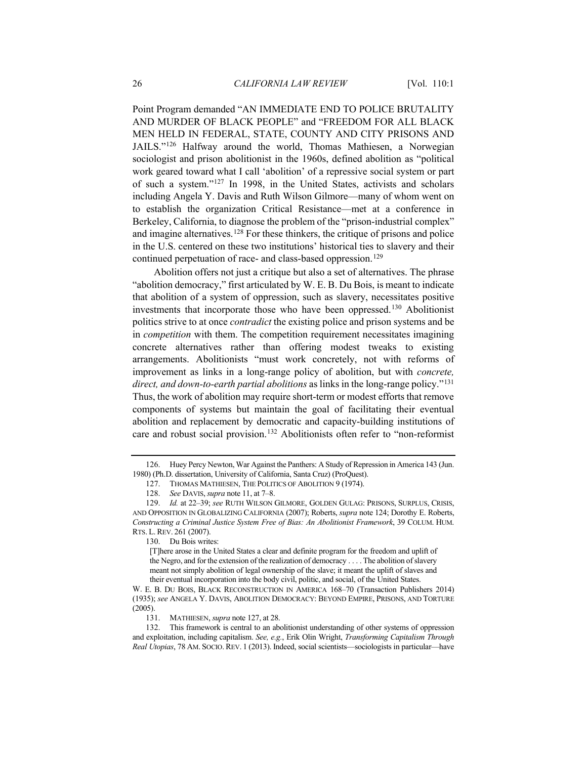<span id="page-25-0"></span>Point Program demanded "AN IMMEDIATE END TO POLICE BRUTALITY AND MURDER OF BLACK PEOPLE" and "FREEDOM FOR ALL BLACK MEN HELD IN FEDERAL, STATE, COUNTY AND CITY PRISONS AND JAILS.["126](#page-25-1) Halfway around the world, Thomas Mathiesen, a Norwegian sociologist and prison abolitionist in the 1960s, defined abolition as "political work geared toward what I call 'abolition' of a repressive social system or part of such a system."[127](#page-25-2) In 1998, in the United States, activists and scholars including Angela Y. Davis and Ruth Wilson Gilmore—many of whom went on to establish the organization Critical Resistance—met at a conference in Berkeley, California, to diagnose the problem of the "prison-industrial complex" and imagine alternatives.<sup>[128](#page-25-3)</sup> For these thinkers, the critique of prisons and police in the U.S. centered on these two institutions' historical ties to slavery and their continued perpetuation of race- and class-based oppression.<sup>[129](#page-25-4)</sup>

<span id="page-25-8"></span>Abolition offers not just a critique but also a set of alternatives. The phrase "abolition democracy," first articulated by W. E. B. Du Bois, is meant to indicate that abolition of a system of oppression, such as slavery, necessitates positive investments that incorporate those who have been oppressed.[130](#page-25-5) Abolitionist politics strive to at once *contradict* the existing police and prison systems and be in *competition* with them. The competition requirement necessitates imagining concrete alternatives rather than offering modest tweaks to existing arrangements. Abolitionists "must work concretely, not with reforms of improvement as links in a long-range policy of abolition, but with *concrete, direct, and down-to-earth partial abolitions* as links in the long-range policy."[131](#page-25-6) Thus, the work of abolition may require short-term or modest efforts that remove components of systems but maintain the goal of facilitating their eventual abolition and replacement by democratic and capacity-building institutions of care and robust social provision.<sup>[132](#page-25-7)</sup> Abolitionists often refer to "non-reformist

<span id="page-25-1"></span><sup>126.</sup> Huey Percy Newton, War Against the Panthers: A Study of Repression in America 143 (Jun. 1980) (Ph.D. dissertation, University of California, Santa Cruz) (ProQuest).

<sup>127.</sup> THOMAS MATHIESEN, THE POLITICS OF ABOLITION 9 (1974).

<sup>128.</sup> *See* DAVIS, *supra* not[e 11,](#page-3-6) at 7–8.

<span id="page-25-5"></span><span id="page-25-4"></span><span id="page-25-3"></span><span id="page-25-2"></span><sup>129.</sup> *Id.* at 22–39; *see* RUTH WILSON GILMORE, GOLDEN GULAG: PRISONS, SURPLUS, CRISIS, AND OPPOSITION IN GLOBALIZING CALIFORNIA (2007); Roberts, *supra* not[e 124;](#page-24-2) Dorothy E. Roberts, *Constructing a Criminal Justice System Free of Bias: An Abolitionist Framework*, 39 COLUM. HUM. RTS. L. REV. 261 (2007).

<sup>130.</sup> Du Bois writes:

<sup>[</sup>T]here arose in the United States a clear and definite program for the freedom and uplift of the Negro, and for the extension of the realization of democracy . . . . The abolition of slavery meant not simply abolition of legal ownership of the slave; it meant the uplift of slaves and their eventual incorporation into the body civil, politic, and social, of the United States.

W. E. B. DU BOIS, BLACK RECONSTRUCTION IN AMERICA 168–70 (Transaction Publishers 2014) (1935); *see* ANGELA Y. DAVIS, ABOLITION DEMOCRACY: BEYOND EMPIRE, PRISONS, AND TORTURE (2005).

<sup>131.</sup> MATHIESEN, *supra* not[e 127,](#page-25-0) at 28.

<span id="page-25-7"></span><span id="page-25-6"></span><sup>132.</sup> This framework is central to an abolitionist understanding of other systems of oppression and exploitation, including capitalism. *See, e.g.*, Erik Olin Wright, *Transforming Capitalism Through Real Utopias*, 78 AM. SOCIO. REV. 1 (2013). Indeed, social scientists—sociologists in particular—have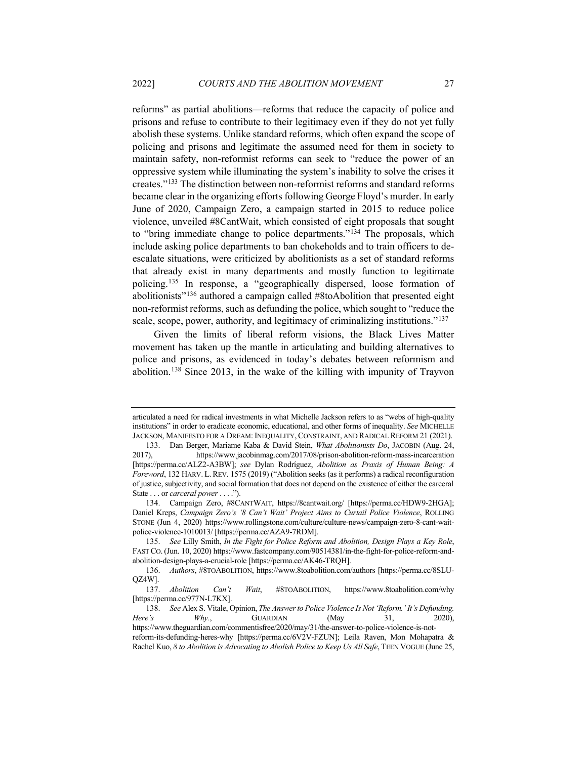reforms" as partial abolitions—reforms that reduce the capacity of police and prisons and refuse to contribute to their legitimacy even if they do not yet fully abolish these systems. Unlike standard reforms, which often expand the scope of policing and prisons and legitimate the assumed need for them in society to maintain safety, non-reformist reforms can seek to "reduce the power of an oppressive system while illuminating the system's inability to solve the crises it creates."[133](#page-26-0) The distinction between non-reformist reforms and standard reforms became clear in the organizing efforts following George Floyd's murder. In early June of 2020, Campaign Zero, a campaign started in 2015 to reduce police violence, unveiled #8CantWait, which consisted of eight proposals that sought to "bring immediate change to police departments."[134](#page-26-1) The proposals, which include asking police departments to ban chokeholds and to train officers to deescalate situations, were criticized by abolitionists as a set of standard reforms that already exist in many departments and mostly function to legitimate policing.[135](#page-26-2) In response, a "geographically dispersed, loose formation of abolitionists"[136](#page-26-3) authored a campaign called #8toAbolition that presented eight non-reformist reforms, such as defunding the police, which sought to "reduce the scale, scope, power, authority, and legitimacy of criminalizing institutions."<sup>[137](#page-26-4)</sup>

Given the limits of liberal reform visions, the Black Lives Matter movement has taken up the mantle in articulating and building alternatives to police and prisons, as evidenced in today's debates between reformism and abolition.[138](#page-26-5) Since 2013, in the wake of the killing with impunity of Trayvon

articulated a need for radical investments in what Michelle Jackson refers to as "webs of high-quality institutions" in order to eradicate economic, educational, and other forms of inequality. *See* MICHELLE JACKSON, MANIFESTO FOR A DREAM: INEQUALITY, CONSTRAINT, AND RADICAL REFORM 21 (2021).

<span id="page-26-0"></span><sup>133.</sup> Dan Berger, Mariame Kaba & David Stein, *What Abolitionists Do*, JACOBIN (Aug. 24, 2017), https://www.jacobinmag.com/2017/08/prison-abolition-reform-mass-incarceration [https://perma.cc/ALZ2-A3BW]; *see* Dylan Rodríguez, *Abolition as Praxis of Human Being: A Foreword*, 132 HARV. L. REV. 1575 (2019) ("Abolition seeks (as it performs) a radical reconfiguration of justice, subjectivity, and social formation that does not depend on the existence of either the carceral State . . . or *carceral power* . . . .").

<span id="page-26-1"></span><sup>134.</sup> Campaign Zero, #8CANTWAIT, https://8cantwait.org/ [https://perma.cc/HDW9-2HGA]; Daniel Kreps, *Campaign Zero's '8 Can't Wait' Project Aims to Curtail Police Violence*, ROLLING STONE (Jun 4, 2020) https://www.rollingstone.com/culture/culture-news/campaign-zero-8-cant-waitpolice-violence-1010013/ [https://perma.cc/AZA9-7RDM].

<span id="page-26-2"></span><sup>135.</sup> *See* Lilly Smith, *In the Fight for Police Reform and Abolition, Design Plays a Key Role*, FAST CO. (Jun. 10, 2020) https://www.fastcompany.com/90514381/in-the-fight-for-police-reform-andabolition-design-plays-a-crucial-role [https://perma.cc/AK46-TRQH].

<span id="page-26-3"></span><sup>136.</sup> *Authors*, #8TOABOLITION, https://www.8toabolition.com/authors [https://perma.cc/8SLU-QZ4W].

<span id="page-26-4"></span><sup>137.</sup> *Abolition Can't Wait*, #8TOABOLITION, https://www.8toabolition.com/why [https://perma.cc/977N-L7KX].

<span id="page-26-5"></span><sup>138.</sup> *See* Alex S. Vitale, Opinion, *The Answer to Police Violence Is Not 'Reform.' It's Defunding. Here's Why.*, GUARDIAN (May 31, 2020), https://www.theguardian.com/commentisfree/2020/may/31/the-answer-to-police-violence-is-notreform-its-defunding-heres-why [https://perma.cc/6V2V-FZUN]; Leila Raven, Mon Mohapatra & Rachel Kuo, *8 to Abolition is Advocating to Abolish Police to Keep Us All Safe*, TEEN VOGUE (June 25,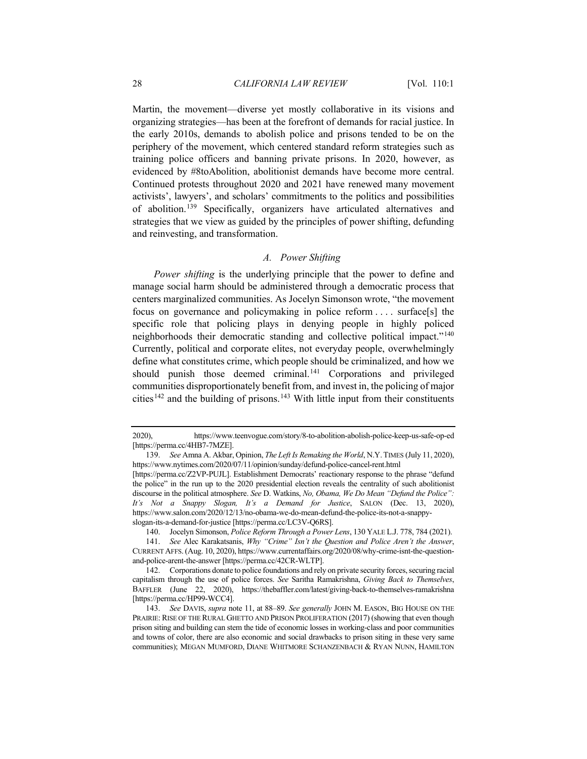Martin, the movement—diverse yet mostly collaborative in its visions and organizing strategies—has been at the forefront of demands for racial justice. In the early 2010s, demands to abolish police and prisons tended to be on the periphery of the movement, which centered standard reform strategies such as training police officers and banning private prisons. In 2020, however, as evidenced by #8toAbolition, abolitionist demands have become more central. Continued protests throughout 2020 and 2021 have renewed many movement activists', lawyers', and scholars' commitments to the politics and possibilities of abolition.[139](#page-27-0) Specifically, organizers have articulated alternatives and strategies that we view as guided by the principles of power shifting, defunding and reinvesting, and transformation.

# <span id="page-27-6"></span><span id="page-27-5"></span>*A. Power Shifting*

*Power shifting* is the underlying principle that the power to define and manage social harm should be administered through a democratic process that centers marginalized communities. As Jocelyn Simonson wrote, "the movement focus on governance and policymaking in police reform . . . . surface[s] the specific role that policing plays in denying people in highly policed neighborhoods their democratic standing and collective political impact."[140](#page-27-1) Currently, political and corporate elites, not everyday people, overwhelmingly define what constitutes crime, which people should be criminalized, and how we should punish those deemed criminal.<sup>[141](#page-27-2)</sup> Corporations and privileged communities disproportionately benefit from, and invest in, the policing of major cities<sup>[142](#page-27-3)</sup> and the building of prisons.<sup>[143](#page-27-4)</sup> With little input from their constituents

<sup>2020),</sup> https://www.teenvogue.com/story/8-to-abolition-abolish-police-keep-us-safe-op-ed [https://perma.cc/4HB7-7MZE].

<span id="page-27-0"></span><sup>139.</sup> *See* Amna A. Akbar, Opinion, *The Left Is Remaking the World*, N.Y.TIMES (July 11, 2020), https://www.nytimes.com/2020/07/11/opinion/sunday/defund-police-cancel-rent.html

<sup>[</sup>https://perma.cc/Z2VP-PUJL]. Establishment Democrats' reactionary response to the phrase "defund the police" in the run up to the 2020 presidential election reveals the centrality of such abolitionist discourse in the political atmosphere. *See* D. Watkins, *No, Obama, We Do Mean "Defund the Police": It's Not a Snappy Slogan, It's a Demand for Justice*, SALON (Dec. 13, 2020), https://www.salon.com/2020/12/13/no-obama-we-do-mean-defund-the-police-its-not-a-snappyslogan-its-a-demand-for-justice [https://perma.cc/LC3V-Q6RS].

<sup>140.</sup> Jocelyn Simonson, *Police Reform Through a Power Lens*, 130 YALE L.J. 778, 784 (2021).

<span id="page-27-2"></span><span id="page-27-1"></span><sup>141.</sup> *See* Alec Karakatsanis, *Why "Crime" Isn't the Question and Police Aren't the Answer*, CURRENT AFFS. (Aug. 10, 2020), https://www.currentaffairs.org/2020/08/why-crime-isnt-the-questionand-police-arent-the-answer [https://perma.cc/42CR-WLTP].

<span id="page-27-3"></span><sup>142.</sup> Corporations donate to police foundations and rely on private security forces, securing racial capitalism through the use of police forces. *See* Saritha Ramakrishna, *Giving Back to Themselves*, BAFFLER (June 22, 2020), https://thebaffler.com/latest/giving-back-to-themselves-ramakrishna [https://perma.cc/HP99-WCC4].

<span id="page-27-4"></span><sup>143.</sup> *See* DAVIS, *supra* note [11,](#page-3-6) at 88–89. *See generally* JOHN M. EASON, BIG HOUSE ON THE PRAIRIE: RISE OF THE RURAL GHETTO AND PRISON PROLIFERATION (2017) (showing that even though prison siting and building can stem the tide of economic losses in working-class and poor communities and towns of color, there are also economic and social drawbacks to prison siting in these very same communities); MEGAN MUMFORD, DIANE WHITMORE SCHANZENBACH & RYAN NUNN, HAMILTON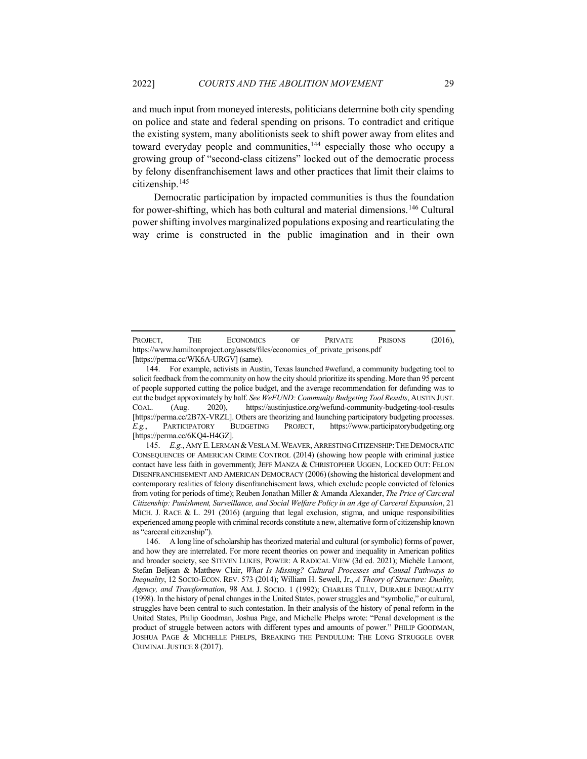and much input from moneyed interests, politicians determine both city spending on police and state and federal spending on prisons. To contradict and critique the existing system, many abolitionists seek to shift power away from elites and toward everyday people and communities,<sup>[144](#page-28-0)</sup> especially those who occupy a growing group of "second-class citizens" locked out of the democratic process by felony disenfranchisement laws and other practices that limit their claims to citizenship.[145](#page-28-1)

Democratic participation by impacted communities is thus the foundation for power-shifting, which has both cultural and material dimensions.[146](#page-28-2) Cultural power shifting involves marginalized populations exposing and rearticulating the way crime is constructed in the public imagination and in their own

<span id="page-28-1"></span>145. *E.g.*, AMY E.LERMAN &VESLA M.WEAVER, ARRESTING CITIZENSHIP:THE DEMOCRATIC CONSEQUENCES OF AMERICAN CRIME CONTROL (2014) (showing how people with criminal justice contact have less faith in government); JEFF MANZA & CHRISTOPHER UGGEN, LOCKED OUT: FELON DISENFRANCHISEMENT AND AMERICAN DEMOCRACY (2006) (showing the historical development and contemporary realities of felony disenfranchisement laws, which exclude people convicted of felonies from voting for periods of time); Reuben Jonathan Miller & Amanda Alexander, *The Price of Carceral Citizenship: Punishment, Surveillance, and Social Welfare Policy in an Age of Carceral Expansion*, 21 MICH. J. RACE  $\&$  L. 291 (2016) (arguing that legal exclusion, stigma, and unique responsibilities experienced among people with criminal records constitute a new, alternative form of citizenship known as "carceral citizenship").

PROJECT, THE ECONOMICS OF PRIVATE PRISONS (2016), https://www.hamiltonproject.org/assets/files/economics\_of\_private\_prisons.pdf [https://perma.cc/WK6A-URGV] (same).

<span id="page-28-0"></span><sup>144.</sup> For example, activists in Austin, Texas launched #wefund, a community budgeting tool to solicit feedback from the community on how the city should prioritize its spending. More than 95 percent of people supported cutting the police budget, and the average recommendation for defunding was to cut the budget approximately by half. *See WeFUND: Community Budgeting Tool Results*, AUSTIN JUST. COAL. (Aug. 2020), https://austinjustice.org/wefund-community-budgeting-tool-results [https://perma.cc/2B7X-VRZL]. Others are theorizing and launching participatory budgeting processes. *E.g.*, PARTICIPATORY BUDGETING PROJECT, https://www.participatorybudgeting.org [https://perma.cc/6KQ4-H4GZ].

<span id="page-28-2"></span><sup>146.</sup> A long line of scholarship has theorized material and cultural (or symbolic) forms of power, and how they are interrelated. For more recent theories on power and inequality in American politics and broader society, see STEVEN LUKES, POWER: A RADICAL VIEW (3d ed. 2021); Michèle Lamont, Stefan Beljean & Matthew Clair, *What Is Missing? Cultural Processes and Causal Pathways to Inequality*, 12 SOCIO-ECON. REV. 573 (2014); William H. Sewell, Jr., *A Theory of Structure: Duality, Agency, and Transformation*, 98 AM. J. SOCIO. 1 (1992); CHARLES TILLY, DURABLE INEQUALITY (1998). In the history of penal changes in the United States, power struggles and "symbolic," or cultural, struggles have been central to such contestation. In their analysis of the history of penal reform in the United States, Philip Goodman, Joshua Page, and Michelle Phelps wrote: "Penal development is the product of struggle between actors with different types and amounts of power." PHILIP GOODMAN, JOSHUA PAGE & MICHELLE PHELPS, BREAKING THE PENDULUM: THE LONG STRUGGLE OVER CRIMINAL JUSTICE 8 (2017).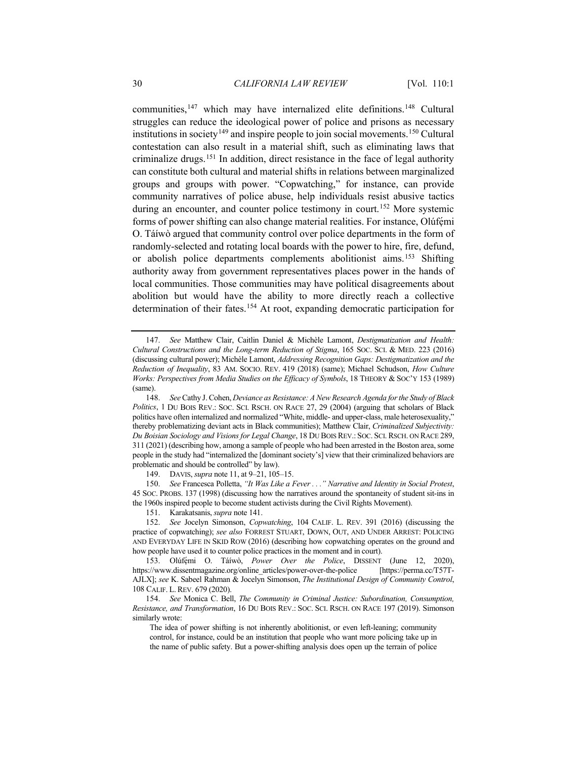<span id="page-29-8"></span>communities,[147](#page-29-0) which may have internalized elite definitions.[148](#page-29-1) Cultural struggles can reduce the ideological power of police and prisons as necessary institutions in society<sup>[149](#page-29-2)</sup> and inspire people to join social movements.<sup>150</sup> Cultural contestation can also result in a material shift, such as eliminating laws that criminalize drugs.[151](#page-29-4) In addition, direct resistance in the face of legal authority can constitute both cultural and material shifts in relations between marginalized groups and groups with power. "Copwatching," for instance, can provide community narratives of police abuse, help individuals resist abusive tactics during an encounter, and counter police testimony in court.<sup>[152](#page-29-5)</sup> More systemic forms of power shifting can also change material realities. For instance, Olúfémi O. Táíwò argued that community control over police departments in the form of randomly-selected and rotating local boards with the power to hire, fire, defund, or abolish police departments complements abolitionist aims.[153](#page-29-6) Shifting authority away from government representatives places power in the hands of local communities. Those communities may have political disagreements about abolition but would have the ability to more directly reach a collective determination of their fates.<sup>[154](#page-29-7)</sup> At root, expanding democratic participation for

149. DAVIS, *supra* not[e 11,](#page-3-6) at 9–21, 105–15.

<span id="page-29-3"></span><span id="page-29-2"></span>150. *See* Francesca Polletta, *"It Was Like a Fever . . ." Narrative and Identity in Social Protest*, 45 SOC. PROBS. 137 (1998) (discussing how the narratives around the spontaneity of student sit-ins in the 1960s inspired people to become student activists during the Civil Rights Movement).

151. Karakatsanis, *supra* note [141.](#page-27-5)

<span id="page-29-5"></span><span id="page-29-4"></span>152. *See* Jocelyn Simonson, *Copwatching*, 104 CALIF. L. REV. 391 (2016) (discussing the practice of copwatching); *see also* FORREST STUART, DOWN, OUT, AND UNDER ARREST: POLICING AND EVERYDAY LIFE IN SKID ROW (2016) (describing how copwatching operates on the ground and how people have used it to counter police practices in the moment and in court).

<span id="page-29-6"></span>153. Olúfẹ́ mi O. Táíwò, *Power Over the Police*, DISSENT (June 12, 2020), https://www.dissentmagazine.org/online\_articles/power-over-the-police [https://perma.cc/T57T-AJLX]; *see* K. Sabeel Rahman & Jocelyn Simonson, *The Institutional Design of Community Control*, 108 CALIF. L. REV. 679 (2020).

<span id="page-29-7"></span>154. *See* Monica C. Bell, *The Community in Criminal Justice: Subordination, Consumption, Resistance, and Transformation*, 16 DU BOIS REV.: SOC. SCI. RSCH. ON RACE 197 (2019). Simonson similarly wrote:

The idea of power shifting is not inherently abolitionist, or even left-leaning; community control, for instance, could be an institution that people who want more policing take up in the name of public safety. But a power-shifting analysis does open up the terrain of police

<span id="page-29-0"></span><sup>147.</sup> *See* Matthew Clair, Caitlin Daniel & Michèle Lamont, *Destigmatization and Health: Cultural Constructions and the Long-term Reduction of Stigma*, 165 SOC. SCI. & MED. 223 (2016) (discussing cultural power); Michèle Lamont, *Addressing Recognition Gaps: Destigmatization and the Reduction of Inequality*, 83 AM. SOCIO. REV. 419 (2018) (same); Michael Schudson, *How Culture Works: Perspectives from Media Studies on the Efficacy of Symbols*, 18 THEORY & SOC'Y 153 (1989) (same).

<span id="page-29-1"></span><sup>148.</sup> *See* Cathy J. Cohen, *Deviance as Resistance: A New Research Agenda for the Study of Black Politics*, 1 DU BOIS REV.: SOC. SCI. RSCH. ON RACE 27, 29 (2004) (arguing that scholars of Black politics have often internalized and normalized "White, middle- and upper-class, male heterosexuality," thereby problematizing deviant acts in Black communities); Matthew Clair, *Criminalized Subjectivity: Du Boisian Sociology and Visions for Legal Change*, 18 DU BOIS REV.: SOC. SCI. RSCH. ON RACE 289, 311 (2021) (describing how, among a sample of people who had been arrested in the Boston area, some people in the study had "internalized the [dominant society's] view that their criminalized behaviors are problematic and should be controlled" by law).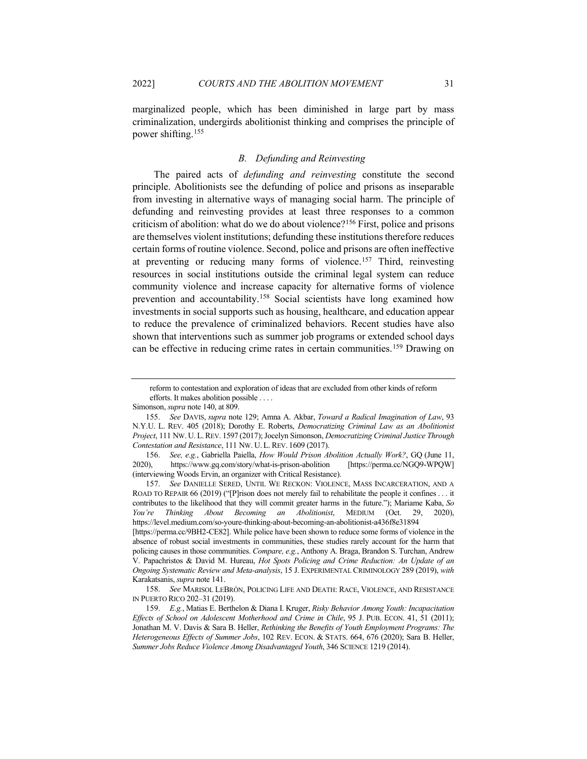marginalized people, which has been diminished in large part by mass criminalization, undergirds abolitionist thinking and comprises the principle of power shifting.[155](#page-30-0)

# <span id="page-30-6"></span><span id="page-30-5"></span>*B. Defunding and Reinvesting*

The paired acts of *defunding and reinvesting* constitute the second principle. Abolitionists see the defunding of police and prisons as inseparable from investing in alternative ways of managing social harm. The principle of defunding and reinvesting provides at least three responses to a common criticism of abolition: what do we do about violence?[156](#page-30-1) First, police and prisons are themselves violent institutions; defunding these institutions therefore reduces certain forms of routine violence. Second, police and prisons are often ineffective at preventing or reducing many forms of violence.[157](#page-30-2) Third, reinvesting resources in social institutions outside the criminal legal system can reduce community violence and increase capacity for alternative forms of violence prevention and accountability.<sup>[158](#page-30-3)</sup> Social scientists have long examined how investments in social supports such as housing, healthcare, and education appear to reduce the prevalence of criminalized behaviors. Recent studies have also shown that interventions such as summer job programs or extended school days can be effective in reducing crime rates in certain communities.<sup>[159](#page-30-4)</sup> Drawing on

<span id="page-30-2"></span>157. *See* DANIELLE SERED, UNTIL WE RECKON: VIOLENCE, MASS INCARCERATION, AND A ROAD TO REPAIR 66 (2019) ("[P]rison does not merely fail to rehabilitate the people it confines . . . it contributes to the likelihood that they will commit greater harms in the future."); Mariame Kaba, *So You're Thinking About Becoming an Abolitionist*, MEDIUM (Oct. 29, 2020), https://level.medium.com/so-youre-thinking-about-becoming-an-abolitionist-a436f8e31894

reform to contestation and exploration of ideas that are excluded from other kinds of reform efforts. It makes abolition possible . . . .

Simonson, *supra* not[e 140,](#page-27-6) at 809.

<span id="page-30-0"></span><sup>155.</sup> *See* DAVIS, *supra* note [129;](#page-25-8) Amna A. Akbar, *Toward a Radical Imagination of Law*, 93 N.Y.U. L. REV. 405 (2018); Dorothy E. Roberts, *Democratizing Criminal Law as an Abolitionist Project*, 111 NW. U. L.REV. 1597 (2017); Jocelyn Simonson, *Democratizing Criminal Justice Through Contestation and Resistance*, 111 NW. U. L. REV. 1609 (2017).

<span id="page-30-1"></span><sup>156.</sup> *See, e.g.*, Gabriella Paiella, *How Would Prison Abolition Actually Work?*, GQ (June 11, 2020), https://www.gq.com/story/what-is-prison-abolition [https://perma.cc/NGQ9-WPQW] (interviewing Woods Ervin, an organizer with Critical Resistance).

<sup>[</sup>https://perma.cc/9BH2-CE82]. While police have been shown to reduce some forms of violence in the absence of robust social investments in communities, these studies rarely account for the harm that policing causes in those communities. *Compare, e.g.*, Anthony A. Braga, Brandon S. Turchan, Andrew V. Papachristos & David M. Hureau, *Hot Spots Policing and Crime Reduction: An Update of an Ongoing Systematic Review and Meta-analysis*, 15 J. EXPERIMENTAL CRIMINOLOGY 289 (2019), *with*  Karakatsanis, *supra* not[e 141.](#page-27-5)

<span id="page-30-3"></span><sup>158.</sup> *See* MARISOL LEBRÓN, POLICING LIFE AND DEATH: RACE, VIOLENCE, AND RESISTANCE IN PUERTO RICO 202–31 (2019).

<span id="page-30-4"></span><sup>159.</sup> *E.g.*, Matias E. Berthelon & Diana I. Kruger, *Risky Behavior Among Youth: Incapacitation Effects of School on Adolescent Motherhood and Crime in Chile*, 95 J. PUB. ECON. 41, 51 (2011); Jonathan M. V. Davis & Sara B. Heller, *Rethinking the Benefits of Youth Employment Programs: The Heterogeneous Effects of Summer Jobs*, 102 REV. ECON. & STATS. 664, 676 (2020); Sara B. Heller, *Summer Jobs Reduce Violence Among Disadvantaged Youth*, 346 SCIENCE 1219 (2014).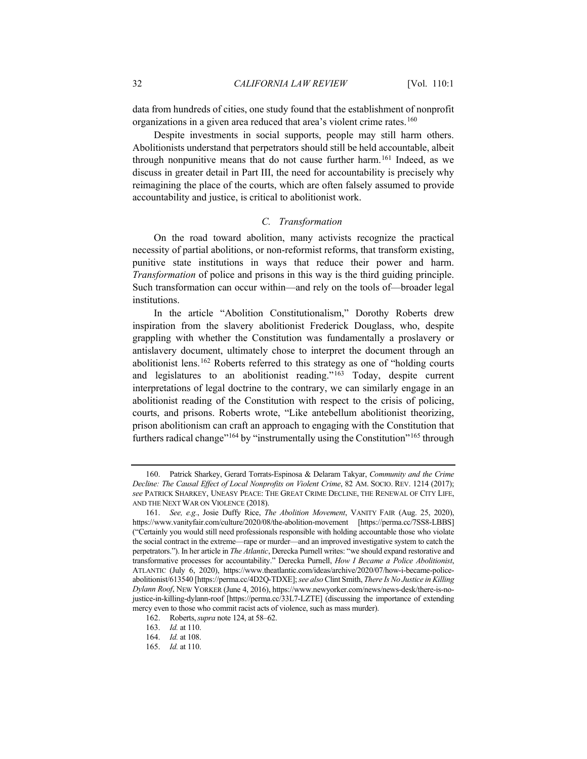data from hundreds of cities, one study found that the establishment of nonprofit organizations in a given area reduced that area's violent crime rates.<sup>[160](#page-31-0)</sup>

Despite investments in social supports, people may still harm others. Abolitionists understand that perpetrators should still be held accountable, albeit through nonpunitive means that do not cause further harm.<sup>[161](#page-31-1)</sup> Indeed, as we discuss in greater detail in Part III, the need for accountability is precisely why reimagining the place of the courts, which are often falsely assumed to provide accountability and justice, is critical to abolitionist work.

# *C. Transformation*

On the road toward abolition, many activists recognize the practical necessity of partial abolitions, or non-reformist reforms, that transform existing, punitive state institutions in ways that reduce their power and harm. *Transformation* of police and prisons in this way is the third guiding principle. Such transformation can occur within—and rely on the tools of—broader legal institutions.

In the article "Abolition Constitutionalism," Dorothy Roberts drew inspiration from the slavery abolitionist Frederick Douglass, who, despite grappling with whether the Constitution was fundamentally a proslavery or antislavery document, ultimately chose to interpret the document through an abolitionist lens.[162](#page-31-2) Roberts referred to this strategy as one of "holding courts and legislatures to an abolitionist reading."[163](#page-31-3) Today, despite current interpretations of legal doctrine to the contrary, we can similarly engage in an abolitionist reading of the Constitution with respect to the crisis of policing, courts, and prisons. Roberts wrote, "Like antebellum abolitionist theorizing, prison abolitionism can craft an approach to engaging with the Constitution that furthers radical change"<sup>[164](#page-31-4)</sup> by "instrumentally using the Constitution"<sup>[165](#page-31-5)</sup> through

<span id="page-31-0"></span><sup>160.</sup> Patrick Sharkey, Gerard Torrats-Espinosa & Delaram Takyar, *Community and the Crime Decline: The Causal Effect of Local Nonprofits on Violent Crime*, 82 AM. SOCIO. REV. 1214 (2017); *see* PATRICK SHARKEY, UNEASY PEACE: THE GREAT CRIME DECLINE, THE RENEWAL OF CITY LIFE, AND THE NEXT WAR ON VIOLENCE (2018).

<span id="page-31-1"></span><sup>161.</sup> *See, e.g.*, Josie Duffy Rice, *The Abolition Movement*, VANITY FAIR (Aug. 25, 2020), https://www.vanityfair.com/culture/2020/08/the-abolition-movement [https://perma.cc/7SS8-LBBS] ("Certainly you would still need professionals responsible with holding accountable those who violate the social contract in the extreme—rape or murder—and an improved investigative system to catch the perpetrators."). In her article in *The Atlantic*, Derecka Purnell writes: "we should expand restorative and transformative processes for accountability." Derecka Purnell, *How I Became a Police Abolitionist*, ATLANTIC (July 6, 2020), https://www.theatlantic.com/ideas/archive/2020/07/how-i-became-policeabolitionist/613540 [https://perma.cc/4D2Q-TDXE]; *see also* Clint Smith, *There Is No Justice in Killing Dylann Roof*, NEW YORKER (June 4, 2016), https://www.newyorker.com/news/news-desk/there-is-nojustice-in-killing-dylann-roof [https://perma.cc/33L7-LZTE] (discussing the importance of extending mercy even to those who commit racist acts of violence, such as mass murder).

<span id="page-31-3"></span><span id="page-31-2"></span><sup>162.</sup> Roberts,*supra* not[e 124,](#page-24-2) at 58–62.

<sup>163.</sup> *Id.* at 110.

<span id="page-31-4"></span><sup>164.</sup> *Id.* at 108.

<span id="page-31-5"></span><sup>165.</sup> *Id.* at 110.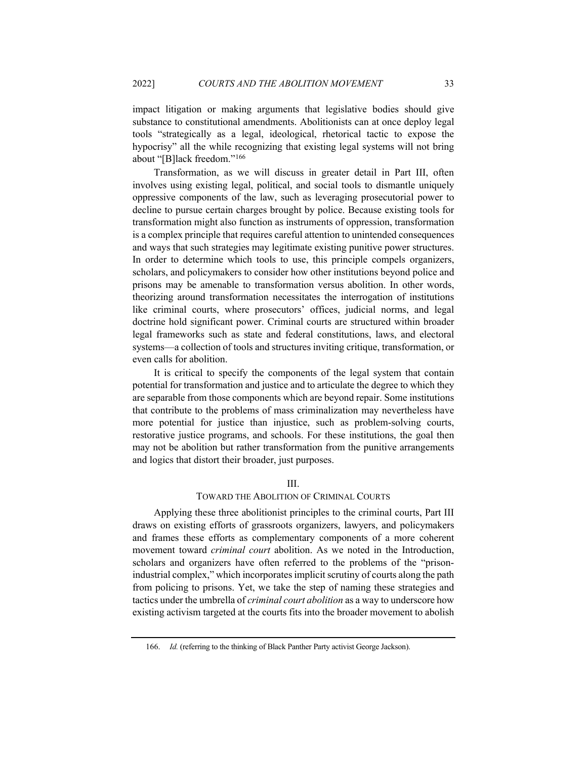impact litigation or making arguments that legislative bodies should give substance to constitutional amendments. Abolitionists can at once deploy legal tools "strategically as a legal, ideological, rhetorical tactic to expose the hypocrisy" all the while recognizing that existing legal systems will not bring about "[B]lack freedom."[166](#page-32-0)

Transformation, as we will discuss in greater detail in Part III, often involves using existing legal, political, and social tools to dismantle uniquely oppressive components of the law, such as leveraging prosecutorial power to decline to pursue certain charges brought by police. Because existing tools for transformation might also function as instruments of oppression, transformation is a complex principle that requires careful attention to unintended consequences and ways that such strategies may legitimate existing punitive power structures. In order to determine which tools to use, this principle compels organizers, scholars, and policymakers to consider how other institutions beyond police and prisons may be amenable to transformation versus abolition. In other words, theorizing around transformation necessitates the interrogation of institutions like criminal courts, where prosecutors' offices, judicial norms, and legal doctrine hold significant power. Criminal courts are structured within broader legal frameworks such as state and federal constitutions, laws, and electoral systems—a collection of tools and structures inviting critique, transformation, or even calls for abolition.

It is critical to specify the components of the legal system that contain potential for transformation and justice and to articulate the degree to which they are separable from those components which are beyond repair. Some institutions that contribute to the problems of mass criminalization may nevertheless have more potential for justice than injustice, such as problem-solving courts, restorative justice programs, and schools. For these institutions, the goal then may not be abolition but rather transformation from the punitive arrangements and logics that distort their broader, just purposes.

# III.

# TOWARD THE ABOLITION OF CRIMINAL COURTS

Applying these three abolitionist principles to the criminal courts, Part III draws on existing efforts of grassroots organizers, lawyers, and policymakers and frames these efforts as complementary components of a more coherent movement toward *criminal court* abolition. As we noted in the Introduction, scholars and organizers have often referred to the problems of the "prisonindustrial complex," which incorporates implicit scrutiny of courts along the path from policing to prisons. Yet, we take the step of naming these strategies and tactics under the umbrella of *criminal court abolition* as a way to underscore how existing activism targeted at the courts fits into the broader movement to abolish

<span id="page-32-0"></span><sup>166.</sup> *Id.* (referring to the thinking of Black Panther Party activist George Jackson).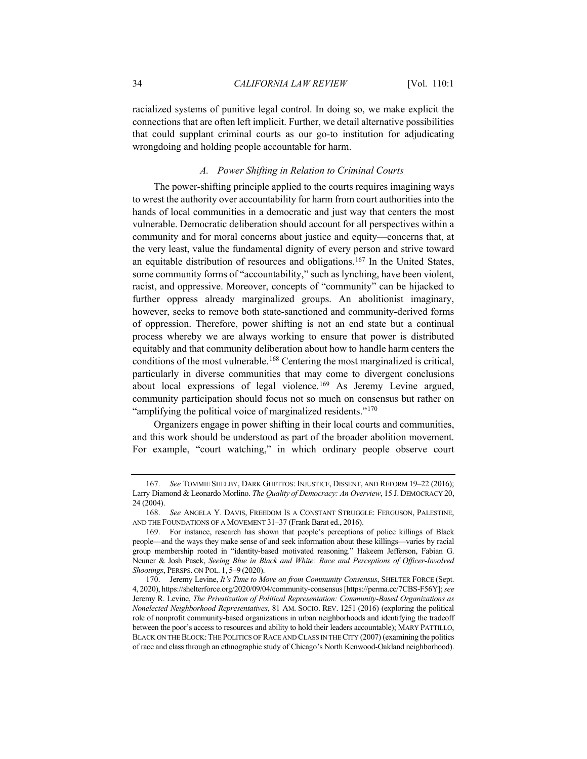racialized systems of punitive legal control. In doing so, we make explicit the connections that are often left implicit. Further, we detail alternative possibilities that could supplant criminal courts as our go-to institution for adjudicating wrongdoing and holding people accountable for harm.

## *A. Power Shifting in Relation to Criminal Courts*

The power-shifting principle applied to the courts requires imagining ways to wrest the authority over accountability for harm from court authorities into the hands of local communities in a democratic and just way that centers the most vulnerable. Democratic deliberation should account for all perspectives within a community and for moral concerns about justice and equity—concerns that, at the very least, value the fundamental dignity of every person and strive toward an equitable distribution of resources and obligations.<sup>[167](#page-33-0)</sup> In the United States, some community forms of "accountability," such as lynching, have been violent, racist, and oppressive. Moreover, concepts of "community" can be hijacked to further oppress already marginalized groups. An abolitionist imaginary, however, seeks to remove both state-sanctioned and community-derived forms of oppression. Therefore, power shifting is not an end state but a continual process whereby we are always working to ensure that power is distributed equitably and that community deliberation about how to handle harm centers the conditions of the most vulnerable.[168](#page-33-1) Centering the most marginalized is critical, particularly in diverse communities that may come to divergent conclusions about local expressions of legal violence.[169](#page-33-2) As Jeremy Levine argued, community participation should focus not so much on consensus but rather on "amplifying the political voice of marginalized residents."<sup>[170](#page-33-3)</sup>

Organizers engage in power shifting in their local courts and communities, and this work should be understood as part of the broader abolition movement. For example, "court watching," in which ordinary people observe court

<span id="page-33-0"></span><sup>167.</sup> *See* TOMMIE SHELBY, DARK GHETTOS: INJUSTICE, DISSENT, AND REFORM 19–22 (2016); Larry Diamond & Leonardo Morlino. *The Quality of Democracy: An Overview*, 15 J. DEMOCRACY 20, 24 (2004).

<span id="page-33-1"></span><sup>168.</sup> *See* ANGELA Y. DAVIS, FREEDOM IS A CONSTANT STRUGGLE: FERGUSON, PALESTINE, AND THE FOUNDATIONS OF A MOVEMENT 31–37 (Frank Barat ed., 2016).

<span id="page-33-2"></span><sup>169.</sup> For instance, research has shown that people's perceptions of police killings of Black people—and the ways they make sense of and seek information about these killings—varies by racial group membership rooted in "identity-based motivated reasoning." Hakeem Jefferson, Fabian G. Neuner & Josh Pasek, *Seeing Blue in Black and White: Race and Perceptions of Officer-Involved Shootings*, PERSPS. ON POL. 1, 5–9 (2020).

<span id="page-33-3"></span><sup>170.</sup> Jeremy Levine, *It's Time to Move on from Community Consensus*, SHELTER FORCE (Sept. 4, 2020), https://shelterforce.org/2020/09/04/community-consensus [https://perma.cc/7CBS-F56Y]; *see* Jeremy R. Levine, *The Privatization of Political Representation: Community-Based Organizations as Nonelected Neighborhood Representatives*, 81 AM. SOCIO. REV. 1251 (2016) (exploring the political role of nonprofit community-based organizations in urban neighborhoods and identifying the tradeoff between the poor's access to resources and ability to hold their leaders accountable); MARY PATTILLO, BLACK ON THE BLOCK: THE POLITICS OF RACE AND CLASS IN THE CITY (2007) (examining the politics of race and class through an ethnographic study of Chicago's North Kenwood-Oakland neighborhood).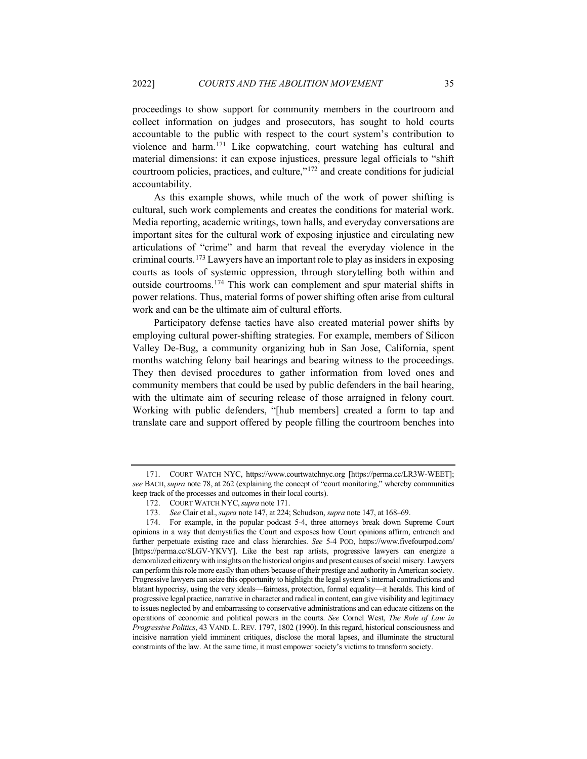<span id="page-34-0"></span>proceedings to show support for community members in the courtroom and collect information on judges and prosecutors, has sought to hold courts accountable to the public with respect to the court system's contribution to violence and harm.[171](#page-34-1) Like copwatching, court watching has cultural and material dimensions: it can expose injustices, pressure legal officials to "shift courtroom policies, practices, and culture,"[172](#page-34-2) and create conditions for judicial accountability.

As this example shows, while much of the work of power shifting is cultural, such work complements and creates the conditions for material work. Media reporting, academic writings, town halls, and everyday conversations are important sites for the cultural work of exposing injustice and circulating new articulations of "crime" and harm that reveal the everyday violence in the criminal courts.[173](#page-34-3) Lawyers have an important role to play as insiders in exposing courts as tools of systemic oppression, through storytelling both within and outside courtrooms.[174](#page-34-4) This work can complement and spur material shifts in power relations. Thus, material forms of power shifting often arise from cultural work and can be the ultimate aim of cultural efforts.

Participatory defense tactics have also created material power shifts by employing cultural power-shifting strategies. For example, members of Silicon Valley De-Bug, a community organizing hub in San Jose, California, spent months watching felony bail hearings and bearing witness to the proceedings. They then devised procedures to gather information from loved ones and community members that could be used by public defenders in the bail hearing, with the ultimate aim of securing release of those arraigned in felony court. Working with public defenders, "[hub members] created a form to tap and translate care and support offered by people filling the courtroom benches into

<span id="page-34-1"></span><sup>171.</sup> COURT WATCH NYC, https://www.courtwatchnyc.org [https://perma.cc/LR3W-WEET]; *see* BACH,*supra* not[e 78,](#page-16-6) at 262 (explaining the concept of "court monitoring," whereby communities keep track of the processes and outcomes in their local courts).

<sup>172.</sup> COURT WATCH NYC,*supra* not[e 171.](#page-34-0)

<sup>173.</sup> *See* Clair et al., *supra* not[e 147,](#page-29-8) at 224; Schudson, *supra* not[e 147,](#page-29-8) at 168–69.

<span id="page-34-4"></span><span id="page-34-3"></span><span id="page-34-2"></span><sup>174.</sup> For example, in the popular podcast 5-4, three attorneys break down Supreme Court opinions in a way that demystifies the Court and exposes how Court opinions affirm, entrench and further perpetuate existing race and class hierarchies. *See* 5-4 POD, https://www.fivefourpod.com/ [https://perma.cc/8LGV-YKVY]. Like the best rap artists, progressive lawyers can energize a demoralized citizenry with insights on the historical origins and present causes of social misery. Lawyers can perform this role more easily than others because of their prestige and authority in American society. Progressive lawyers can seize this opportunity to highlight the legal system's internal contradictions and blatant hypocrisy, using the very ideals—fairness, protection, formal equality—it heralds. This kind of progressive legal practice, narrative in character and radical in content, can give visibility and legitimacy to issues neglected by and embarrassing to conservative administrations and can educate citizens on the operations of economic and political powers in the courts. *See* Cornel West, *The Role of Law in Progressive Politics*, 43 VAND. L. REV. 1797, 1802 (1990). In this regard, historical consciousness and incisive narration yield imminent critiques, disclose the moral lapses, and illuminate the structural constraints of the law. At the same time, it must empower society's victims to transform society.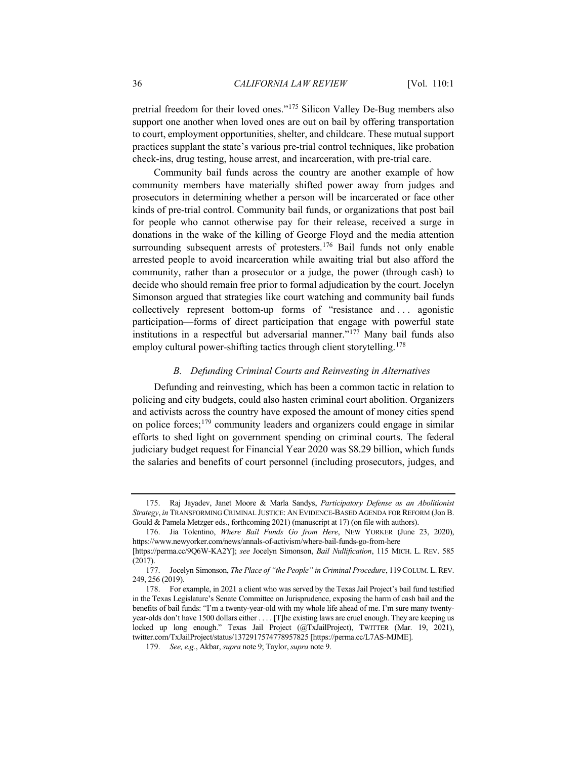pretrial freedom for their loved ones."[175](#page-35-0) Silicon Valley De-Bug members also support one another when loved ones are out on bail by offering transportation to court, employment opportunities, shelter, and childcare. These mutual support practices supplant the state's various pre-trial control techniques, like probation check-ins, drug testing, house arrest, and incarceration, with pre-trial care.

Community bail funds across the country are another example of how community members have materially shifted power away from judges and prosecutors in determining whether a person will be incarcerated or face other kinds of pre-trial control. Community bail funds, or organizations that post bail for people who cannot otherwise pay for their release, received a surge in donations in the wake of the killing of George Floyd and the media attention surrounding subsequent arrests of protesters.<sup>[176](#page-35-1)</sup> Bail funds not only enable arrested people to avoid incarceration while awaiting trial but also afford the community, rather than a prosecutor or a judge, the power (through cash) to decide who should remain free prior to formal adjudication by the court. Jocelyn Simonson argued that strategies like court watching and community bail funds collectively represent bottom-up forms of "resistance and . . . agonistic participation—forms of direct participation that engage with powerful state institutions in a respectful but adversarial manner."[177](#page-35-2) Many bail funds also employ cultural power-shifting tactics through client storytelling.<sup>[178](#page-35-3)</sup>

#### *B. Defunding Criminal Courts and Reinvesting in Alternatives*

Defunding and reinvesting, which has been a common tactic in relation to policing and city budgets, could also hasten criminal court abolition. Organizers and activists across the country have exposed the amount of money cities spend on police forces;[179](#page-35-4) community leaders and organizers could engage in similar efforts to shed light on government spending on criminal courts. The federal judiciary budget request for Financial Year 2020 was \$8.29 billion, which funds the salaries and benefits of court personnel (including prosecutors, judges, and

<span id="page-35-0"></span><sup>175.</sup> Raj Jayadev, Janet Moore & Marla Sandys, *Participatory Defense as an Abolitionist Strategy*, *in* TRANSFORMING CRIMINAL JUSTICE: AN EVIDENCE-BASED AGENDA FOR REFORM (Jon B. Gould & Pamela Metzger eds., forthcoming 2021) (manuscript at 17) (on file with authors).

<span id="page-35-1"></span><sup>176.</sup> Jia Tolentino, *Where Bail Funds Go from Here*, NEW YORKER (June 23, 2020), https://www.newyorker.com/news/annals-of-activism/where-bail-funds-go-from-here [https://perma.cc/9Q6W-KA2Y]; *see* Jocelyn Simonson, *Bail Nullification*, 115 MICH. L. REV. 585

<sup>(2017).</sup>

<span id="page-35-2"></span><sup>177.</sup> Jocelyn Simonson, *The Place of "the People" in Criminal Procedure*, 119COLUM. L.REV. 249, 256 (2019).

<span id="page-35-4"></span><span id="page-35-3"></span><sup>178.</sup> For example, in 2021 a client who was served by the Texas Jail Project's bail fund testified in the Texas Legislature's Senate Committee on Jurisprudence, exposing the harm of cash bail and the benefits of bail funds: "I'm a twenty-year-old with my whole life ahead of me. I'm sure many twentyyear-olds don't have 1500 dollars either . . . . [T]he existing laws are cruel enough. They are keeping us locked up long enough." Texas Jail Project (@TxJailProject), TWITTER (Mar. 19, 2021), twitter.com/TxJailProject/status/1372917574778957825 [https://perma.cc/L7AS-MJME].

<sup>179.</sup> *See, e.g.*, Akbar, *supra* not[e 9;](#page-3-7) Taylor, *supra* not[e 9.](#page-3-7)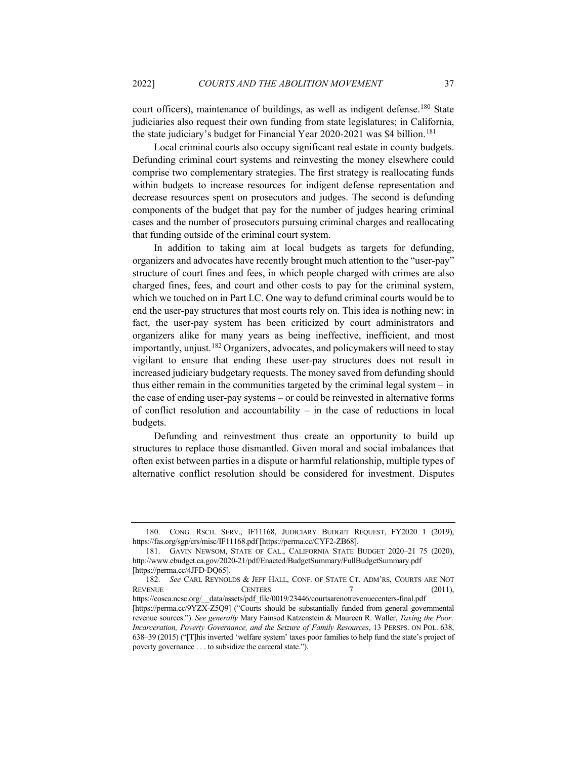court officers), maintenance of buildings, as well as indigent defense.<sup>[180](#page-36-0)</sup> State judiciaries also request their own funding from state legislatures; in California, the state judiciary's budget for Financial Year 2020-2021 was \$4 billion.<sup>[181](#page-36-1)</sup>

Local criminal courts also occupy significant real estate in county budgets. Defunding criminal court systems and reinvesting the money elsewhere could comprise two complementary strategies. The first strategy is reallocating funds within budgets to increase resources for indigent defense representation and decrease resources spent on prosecutors and judges. The second is defunding components of the budget that pay for the number of judges hearing criminal cases and the number of prosecutors pursuing criminal charges and reallocating that funding outside of the criminal court system.

In addition to taking aim at local budgets as targets for defunding, organizers and advocates have recently brought much attention to the "user-pay" structure of court fines and fees, in which people charged with crimes are also charged fines, fees, and court and other costs to pay for the criminal system, which we touched on in Part I.C. One way to defund criminal courts would be to end the user-pay structures that most courts rely on. This idea is nothing new; in fact, the user-pay system has been criticized by court administrators and organizers alike for many years as being ineffective, inefficient, and most importantly, unjust.<sup>[182](#page-36-2)</sup> Organizers, advocates, and policymakers will need to stay vigilant to ensure that ending these user-pay structures does not result in increased judiciary budgetary requests. The money saved from defunding should thus either remain in the communities targeted by the criminal legal system – in the case of ending user-pay systems – or could be reinvested in alternative forms of conflict resolution and accountability – in the case of reductions in local budgets.

Defunding and reinvestment thus create an opportunity to build up structures to replace those dismantled. Given moral and social imbalances that often exist between parties in a dispute or harmful relationship, multiple types of alternative conflict resolution should be considered for investment. Disputes

<span id="page-36-0"></span><sup>180.</sup> CONG. RSCH. SERV., IF11168, JUDICIARY BUDGET REQUEST, FY2020 1 (2019), https://fas.org/sgp/crs/misc/IF11168.pdf [https://perma.cc/CYF2-ZB68].

<span id="page-36-1"></span><sup>181.</sup> GAVIN NEWSOM, STATE OF CAL., CALIFORNIA STATE BUDGET 2020–21 75 (2020), http://www.ebudget.ca.gov/2020-21/pdf/Enacted/BudgetSummary/FullBudgetSummary.pdf [https://perma.cc/4JFD-DQ65].

<span id="page-36-2"></span><sup>182.</sup> *See* CARL REYNOLDS & JEFF HALL, CONF. OF STATE CT. ADM'RS, COURTS ARE NOT REVENUE CENTERS 7 (2011), https://cosca.ncsc.org/\_\_data/assets/pdf\_file/0019/23446/courtsarenotrevenuecenters-final.pdf [https://perma.cc/9YZX-Z5Q9] ("Courts should be substantially funded from general governmental revenue sources."). *See generally* Mary Fainsod Katzenstein & Maureen R. Waller, *Taxing the Poor: Incarceration, Poverty Governance, and the Seizure of Family Resources*, 13 PERSPS. ON POL. 638, 638–39 (2015) ("[T]his inverted 'welfare system' taxes poor families to help fund the state's project of poverty governance . . . to subsidize the carceral state.").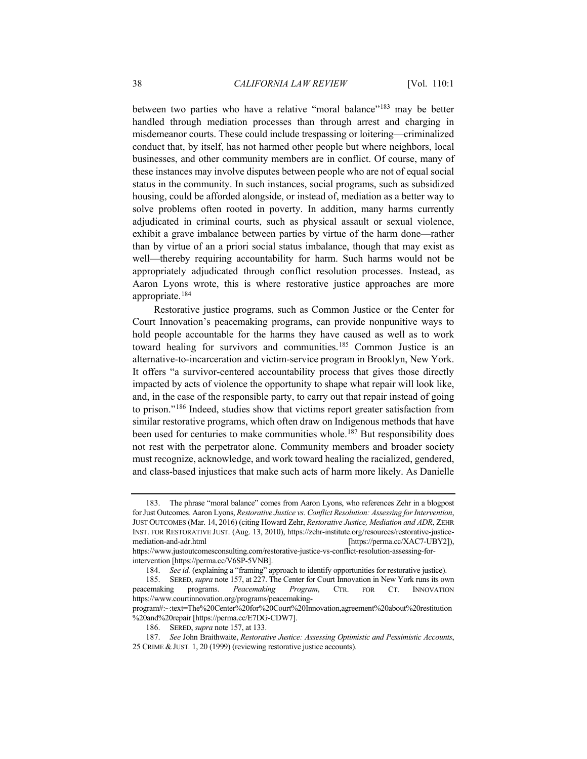between two parties who have a relative "moral balance"<sup>[183](#page-37-0)</sup> may be better handled through mediation processes than through arrest and charging in misdemeanor courts. These could include trespassing or loitering—criminalized conduct that, by itself, has not harmed other people but where neighbors, local businesses, and other community members are in conflict. Of course, many of these instances may involve disputes between people who are not of equal social status in the community. In such instances, social programs, such as subsidized housing, could be afforded alongside, or instead of, mediation as a better way to solve problems often rooted in poverty. In addition, many harms currently adjudicated in criminal courts, such as physical assault or sexual violence, exhibit a grave imbalance between parties by virtue of the harm done—rather than by virtue of an a priori social status imbalance, though that may exist as well—thereby requiring accountability for harm. Such harms would not be appropriately adjudicated through conflict resolution processes. Instead, as Aaron Lyons wrote, this is where restorative justice approaches are more appropriate.[184](#page-37-1)

Restorative justice programs, such as Common Justice or the Center for Court Innovation's peacemaking programs, can provide nonpunitive ways to hold people accountable for the harms they have caused as well as to work toward healing for survivors and communities.[185](#page-37-2) Common Justice is an alternative-to-incarceration and victim-service program in Brooklyn, New York. It offers "a survivor-centered accountability process that gives those directly impacted by acts of violence the opportunity to shape what repair will look like, and, in the case of the responsible party, to carry out that repair instead of going to prison."[186](#page-37-3) Indeed, studies show that victims report greater satisfaction from similar restorative programs, which often draw on Indigenous methods that have been used for centuries to make communities whole.<sup>[187](#page-37-4)</sup> But responsibility does not rest with the perpetrator alone. Community members and broader society must recognize, acknowledge, and work toward healing the racialized, gendered, and class-based injustices that make such acts of harm more likely. As Danielle

<span id="page-37-0"></span><sup>183.</sup> The phrase "moral balance" comes from Aaron Lyons, who references Zehr in a blogpost for Just Outcomes. Aaron Lyons, *Restorative Justice vs. Conflict Resolution: Assessing for Intervention*, JUST OUTCOMES (Mar. 14, 2016) (citing Howard Zehr, *Restorative Justice, Mediation and ADR*, ZEHR INST. FOR RESTORATIVE JUST. (Aug. 13, 2010), https://zehr-institute.org/resources/restorative-justicemediation-and-adr.html [https://perma.cc/XAC7-UBY2]), https://www.justoutcomesconsulting.com/restorative-justice-vs-conflict-resolution-assessing-forintervention [https://perma.cc/V6SP-5VNB].

<sup>184.</sup> *See id.* (explaining a "framing" approach to identify opportunities for restorative justice).

<span id="page-37-2"></span><span id="page-37-1"></span><sup>185.</sup> SERED, *supra* not[e 157,](#page-30-5) at 227. The Center for Court Innovation in New York runs its own peacemaking programs. *Peacemaking Program*, CTR. FOR CT. INNOVATION https://www.courtinnovation.org/programs/peacemaking-

program#:~:text=The%20Center%20for%20Court%20Innovation,agreement%20about%20restitution %20and%20repair [https://perma.cc/E7DG-CDW7].

<sup>186.</sup> SERED, *supra* not[e 157,](#page-30-5) at 133.

<span id="page-37-4"></span><span id="page-37-3"></span><sup>187.</sup> *See* John Braithwaite, *Restorative Justice: Assessing Optimistic and Pessimistic Accounts*, 25 CRIME &JUST*.* 1, 20 (1999) (reviewing restorative justice accounts).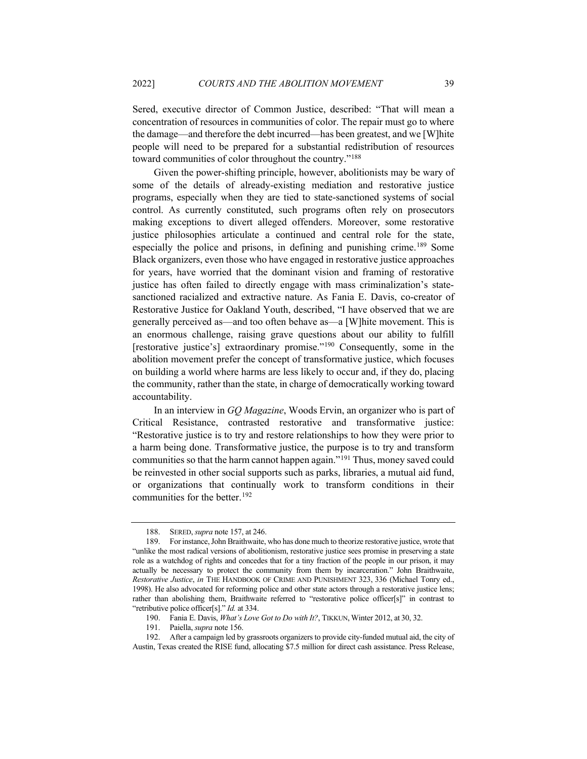Sered, executive director of Common Justice, described: "That will mean a concentration of resources in communities of color. The repair must go to where the damage—and therefore the debt incurred—has been greatest, and we [W]hite people will need to be prepared for a substantial redistribution of resources toward communities of color throughout the country.["188](#page-38-0)

Given the power-shifting principle, however, abolitionists may be wary of some of the details of already-existing mediation and restorative justice programs, especially when they are tied to state-sanctioned systems of social control. As currently constituted, such programs often rely on prosecutors making exceptions to divert alleged offenders. Moreover, some restorative justice philosophies articulate a continued and central role for the state, especially the police and prisons, in defining and punishing crime.<sup>[189](#page-38-1)</sup> Some Black organizers, even those who have engaged in restorative justice approaches for years, have worried that the dominant vision and framing of restorative justice has often failed to directly engage with mass criminalization's statesanctioned racialized and extractive nature. As Fania E. Davis, co-creator of Restorative Justice for Oakland Youth, described, "I have observed that we are generally perceived as—and too often behave as—a [W]hite movement. This is an enormous challenge, raising grave questions about our ability to fulfill [restorative justice's] extraordinary promise."<sup>[190](#page-38-2)</sup> Consequently, some in the abolition movement prefer the concept of transformative justice, which focuses on building a world where harms are less likely to occur and, if they do, placing the community, rather than the state, in charge of democratically working toward accountability.

<span id="page-38-5"></span>In an interview in *GQ Magazine*, Woods Ervin, an organizer who is part of Critical Resistance, contrasted restorative and transformative justice: "Restorative justice is to try and restore relationships to how they were prior to a harm being done. Transformative justice, the purpose is to try and transform communities so that the harm cannot happen again."[191](#page-38-3) Thus, money saved could be reinvested in other social supports such as parks, libraries, a mutual aid fund, or organizations that continually work to transform conditions in their communities for the better[.192](#page-38-4)

<sup>188.</sup> SERED, *supra* not[e 157,](#page-30-5) at 246.

<span id="page-38-1"></span><span id="page-38-0"></span><sup>189.</sup> For instance, John Braithwaite, who has done much to theorize restorative justice, wrote that "unlike the most radical versions of abolitionism, restorative justice sees promise in preserving a state role as a watchdog of rights and concedes that for a tiny fraction of the people in our prison, it may actually be necessary to protect the community from them by incarceration." John Braithwaite, *Restorative Justice*, *in* THE HANDBOOK OF CRIME AND PUNISHMENT 323, 336 (Michael Tonry ed., 1998). He also advocated for reforming police and other state actors through a restorative justice lens; rather than abolishing them, Braithwaite referred to "restorative police officer[s]" in contrast to "retributive police officer[s]." *Id.* at 334.

<sup>190.</sup> Fania E. Davis, *What's Love Got to Do with It?*, TIKKUN, Winter 2012, at 30, 32.

<sup>191.</sup> Paiella, *supra* not[e 156.](#page-30-6)

<span id="page-38-4"></span><span id="page-38-3"></span><span id="page-38-2"></span><sup>192.</sup> After a campaign led by grassroots organizers to provide city-funded mutual aid, the city of Austin, Texas created the RISE fund, allocating \$7.5 million for direct cash assistance. Press Release,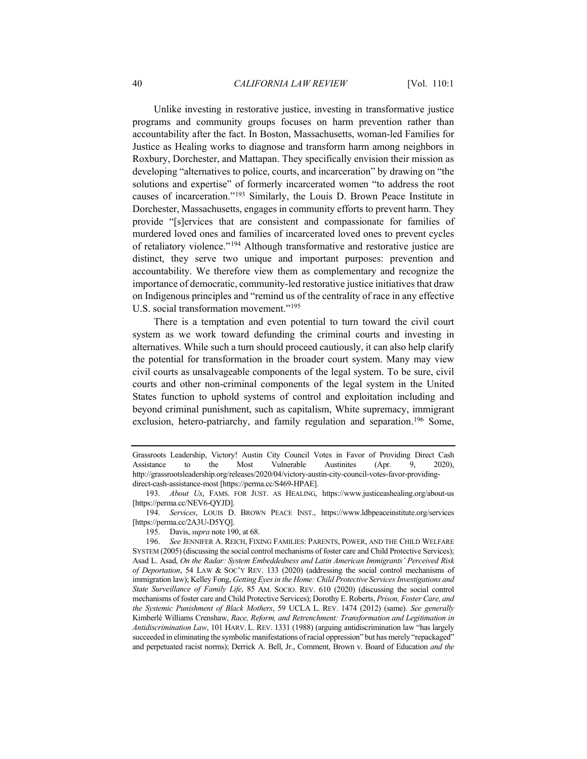Unlike investing in restorative justice, investing in transformative justice programs and community groups focuses on harm prevention rather than accountability after the fact. In Boston, Massachusetts, woman-led Families for Justice as Healing works to diagnose and transform harm among neighbors in Roxbury, Dorchester, and Mattapan. They specifically envision their mission as developing "alternatives to police, courts, and incarceration" by drawing on "the solutions and expertise" of formerly incarcerated women "to address the root causes of incarceration.["193](#page-39-0) Similarly, the Louis D. Brown Peace Institute in Dorchester, Massachusetts, engages in community efforts to prevent harm. They provide "[s]ervices that are consistent and compassionate for families of murdered loved ones and families of incarcerated loved ones to prevent cycles of retaliatory violence."[194](#page-39-1) Although transformative and restorative justice are distinct, they serve two unique and important purposes: prevention and accountability. We therefore view them as complementary and recognize the importance of democratic, community-led restorative justice initiatives that draw on Indigenous principles and "remind us of the centrality of race in any effective U.S. social transformation movement."[195](#page-39-2)

There is a temptation and even potential to turn toward the civil court system as we work toward defunding the criminal courts and investing in alternatives. While such a turn should proceed cautiously, it can also help clarify the potential for transformation in the broader court system. Many may view civil courts as unsalvageable components of the legal system. To be sure, civil courts and other non-criminal components of the legal system in the United States function to uphold systems of control and exploitation including and beyond criminal punishment, such as capitalism, White supremacy, immigrant exclusion, hetero-patriarchy, and family regulation and separation.<sup>[196](#page-39-3)</sup> Some,

Grassroots Leadership, Victory! Austin City Council Votes in Favor of Providing Direct Cash Assistance to the Most Vulnerable Austinites (Apr. 9, 2020), http://grassrootsleadership.org/releases/2020/04/victory-austin-city-council-votes-favor-providingdirect-cash-assistance-most [https://perma.cc/S469-HPAE].

<span id="page-39-0"></span><sup>193.</sup> *About Us*, FAMS. FOR JUST. AS HEALING, https://www.justiceashealing.org/about-us [https://perma.cc/NEV6-QYJD].

<span id="page-39-1"></span><sup>194.</sup> *Services*, LOUIS D. BROWN PEACE INST., https://www.ldbpeaceinstitute.org/services [https://perma.cc/2A3U-D5YQ].

<sup>195.</sup> Davis, *supra* not[e 190,](#page-38-5) at 68.

<span id="page-39-3"></span><span id="page-39-2"></span><sup>196.</sup> *See* JENNIFER A. REICH, FIXING FAMILIES: PARENTS, POWER, AND THE CHILD WELFARE SYSTEM (2005) (discussing the social control mechanisms of foster care and Child Protective Services); Asad L. Asad, *On the Radar: System Embeddedness and Latin American Immigrants' Perceived Risk of Deportation*, 54 LAW & SOC'Y REV. 133 (2020) (addressing the social control mechanisms of immigration law); Kelley Fong, *Getting Eyes in the Home: Child Protective Services Investigations and State Surveillance of Family Life*, 85 AM. SOCIO. REV. 610 (2020) (discussing the social control mechanisms of foster care and Child Protective Services); Dorothy E. Roberts, *Prison, Foster Care, and the Systemic Punishment of Black Mothers*, 59 UCLA L. REV. 1474 (2012) (same). *See generally* Kimberlé Williams Crenshaw, *Race, Reform, and Retrenchment: Transformation and Legitimation in Antidiscrimination Law*, 101 HARV. L. REV. 1331 (1988) (arguing antidiscrimination law "has largely succeeded in eliminating the symbolic manifestations of racial oppression" but has merely "repackaged" and perpetuated racist norms); Derrick A. Bell, Jr., Comment, Brown v. Board of Education *and the*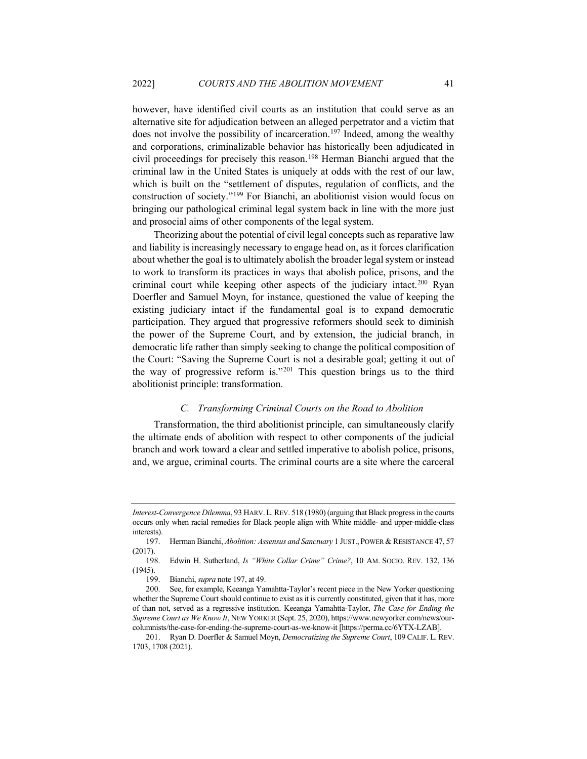<span id="page-40-0"></span>however, have identified civil courts as an institution that could serve as an alternative site for adjudication between an alleged perpetrator and a victim that does not involve the possibility of incarceration.<sup>[197](#page-40-1)</sup> Indeed, among the wealthy and corporations, criminalizable behavior has historically been adjudicated in civil proceedings for precisely this reason[.198](#page-40-2) Herman Bianchi argued that the criminal law in the United States is uniquely at odds with the rest of our law, which is built on the "settlement of disputes, regulation of conflicts, and the construction of society.["199](#page-40-3) For Bianchi, an abolitionist vision would focus on bringing our pathological criminal legal system back in line with the more just and prosocial aims of other components of the legal system.

Theorizing about the potential of civil legal concepts such as reparative law and liability is increasingly necessary to engage head on, as it forces clarification about whether the goal is to ultimately abolish the broader legal system or instead to work to transform its practices in ways that abolish police, prisons, and the criminal court while keeping other aspects of the judiciary intact.<sup>[200](#page-40-4)</sup> Ryan Doerfler and Samuel Moyn, for instance, questioned the value of keeping the existing judiciary intact if the fundamental goal is to expand democratic participation. They argued that progressive reformers should seek to diminish the power of the Supreme Court, and by extension, the judicial branch, in democratic life rather than simply seeking to change the political composition of the Court: "Saving the Supreme Court is not a desirable goal; getting it out of the way of progressive reform is."<sup>[201](#page-40-5)</sup> This question brings us to the third abolitionist principle: transformation.

# *C. Transforming Criminal Courts on the Road to Abolition*

Transformation, the third abolitionist principle, can simultaneously clarify the ultimate ends of abolition with respect to other components of the judicial branch and work toward a clear and settled imperative to abolish police, prisons, and, we argue, criminal courts. The criminal courts are a site where the carceral

*Interest-Convergence Dilemma*, 93 HARV. L. REV. 518 (1980) (arguing that Black progress in the courts occurs only when racial remedies for Black people align with White middle- and upper-middle-class interests).

<span id="page-40-1"></span><sup>197.</sup> Herman Bianchi, *Abolition: Assensus and Sanctuary* 1 JUST., POWER & RESISTANCE 47, 57 (2017).

<span id="page-40-2"></span><sup>198.</sup> Edwin H. Sutherland, *Is "White Collar Crime" Crime?*, 10 AM. SOCIO. REV. 132, 136 (1945).

<sup>199.</sup> Bianchi, *supra* not[e 197,](#page-40-0) at 49.

<span id="page-40-4"></span><span id="page-40-3"></span><sup>200.</sup> See, for example, Keeanga Yamahtta-Taylor's recent piece in the New Yorker questioning whether the Supreme Court should continue to exist as it is currently constituted, given that it has, more of than not, served as a regressive institution. Keeanga Yamahtta-Taylor, *The Case for Ending the Supreme Court as We Know It*, NEW YORKER (Sept. 25, 2020), https://www.newyorker.com/news/ourcolumnists/the-case-for-ending-the-supreme-court-as-we-know-it [https://perma.cc/6YTX-LZAB].

<span id="page-40-5"></span><sup>201.</sup> Ryan D. Doerfler & Samuel Moyn, *Democratizing the Supreme Court*, 109 CALIF. L. REV. 1703, 1708 (2021).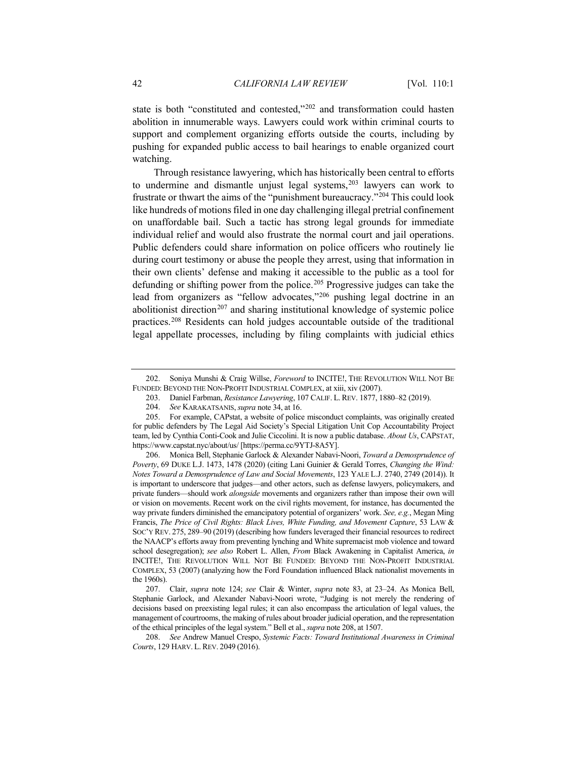state is both "constituted and contested,"[202](#page-41-1) and transformation could hasten abolition in innumerable ways. Lawyers could work within criminal courts to support and complement organizing efforts outside the courts, including by pushing for expanded public access to bail hearings to enable organized court watching.

Through resistance lawyering, which has historically been central to efforts to undermine and dismantle unjust legal systems,<sup>[203](#page-41-2)</sup> lawyers can work to frustrate or thwart the aims of the "punishment bureaucracy."[204](#page-41-3) This could look like hundreds of motions filed in one day challenging illegal pretrial confinement on unaffordable bail. Such a tactic has strong legal grounds for immediate individual relief and would also frustrate the normal court and jail operations. Public defenders could share information on police officers who routinely lie during court testimony or abuse the people they arrest, using that information in their own clients' defense and making it accessible to the public as a tool for defunding or shifting power from the police.[205](#page-41-4) Progressive judges can take the lead from organizers as "fellow advocates,"[206](#page-41-5) pushing legal doctrine in an abolitionist direction<sup>[207](#page-41-6)</sup> and sharing institutional knowledge of systemic police practices.[208](#page-41-7) Residents can hold judges accountable outside of the traditional legal appellate processes, including by filing complaints with judicial ethics

<span id="page-41-5"></span>206. Monica Bell, Stephanie Garlock & Alexander Nabavi-Noori, *Toward a Demosprudence of Poverty*, 69 DUKE L.J. 1473, 1478 (2020) (citing Lani Guinier & Gerald Torres, *Changing the Wind: Notes Toward a Demosprudence of Law and Social Movements*, 123 YALE L.J. 2740, 2749 (2014)). It is important to underscore that judges—and other actors, such as defense lawyers, policymakers, and private funders—should work *alongside* movements and organizers rather than impose their own will or vision on movements. Recent work on the civil rights movement, for instance, has documented the way private funders diminished the emancipatory potential of organizers' work. *See, e.g.*, Megan Ming Francis, *The Price of Civil Rights: Black Lives, White Funding, and Movement Capture*, 53 LAW & SOC'Y REV. 275, 289–90 (2019) (describing how funders leveraged their financial resources to redirect the NAACP's efforts away from preventing lynching and White supremacist mob violence and toward school desegregation); *see also* Robert L. Allen, *From* Black Awakening in Capitalist America, *in* INCITE!, THE REVOLUTION WILL NOT BE FUNDED: BEYOND THE NON-PROFIT INDUSTRIAL COMPLEX, 53 (2007) (analyzing how the Ford Foundation influenced Black nationalist movements in the 1960s).

<span id="page-41-6"></span>207. Clair, *supra* note [124;](#page-24-2) *see* Clair & Winter, *supra* note [83,](#page-17-6) at 23–24. As Monica Bell, Stephanie Garlock, and Alexander Nabavi-Noori wrote, "Judging is not merely the rendering of decisions based on preexisting legal rules; it can also encompass the articulation of legal values, the management of courtrooms, the making of rules about broader judicial operation, and the representation of the ethical principles of the legal system." Bell et al., *supra* not[e 208,](#page-41-0) at 1507.

<span id="page-41-7"></span>208. *See* Andrew Manuel Crespo, *Systemic Facts: Toward Institutional Awareness in Criminal Courts*, 129 HARV. L. REV. 2049 (2016).

<span id="page-41-2"></span><span id="page-41-1"></span><span id="page-41-0"></span><sup>202.</sup> Soniya Munshi & Craig Willse, *Foreword* to INCITE!, THE REVOLUTION WILL NOT BE FUNDED: BEYOND THE NON-PROFIT INDUSTRIAL COMPLEX, at xiii, xiv (2007).

<sup>203.</sup> Daniel Farbman, *Resistance Lawyering*, 107 CALIF. L. REV. 1877, 1880–82 (2019).

<sup>204.</sup> *See* KARAKATSANIS, *supra* note [34,](#page-8-4) at 16.

<span id="page-41-4"></span><span id="page-41-3"></span><sup>205.</sup> For example, CAPstat, a website of police misconduct complaints, was originally created for public defenders by The Legal Aid Society's Special Litigation Unit Cop Accountability Project team, led by Cynthia Conti-Cook and Julie Ciccolini. It is now a public database. *About Us*, CAPSTAT, https://www.capstat.nyc/about/us/ [https://perma.cc/9YTJ-8A5Y].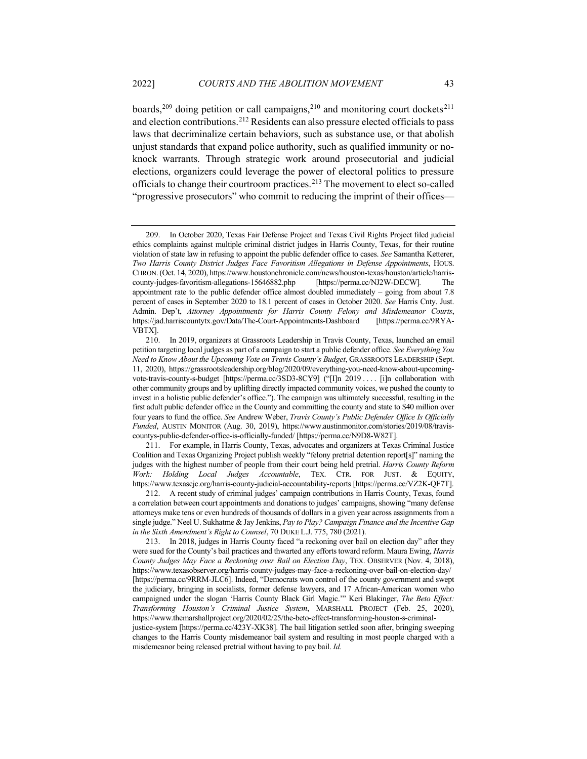boards,<sup>[209](#page-42-0)</sup> doing petition or call campaigns,<sup>[210](#page-42-1)</sup> and monitoring court dockets<sup>[211](#page-42-2)</sup> and election contributions.[212](#page-42-3) Residents can also pressure elected officials to pass laws that decriminalize certain behaviors, such as substance use, or that abolish unjust standards that expand police authority, such as qualified immunity or noknock warrants. Through strategic work around prosecutorial and judicial elections, organizers could leverage the power of electoral politics to pressure officials to change their courtroom practices.[213](#page-42-4) The movement to elect so-called "progressive prosecutors" who commit to reducing the imprint of their offices—

<span id="page-42-2"></span>211. For example, in Harris County, Texas, advocates and organizers at Texas Criminal Justice Coalition and Texas Organizing Project publish weekly "felony pretrial detention report[s]" naming the judges with the highest number of people from their court being held pretrial. *Harris County Reform Work: Holding Local Judges Accountable*, TEX. CTR. FOR JUST. & EQUITY, https://www.texascjc.org/harris-county-judicial-accountability-reports [https://perma.cc/VZ2K-QF7T].

<span id="page-42-0"></span><sup>209.</sup> In October 2020, Texas Fair Defense Project and Texas Civil Rights Project filed judicial ethics complaints against multiple criminal district judges in Harris County, Texas, for their routine violation of state law in refusing to appoint the public defender office to cases. *See* Samantha Ketterer, *Two Harris County District Judges Face Favoritism Allegations in Defense Appointments*, HOUS. CHRON.(Oct. 14, 2020), https://www.houstonchronicle.com/news/houston-texas/houston/article/harriscounty-judges-favoritism-allegations-15646882.php [https://perma.cc/NJ2W-DECW]*.* The appointment rate to the public defender office almost doubled immediately – going from about 7.8 percent of cases in September 2020 to 18.1 percent of cases in October 2020. *See* Harris Cnty. Just. Admin. Dep't, *Attorney Appointments for Harris County Felony and Misdemeanor Courts*, https://jad.harriscountytx.gov/Data/The-Court-Appointments-Dashboard VBTX].

<span id="page-42-1"></span><sup>210.</sup> In 2019, organizers at Grassroots Leadership in Travis County, Texas, launched an email petition targeting local judges as part of a campaign to start a public defender office. *See Everything You Need to Know About the Upcoming Vote on Travis County's Budget*, GRASSROOTS LEADERSHIP (Sept. 11, 2020), https://grassrootsleadership.org/blog/2020/09/everything-you-need-know-about-upcomingvote-travis-county-s-budget [https://perma.cc/3SD3-8CY9] ("[I]n 2019 . . . . [i]n collaboration with other community groups and by uplifting directly impacted community voices, we pushed the county to invest in a holistic public defender's office."). The campaign was ultimately successful, resulting in the first adult public defender office in the County and committing the county and state to \$40 million over four years to fund the office. *See* Andrew Weber, *Travis County's Public Defender Office Is Officially Funded*, AUSTIN MONITOR (Aug. 30, 2019), https://www.austinmonitor.com/stories/2019/08/traviscountys-public-defender-office-is-officially-funded/ [https://perma.cc/N9D8-W82T].

<span id="page-42-3"></span><sup>212.</sup> A recent study of criminal judges' campaign contributions in Harris County, Texas, found a correlation between court appointments and donations to judges' campaigns, showing "many defense attorneys make tens or even hundreds of thousands of dollars in a given year across assignments from a single judge." Neel U. Sukhatme & Jay Jenkins, *Pay to Play? Campaign Finance and the Incentive Gap in the Sixth Amendment's Right to Counsel*, 70 DUKE L.J. 775, 780 (2021).

<span id="page-42-4"></span><sup>213.</sup> In 2018, judges in Harris County faced "a reckoning over bail on election day" after they were sued for the County's bail practices and thwarted any efforts toward reform. Maura Ewing, *Harris County Judges May Face a Reckoning over Bail on Election Day*, TEX. OBSERVER (Nov. 4, 2018), https://www.texasobserver.org/harris-county-judges-may-face-a-reckoning-over-bail-on-election-day/ [https://perma.cc/9RRM-JLC6]. Indeed, "Democrats won control of the county government and swept the judiciary, bringing in socialists, former defense lawyers, and 17 African-American women who campaigned under the slogan 'Harris County Black Girl Magic.'" Keri Blakinger, *The Beto Effect: Transforming Houston's Criminal Justice System*, MARSHALL PROJECT (Feb. 25, 2020), https://www.themarshallproject.org/2020/02/25/the-beto-effect-transforming-houston-s-criminaljustice-system [https://perma.cc/423Y-XK38]. The bail litigation settled soon after, bringing sweeping changes to the Harris County misdemeanor bail system and resulting in most people charged with a misdemeanor being released pretrial without having to pay bail. *Id.*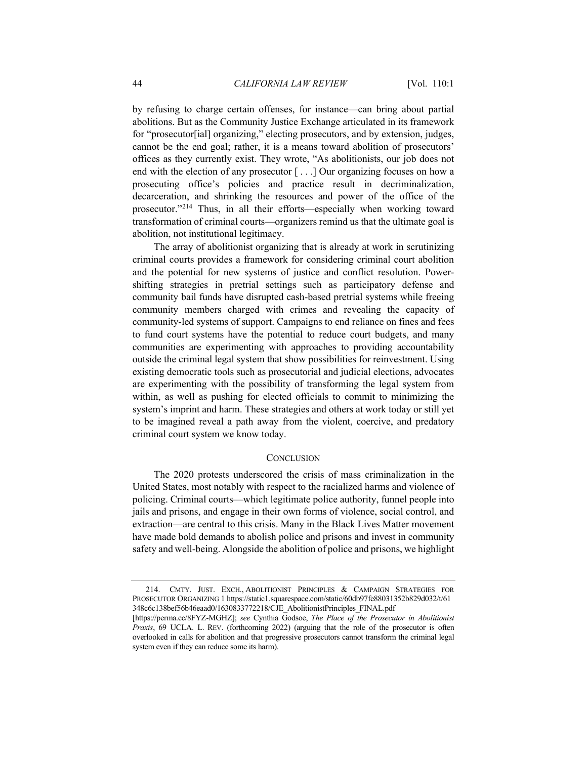by refusing to charge certain offenses, for instance—can bring about partial abolitions. But as the Community Justice Exchange articulated in its framework for "prosecutor[ial] organizing," electing prosecutors, and by extension, judges, cannot be the end goal; rather, it is a means toward abolition of prosecutors' offices as they currently exist. They wrote, "As abolitionists, our job does not end with the election of any prosecutor [ . . .] Our organizing focuses on how a prosecuting office's policies and practice result in decriminalization, decarceration, and shrinking the resources and power of the office of the prosecutor."[214](#page-43-0) Thus, in all their efforts—especially when working toward transformation of criminal courts—organizers remind us that the ultimate goal is abolition, not institutional legitimacy.

The array of abolitionist organizing that is already at work in scrutinizing criminal courts provides a framework for considering criminal court abolition and the potential for new systems of justice and conflict resolution. Powershifting strategies in pretrial settings such as participatory defense and community bail funds have disrupted cash-based pretrial systems while freeing community members charged with crimes and revealing the capacity of community-led systems of support. Campaigns to end reliance on fines and fees to fund court systems have the potential to reduce court budgets, and many communities are experimenting with approaches to providing accountability outside the criminal legal system that show possibilities for reinvestment. Using existing democratic tools such as prosecutorial and judicial elections, advocates are experimenting with the possibility of transforming the legal system from within, as well as pushing for elected officials to commit to minimizing the system's imprint and harm. These strategies and others at work today or still yet to be imagined reveal a path away from the violent, coercive, and predatory criminal court system we know today.

## **CONCLUSION**

The 2020 protests underscored the crisis of mass criminalization in the United States, most notably with respect to the racialized harms and violence of policing. Criminal courts—which legitimate police authority, funnel people into jails and prisons, and engage in their own forms of violence, social control, and extraction—are central to this crisis. Many in the Black Lives Matter movement have made bold demands to abolish police and prisons and invest in community safety and well-being. Alongside the abolition of police and prisons, we highlight

<span id="page-43-0"></span><sup>214.</sup> CMTY. JUST. EXCH., ABOLITIONIST PRINCIPLES & CAMPAIGN STRATEGIES FOR PROSECUTOR ORGANIZING 1 https://static1.squarespace.com/static/60db97fe88031352b829d032/t/61 348c6c138bef56b46eaad0/1630833772218/CJE\_AbolitionistPrinciples\_FINAL.pdf

<sup>[</sup>https://perma.cc/8FYZ-MGHZ]; *see* Cynthia Godsoe, *The Place of the Prosecutor in Abolitionist Praxis*, 69 UCLA. L. REV. (forthcoming 2022) (arguing that the role of the prosecutor is often overlooked in calls for abolition and that progressive prosecutors cannot transform the criminal legal system even if they can reduce some its harm).